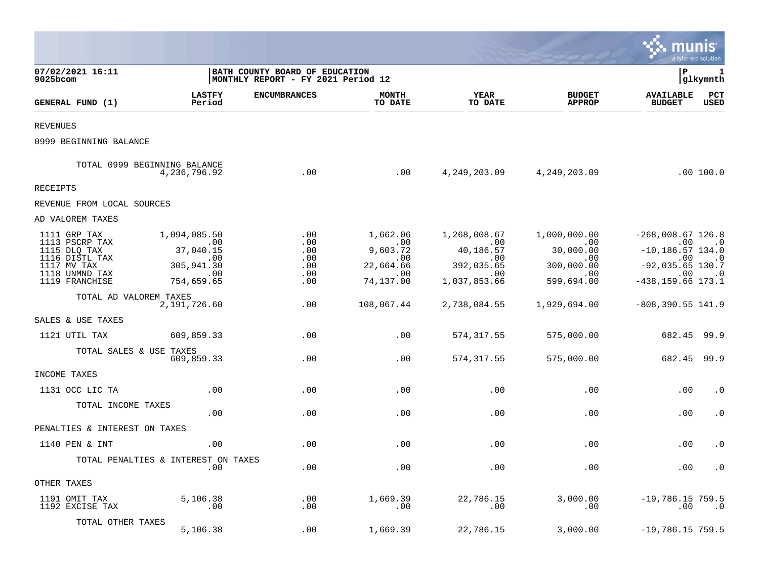|                                                                                                                     |                                                                                  |                                                                       |                                                                          |                                                                                    |                                                                                  | munis                                                                                                                                                  | a tyler erp solution                     |
|---------------------------------------------------------------------------------------------------------------------|----------------------------------------------------------------------------------|-----------------------------------------------------------------------|--------------------------------------------------------------------------|------------------------------------------------------------------------------------|----------------------------------------------------------------------------------|--------------------------------------------------------------------------------------------------------------------------------------------------------|------------------------------------------|
| 07/02/2021 16:11<br>9025bcom                                                                                        |                                                                                  | BATH COUNTY BOARD OF EDUCATION<br> MONTHLY REPORT - FY 2021 Period 12 |                                                                          |                                                                                    |                                                                                  | l P                                                                                                                                                    | 1<br> glkymnth                           |
| GENERAL FUND (1)                                                                                                    | <b>LASTFY</b><br>Period                                                          | <b>ENCUMBRANCES</b>                                                   | <b>MONTH</b><br>TO DATE                                                  | <b>YEAR</b><br>TO DATE                                                             | <b>BUDGET</b><br><b>APPROP</b>                                                   | <b>AVAILABLE</b><br><b>BUDGET</b>                                                                                                                      | PCT<br><b>USED</b>                       |
| <b>REVENUES</b>                                                                                                     |                                                                                  |                                                                       |                                                                          |                                                                                    |                                                                                  |                                                                                                                                                        |                                          |
| 0999 BEGINNING BALANCE                                                                                              |                                                                                  |                                                                       |                                                                          |                                                                                    |                                                                                  |                                                                                                                                                        |                                          |
|                                                                                                                     | TOTAL 0999 BEGINNING BALANCE<br>4,236,796.92                                     | .00                                                                   | .00                                                                      |                                                                                    | 4, 249, 203.09 4, 249, 203.09                                                    |                                                                                                                                                        | .00 100.0                                |
| RECEIPTS                                                                                                            |                                                                                  |                                                                       |                                                                          |                                                                                    |                                                                                  |                                                                                                                                                        |                                          |
| REVENUE FROM LOCAL SOURCES                                                                                          |                                                                                  |                                                                       |                                                                          |                                                                                    |                                                                                  |                                                                                                                                                        |                                          |
| AD VALOREM TAXES                                                                                                    |                                                                                  |                                                                       |                                                                          |                                                                                    |                                                                                  |                                                                                                                                                        |                                          |
| 1111 GRP TAX<br>1113 PSCRP TAX<br>1115 DLQ TAX<br>1116 DISTL TAX<br>1117 MV TAX<br>1118 UNMND TAX<br>1119 FRANCHISE | 1,094,085.50<br>$\sim$ 00<br>37,040.15<br>.00<br>305,941.30<br>.00<br>754,659.65 | .00<br>.00<br>.00<br>.00<br>.00<br>.00<br>.00                         | 1,662.06<br>$\,$ .00<br>9,603.72<br>.00<br>22,664.66<br>.00<br>74,137.00 | 1,268,008.67<br>$\sim 00$<br>40,186.57<br>.00<br>392,035.65<br>.00<br>1,037,853.66 | 1,000,000.00<br>$\sim$ 00<br>30,000.00<br>.00<br>300,000.00<br>.00<br>599,694.00 | $-268,008.67$ 126.8<br>$\, \cdot \,$ 00 $\, \cdot \,$ 0<br>$-10, 186.57$ 134.0<br>$.00 \,$<br>$-92,035.65$ 130.7<br>$\cdot$ 00<br>$-438, 159.66$ 173.1 | $\overline{\phantom{0}}$ .0<br>$\cdot$ 0 |
| TOTAL AD VALOREM TAXES                                                                                              | 2,191,726.60                                                                     | .00                                                                   | 108,067.44                                                               | 2,738,084.55                                                                       | 1,929,694.00                                                                     | $-808, 390.55$ 141.9                                                                                                                                   |                                          |
| SALES & USE TAXES                                                                                                   |                                                                                  |                                                                       |                                                                          |                                                                                    |                                                                                  |                                                                                                                                                        |                                          |
| 1121 UTIL TAX                                                                                                       | 609,859.33                                                                       | .00                                                                   | .00                                                                      | 574, 317.55                                                                        | 575,000.00                                                                       | 682.45                                                                                                                                                 | 99.9                                     |
| TOTAL SALES & USE TAXES                                                                                             | 609,859.33                                                                       | .00                                                                   | .00                                                                      | 574, 317.55                                                                        | 575,000.00                                                                       | 682.45 99.9                                                                                                                                            |                                          |
| INCOME TAXES                                                                                                        |                                                                                  |                                                                       |                                                                          |                                                                                    |                                                                                  |                                                                                                                                                        |                                          |
| 1131 OCC LIC TA                                                                                                     | .00                                                                              | .00                                                                   | .00                                                                      | .00                                                                                | .00                                                                              | .00                                                                                                                                                    | $\cdot$ 0                                |
| TOTAL INCOME TAXES                                                                                                  | .00                                                                              | .00                                                                   | .00                                                                      | .00                                                                                | .00                                                                              | .00                                                                                                                                                    | $\cdot$ 0                                |
| PENALTIES & INTEREST ON TAXES                                                                                       |                                                                                  |                                                                       |                                                                          |                                                                                    |                                                                                  |                                                                                                                                                        |                                          |
| 1140 PEN & INT                                                                                                      | .00                                                                              | .00                                                                   | .00                                                                      | .00                                                                                | .00                                                                              | .00                                                                                                                                                    | $\cdot$ 0                                |
|                                                                                                                     | TOTAL PENALTIES & INTEREST ON TAXES<br>.00                                       | .00                                                                   | .00                                                                      | .00                                                                                | .00                                                                              | .00                                                                                                                                                    | $\cdot$ 0                                |
| OTHER TAXES                                                                                                         |                                                                                  |                                                                       |                                                                          |                                                                                    |                                                                                  |                                                                                                                                                        |                                          |
| 1191 OMIT TAX<br>1192 EXCISE TAX                                                                                    | 5,106.38<br>$\ldots$                                                             | .00<br>.00                                                            | 1,669.39<br>.00                                                          | 22,786.15<br>.00                                                                   | 3,000.00<br>.00                                                                  | $-19,786.15759.5$<br>.00                                                                                                                               | $\cdot$ .0                               |
| TOTAL OTHER TAXES                                                                                                   | 5,106.38                                                                         | .00                                                                   | 1,669.39                                                                 | 22,786.15                                                                          | 3,000.00                                                                         | $-19,786.15759.5$                                                                                                                                      |                                          |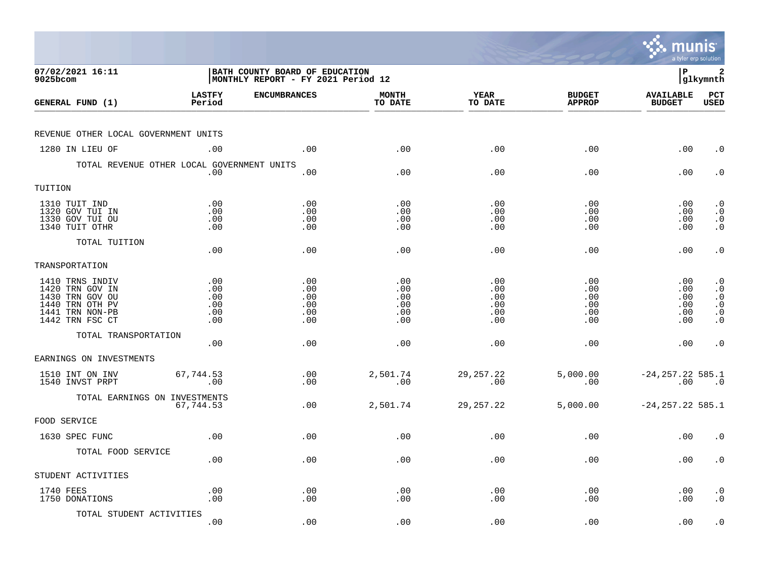|                                                                                                                |                                        |                                                                             |                                        |                                        |                                        | munis                                   | a tyler erp solution                                                                    |
|----------------------------------------------------------------------------------------------------------------|----------------------------------------|-----------------------------------------------------------------------------|----------------------------------------|----------------------------------------|----------------------------------------|-----------------------------------------|-----------------------------------------------------------------------------------------|
| 07/02/2021 16:11<br>9025bcom                                                                                   |                                        | <b>BATH COUNTY BOARD OF EDUCATION</b><br>MONTHLY REPORT - FY 2021 Period 12 |                                        |                                        |                                        | l P                                     | 2<br> glkymnth                                                                          |
| GENERAL FUND (1)                                                                                               | <b>LASTFY</b><br>Period                | <b>ENCUMBRANCES</b>                                                         | <b>MONTH</b><br>TO DATE                | YEAR<br>TO DATE                        | <b>BUDGET</b><br><b>APPROP</b>         | <b>AVAILABLE</b><br><b>BUDGET</b>       | PCT<br><b>USED</b>                                                                      |
| REVENUE OTHER LOCAL GOVERNMENT UNITS                                                                           |                                        |                                                                             |                                        |                                        |                                        |                                         |                                                                                         |
| 1280 IN LIEU OF                                                                                                | .00                                    | .00                                                                         | .00                                    | .00                                    | .00                                    | .00                                     | $\cdot$ 0                                                                               |
| TOTAL REVENUE OTHER LOCAL GOVERNMENT UNITS                                                                     | .00                                    | .00                                                                         | .00                                    | .00                                    | .00                                    | .00                                     | $\cdot$ 0                                                                               |
| TUITION                                                                                                        |                                        |                                                                             |                                        |                                        |                                        |                                         |                                                                                         |
| 1310 TUIT IND<br>1320 GOV TUI IN<br>1330 GOV TUI OU<br>1340 TUIT OTHR                                          | .00<br>.00<br>.00<br>.00               | .00<br>.00<br>.00<br>.00                                                    | .00<br>.00<br>.00<br>.00               | .00<br>.00<br>.00<br>.00               | .00<br>.00<br>.00<br>.00               | $.00 \,$<br>$.00 \,$<br>.00<br>$.00 \,$ | $\cdot$ 0<br>$\cdot$ 0<br>$\begin{smallmatrix} 0 \\ 0 \\ 0 \end{smallmatrix}$           |
| TOTAL TUITION                                                                                                  | .00                                    | .00                                                                         | .00                                    | .00                                    | .00                                    | .00                                     | $\cdot$ 0                                                                               |
| TRANSPORTATION                                                                                                 |                                        |                                                                             |                                        |                                        |                                        |                                         |                                                                                         |
| 1410 TRNS INDIV<br>1420 TRN GOV IN<br>1430 TRN GOV OU<br>1440 TRN OTH PV<br>1441 TRN NON-PB<br>1442 TRN FSC CT | .00<br>.00<br>.00<br>.00<br>.00<br>.00 | .00<br>.00<br>.00<br>.00<br>.00<br>.00                                      | .00<br>.00<br>.00<br>.00<br>.00<br>.00 | .00<br>.00<br>.00<br>.00<br>.00<br>.00 | .00<br>.00<br>.00<br>.00<br>.00<br>.00 | .00<br>.00<br>.00<br>.00<br>.00<br>.00  | $\cdot$ 0<br>$\cdot$ 0<br>$\cdot$ 0<br>$\boldsymbol{\cdot}$ 0<br>$\cdot$ 0<br>$\cdot$ 0 |
| TOTAL TRANSPORTATION                                                                                           | .00                                    | .00                                                                         | .00                                    | .00                                    | .00                                    | $.00 \,$                                | $\cdot$ 0                                                                               |
| EARNINGS ON INVESTMENTS                                                                                        |                                        |                                                                             |                                        |                                        |                                        |                                         |                                                                                         |
| 1510 INT ON INV<br>1540 INVST PRPT                                                                             | 67,744.53<br>.00                       | .00<br>.00                                                                  | 2,501.74<br>.00                        | 29, 257. 22<br>.00                     | 5,000.00<br>.00                        | $-24, 257.22 585.1$<br>.00              | $\overline{\phantom{0}}$ .0                                                             |
| TOTAL EARNINGS ON INVESTMENTS                                                                                  | 67,744.53                              | .00                                                                         | 2,501.74                               | 29, 257. 22                            | 5,000.00                               | $-24, 257.22$ 585.1                     |                                                                                         |
| FOOD SERVICE                                                                                                   |                                        |                                                                             |                                        |                                        |                                        |                                         |                                                                                         |
| 1630 SPEC FUNC                                                                                                 | .00                                    | .00                                                                         | .00                                    | .00                                    | .00                                    | .00                                     | $\cdot$ 0                                                                               |
| TOTAL FOOD SERVICE                                                                                             | .00                                    | .00                                                                         | .00                                    | .00                                    | .00                                    | $.00 \,$                                | $\cdot$ 0                                                                               |
| STUDENT ACTIVITIES                                                                                             |                                        |                                                                             |                                        |                                        |                                        |                                         |                                                                                         |
| 1740 FEES<br>1750 DONATIONS                                                                                    | .00<br>.00                             | .00<br>.00                                                                  | .00<br>.00                             | .00<br>.00                             | .00<br>.00                             | $.00 \,$<br>.00                         | $\cdot$ 0<br>$\cdot$ 0                                                                  |
| TOTAL STUDENT ACTIVITIES                                                                                       | .00                                    | .00                                                                         | .00                                    | .00                                    | .00                                    | .00                                     | $\cdot$ 0                                                                               |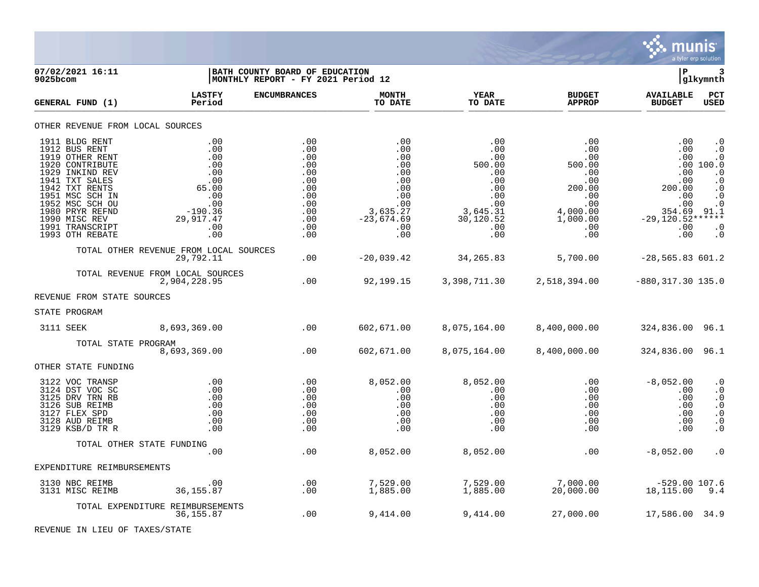

| 9025bcom | 07/02/2021 16:11                                                                                                                                                                                                                             |                                                                                                                 | BATH COUNTY BOARD OF EDUCATION<br>MONTHLY REPORT - FY 2021 Period 12                    |                                                                                                       |                                                                                                     |                                                                                                         |                                                                                                       |                                                                                                                                                |  |
|----------|----------------------------------------------------------------------------------------------------------------------------------------------------------------------------------------------------------------------------------------------|-----------------------------------------------------------------------------------------------------------------|-----------------------------------------------------------------------------------------|-------------------------------------------------------------------------------------------------------|-----------------------------------------------------------------------------------------------------|---------------------------------------------------------------------------------------------------------|-------------------------------------------------------------------------------------------------------|------------------------------------------------------------------------------------------------------------------------------------------------|--|
|          | GENERAL FUND (1)                                                                                                                                                                                                                             | <b>LASTFY</b><br>Period                                                                                         | <b>ENCUMBRANCES</b>                                                                     | <b>MONTH</b><br>TO DATE                                                                               | <b>YEAR</b><br>TO DATE                                                                              | <b>BUDGET</b><br><b>APPROP</b>                                                                          | <b>AVAILABLE</b><br><b>BUDGET</b>                                                                     | PCT<br>USED                                                                                                                                    |  |
|          | OTHER REVENUE FROM LOCAL SOURCES                                                                                                                                                                                                             |                                                                                                                 |                                                                                         |                                                                                                       |                                                                                                     |                                                                                                         |                                                                                                       |                                                                                                                                                |  |
|          | 1911 BLDG RENT<br>1912 BUS RENT<br>1919 OTHER RENT<br>1920 CONTRIBUTE<br>1929 INKIND REV<br>1941 TXT SALES<br>1942 TXT RENTS<br>1951 MSC SCH IN<br>1952 MSC SCH OU<br>1980 PRYR REFND<br>1990 MISC REV<br>1991 TRANSCRIPT<br>1993 OTH REBATE | .00<br>.00<br>.00<br>.00<br>.00<br>.00<br>65.00<br>.00<br>.00<br>$-190.36$<br>29,917.47<br>.00<br>.00           | .00<br>.00<br>.00<br>.00<br>.00<br>.00<br>.00<br>.00<br>.00<br>.00<br>.00<br>.00<br>.00 | .00<br>.00<br>.00<br>.00<br>.00<br>.00<br>.00<br>.00<br>.00<br>3,635.27<br>$-23,674.69$<br>.00<br>.00 | .00<br>.00<br>.00<br>500.00<br>.00<br>.00<br>.00<br>.00<br>3,645.31<br>30,120.52<br>$.00 \,$<br>.00 | .00<br>.00<br>.00<br>500.00<br>.00<br>.00<br>200.00<br>.00<br>.00<br>4,000.00<br>1,000.00<br>.00<br>.00 | .00<br>.00<br>.00<br>.00<br>.00<br>200.00<br>.00<br>.00<br>354.69<br>$-29,120.52******$<br>.00<br>.00 | $\cdot$ 0<br>$\cdot$ 0<br>$\cdot$ 0<br>.00 100.0<br>$\cdot$ 0<br>$\cdot$ 0<br>$\cdot$ 0<br>$\cdot$ 0<br>$.0$<br>91.1<br>$\cdot$ 0<br>$\cdot$ 0 |  |
|          |                                                                                                                                                                                                                                              | TOTAL OTHER REVENUE FROM LOCAL SOURCES<br>29,792.11                                                             | .00                                                                                     | $-20,039.42$                                                                                          | 34, 265.83                                                                                          | 5,700.00                                                                                                | $-28,565.83$ 601.2                                                                                    |                                                                                                                                                |  |
|          |                                                                                                                                                                                                                                              | TOTAL REVENUE FROM LOCAL SOURCES<br>2,904,228.95                                                                | .00                                                                                     |                                                                                                       |                                                                                                     | 92,199.15 3,398,711.30 2,518,394.00                                                                     | $-880, 317.30$ 135.0                                                                                  |                                                                                                                                                |  |
|          | REVENUE FROM STATE SOURCES                                                                                                                                                                                                                   |                                                                                                                 |                                                                                         |                                                                                                       |                                                                                                     |                                                                                                         |                                                                                                       |                                                                                                                                                |  |
|          | STATE PROGRAM                                                                                                                                                                                                                                |                                                                                                                 |                                                                                         |                                                                                                       |                                                                                                     |                                                                                                         |                                                                                                       |                                                                                                                                                |  |
|          | 3111 SEEK                                                                                                                                                                                                                                    | 8,693,369.00                                                                                                    | $\sim$ 00                                                                               | 602,671.00                                                                                            | 8,075,164.00                                                                                        | 8,400,000.00                                                                                            | 324,836.00 96.1                                                                                       |                                                                                                                                                |  |
|          | TOTAL STATE PROGRAM                                                                                                                                                                                                                          | 8,693,369.00                                                                                                    | .00                                                                                     | 602,671.00                                                                                            | 8,075,164.00                                                                                        | 8,400,000.00                                                                                            | 324,836.00 96.1                                                                                       |                                                                                                                                                |  |
|          | OTHER STATE FUNDING                                                                                                                                                                                                                          |                                                                                                                 |                                                                                         |                                                                                                       |                                                                                                     |                                                                                                         |                                                                                                       |                                                                                                                                                |  |
|          | 3122 VOC TRANSP<br>3124 DST VOC SC<br>3125 DRV TRN RB<br>3126 SUB REIMB<br>3127 FLEX SPD<br>3128 AUD REIMB<br>3129 KSB/D TR R                                                                                                                | $\overline{\phantom{0}}$ .00<br>.00<br>$\begin{array}{c} 0.00 \\ -0.00 \end{array}$<br>.00<br>.00<br>.00<br>.00 | .00<br>.00<br>.00<br>.00<br>.00<br>.00<br>.00                                           | 8,052.00<br>.00<br>.00<br>.00<br>.00<br>.00<br>.00                                                    | 8,052.00<br>.00<br>.00<br>$\,.\,00$<br>.00<br>.00<br>.00                                            | $.00 \,$<br>.00<br>$.00 \,$<br>$.00 \,$<br>.00<br>.00<br>.00                                            | $-8,052.00$<br>.00<br>.00<br>.00<br>.00<br>.00<br>.00                                                 | $\cdot$ 0<br>$\cdot$ 0<br>$\boldsymbol{\cdot}$ 0<br>$\cdot$ 0<br>$\cdot$ 0<br>$\cdot$ 0<br>$\cdot$ 0                                           |  |
|          | TOTAL OTHER STATE FUNDING                                                                                                                                                                                                                    |                                                                                                                 |                                                                                         |                                                                                                       |                                                                                                     |                                                                                                         |                                                                                                       |                                                                                                                                                |  |
|          | EXPENDITURE REIMBURSEMENTS                                                                                                                                                                                                                   | .00                                                                                                             | .00                                                                                     | 8,052.00                                                                                              | 8,052.00                                                                                            | .00                                                                                                     | $-8,052.00$                                                                                           | $\boldsymbol{\cdot}$ 0                                                                                                                         |  |
|          |                                                                                                                                                                                                                                              |                                                                                                                 |                                                                                         |                                                                                                       |                                                                                                     |                                                                                                         |                                                                                                       |                                                                                                                                                |  |
|          | 3130 NBC REIMB<br>3131 MISC REIMB                                                                                                                                                                                                            | .00<br>36, 155.87                                                                                               | .00<br>.00                                                                              | 7,529.00<br>1,885.00                                                                                  | 7,529.00<br>1,885.00                                                                                | 7,000.00<br>20,000.00                                                                                   | 529.00 107.6 -<br>18,115.00 9.4                                                                       |                                                                                                                                                |  |
|          |                                                                                                                                                                                                                                              | TOTAL EXPENDITURE REIMBURSEMENTS<br>36, 155.87                                                                  | .00                                                                                     | 9,414.00                                                                                              | 9,414.00                                                                                            | 27,000.00                                                                                               | 17,586.00 34.9                                                                                        |                                                                                                                                                |  |

REVENUE IN LIEU OF TAXES/STATE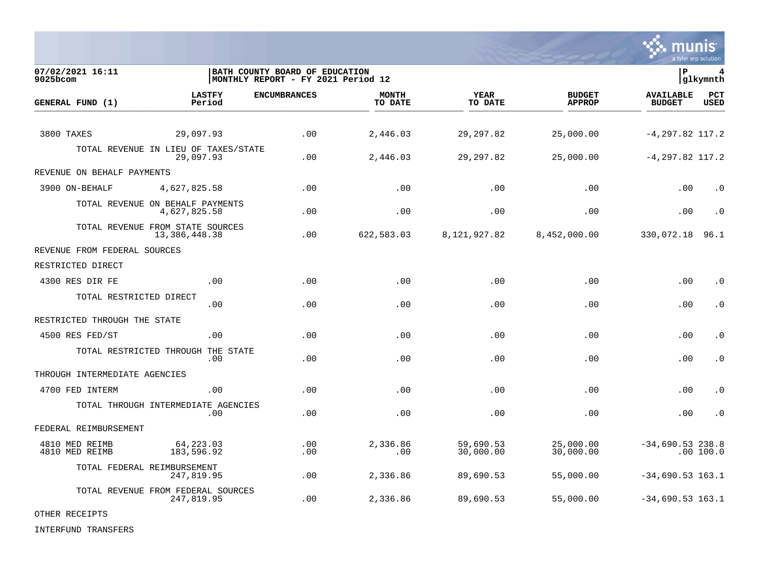

| 07/02/2021 16:11<br>9025bcom     |                                                   | BATH COUNTY BOARD OF EDUCATION<br>MONTHLY REPORT - FY 2021 Period 12 |                         |                        |                                | lР                                | 4<br> glkymnth |
|----------------------------------|---------------------------------------------------|----------------------------------------------------------------------|-------------------------|------------------------|--------------------------------|-----------------------------------|----------------|
| GENERAL FUND (1)                 | <b>LASTFY</b><br>Period                           | <b>ENCUMBRANCES</b>                                                  | <b>MONTH</b><br>TO DATE | <b>YEAR</b><br>TO DATE | <b>BUDGET</b><br><b>APPROP</b> | <b>AVAILABLE</b><br><b>BUDGET</b> | PCT<br>USED    |
| 3800 TAXES                       | 29,097.93                                         | .00                                                                  | 2,446.03                | 29, 297.82             | 25,000.00                      | $-4, 297.82$ 117.2                |                |
|                                  | TOTAL REVENUE IN LIEU OF TAXES/STATE<br>29,097.93 | .00                                                                  | 2,446.03                | 29, 297.82             | 25,000.00                      | $-4, 297.82$ 117.2                |                |
| REVENUE ON BEHALF PAYMENTS       |                                                   |                                                                      |                         |                        |                                |                                   |                |
| 3900 ON-BEHALF                   | 4,627,825.58                                      | .00                                                                  | .00                     | .00                    | .00                            | .00                               | $\cdot$ 0      |
|                                  | TOTAL REVENUE ON BEHALF PAYMENTS<br>4,627,825.58  | .00                                                                  | .00                     | .00                    | .00                            | .00                               | $\cdot$ 0      |
|                                  | TOTAL REVENUE FROM STATE SOURCES<br>13,386,448.38 | .00                                                                  | 622,583.03              | 8,121,927.82           | 8,452,000.00                   | 330,072.18                        | 96.1           |
| REVENUE FROM FEDERAL SOURCES     |                                                   |                                                                      |                         |                        |                                |                                   |                |
| RESTRICTED DIRECT                |                                                   |                                                                      |                         |                        |                                |                                   |                |
| 4300 RES DIR FE                  | .00                                               | .00                                                                  | .00                     | .00                    | .00                            | .00                               | . 0            |
| TOTAL RESTRICTED DIRECT          | .00.                                              | .00                                                                  | .00                     | .00                    | .00                            | .00                               | $\cdot$ 0      |
| RESTRICTED THROUGH THE STATE     |                                                   |                                                                      |                         |                        |                                |                                   |                |
| 4500 RES FED/ST                  | .00                                               | .00                                                                  | .00                     | .00                    | .00                            | .00                               | $\cdot$ 0      |
|                                  | TOTAL RESTRICTED THROUGH THE STATE<br>.00         | .00                                                                  | .00                     | .00                    | .00                            | .00                               | . 0            |
| THROUGH INTERMEDIATE AGENCIES    |                                                   |                                                                      |                         |                        |                                |                                   |                |
| 4700 FED INTERM                  | .00                                               | .00                                                                  | .00                     | .00                    | .00                            | .00                               | $\cdot$ 0      |
|                                  | TOTAL THROUGH INTERMEDIATE AGENCIES<br>.00        | .00                                                                  | .00                     | .00                    | .00                            | .00                               | $\cdot$ 0      |
| FEDERAL REIMBURSEMENT            |                                                   |                                                                      |                         |                        |                                |                                   |                |
| 4810 MED REIMB<br>4810 MED REIMB | 64,223.03<br>183,596.92                           | .00<br>.00                                                           | 2,336.86<br>.00         | 59,690.53<br>30,000.00 | 25,000.00<br>30,000.00         | $-34,690.53$ 238.8                | .00 100.0      |
|                                  | TOTAL FEDERAL REIMBURSEMENT<br>247,819.95         | .00                                                                  | 2,336.86                | 89,690.53              | 55,000.00                      | $-34,690.53$ 163.1                |                |
|                                  | TOTAL REVENUE FROM FEDERAL SOURCES<br>247,819.95  | .00                                                                  | 2,336.86                | 89,690.53              | 55,000.00                      | $-34,690.53$ 163.1                |                |

OTHER RECEIPTS

INTERFUND TRANSFERS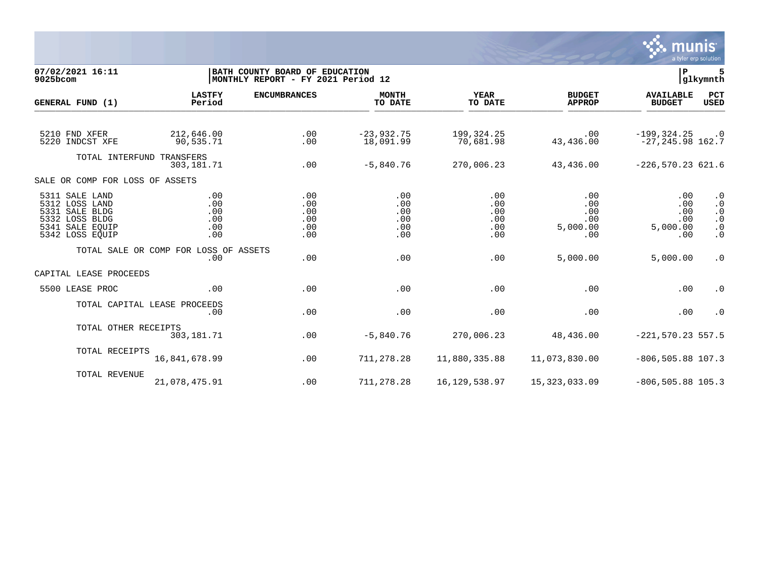

| 07/02/2021 16:11<br>9025bcom                                                                               |                                              | BATH COUNTY BOARD OF EDUCATION<br>MONTHLY REPORT - FY 2021 Period 12 |                                        |                                        |                                             |                                             |                                                                            |
|------------------------------------------------------------------------------------------------------------|----------------------------------------------|----------------------------------------------------------------------|----------------------------------------|----------------------------------------|---------------------------------------------|---------------------------------------------|----------------------------------------------------------------------------|
| GENERAL FUND (1)                                                                                           | <b>LASTFY</b><br>Period                      | <b>ENCUMBRANCES</b>                                                  | <b>MONTH</b><br>TO DATE                | <b>YEAR</b><br>TO DATE                 | <b>BUDGET</b><br><b>APPROP</b>              | <b>AVAILABLE</b><br><b>BUDGET</b>           | PCT<br><b>USED</b>                                                         |
|                                                                                                            |                                              |                                                                      |                                        |                                        |                                             |                                             |                                                                            |
| 5210 FND XFER<br>5220 INDCST XFE                                                                           | 212,646.00<br>90,535.71                      | .00<br>.00                                                           | $-23,932.75$<br>18,091.99              | 199,324.25<br>70,681.98                | .00<br>43,436.00                            | $-199, 324.25$<br>$-27, 245.98$ 162.7       | $\cdot$ 0                                                                  |
| TOTAL INTERFUND TRANSFERS                                                                                  |                                              |                                                                      |                                        |                                        |                                             |                                             |                                                                            |
|                                                                                                            | 303,181.71                                   | .00                                                                  | $-5,840.76$                            | 270,006.23                             | 43,436.00                                   | $-226,570.23621.6$                          |                                                                            |
| SALE OR COMP FOR LOSS OF ASSETS                                                                            |                                              |                                                                      |                                        |                                        |                                             |                                             |                                                                            |
| 5311 SALE LAND<br>5312 LOSS LAND<br>5331 SALE BLDG<br>5332 LOSS BLDG<br>5341 SALE EQUIP<br>5342 LOSS EQUIP | .00<br>.00<br>.00<br>.00<br>.00<br>.00       | .00<br>.00<br>.00<br>.00<br>.00<br>.00                               | .00<br>.00<br>.00<br>.00<br>.00<br>.00 | .00<br>.00<br>.00<br>.00<br>.00<br>.00 | .00<br>.00<br>.00<br>.00<br>5,000.00<br>.00 | .00<br>.00<br>.00<br>.00<br>5,000.00<br>.00 | $\cdot$ 0<br>$\cdot$ 0<br>$\cdot$ 0<br>$\cdot$ 0<br>$\cdot$ 0<br>$\cdot$ 0 |
|                                                                                                            | TOTAL SALE OR COMP FOR LOSS OF ASSETS<br>.00 | .00                                                                  | .00                                    | .00                                    | 5,000.00                                    | 5,000.00                                    | $\cdot$ 0                                                                  |
| CAPITAL LEASE PROCEEDS                                                                                     |                                              |                                                                      |                                        |                                        |                                             |                                             |                                                                            |
| 5500 LEASE PROC                                                                                            | .00                                          | .00                                                                  | .00                                    | .00                                    | .00                                         | .00                                         | $\cdot$ 0                                                                  |
|                                                                                                            | TOTAL CAPITAL LEASE PROCEEDS<br>.00          | .00                                                                  | .00                                    | .00                                    | .00                                         | .00                                         | $\cdot$ 0                                                                  |
| TOTAL OTHER RECEIPTS                                                                                       | 303,181.71                                   | .00                                                                  | $-5,840.76$                            | 270,006.23                             | 48,436.00                                   | $-221, 570.23$ 557.5                        |                                                                            |
| TOTAL RECEIPTS                                                                                             | 16,841,678.99                                | .00                                                                  | 711,278.28                             | 11,880,335.88                          | 11,073,830.00                               | $-806, 505.88$ 107.3                        |                                                                            |
| <b>TOTAL REVENUE</b>                                                                                       | 21,078,475.91                                | .00                                                                  | 711,278.28                             | 16, 129, 538.97                        | 15, 323, 033.09                             | $-806, 505.88$ 105.3                        |                                                                            |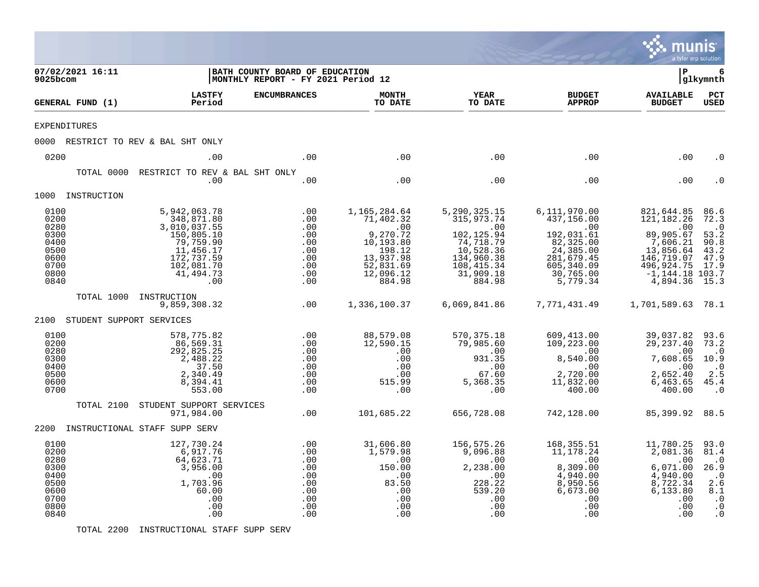|                                                                              |                          |                                                                                                                                                                   |                                                                                 |                                                                                                                                      |                                                                                                                                                   |                                                                                                                                                       | munis<br>a tyler erp solution                                                                                                                              |                                                                                                     |
|------------------------------------------------------------------------------|--------------------------|-------------------------------------------------------------------------------------------------------------------------------------------------------------------|---------------------------------------------------------------------------------|--------------------------------------------------------------------------------------------------------------------------------------|---------------------------------------------------------------------------------------------------------------------------------------------------|-------------------------------------------------------------------------------------------------------------------------------------------------------|------------------------------------------------------------------------------------------------------------------------------------------------------------|-----------------------------------------------------------------------------------------------------|
| 9025bcom                                                                     | 07/02/2021 16:11         |                                                                                                                                                                   | BATH COUNTY BOARD OF EDUCATION<br>MONTHLY REPORT - FY 2021 Period 12            |                                                                                                                                      |                                                                                                                                                   |                                                                                                                                                       | l P                                                                                                                                                        | 6<br> glkymnth                                                                                      |
|                                                                              | GENERAL FUND (1)         | <b>LASTFY</b><br>Period                                                                                                                                           | <b>ENCUMBRANCES</b>                                                             | <b>MONTH</b><br>TO DATE                                                                                                              | <b>YEAR</b><br>TO DATE                                                                                                                            | <b>BUDGET</b><br><b>APPROP</b>                                                                                                                        | <b>AVAILABLE</b><br><b>BUDGET</b>                                                                                                                          | PCT<br><b>USED</b>                                                                                  |
|                                                                              | <b>EXPENDITURES</b>      |                                                                                                                                                                   |                                                                                 |                                                                                                                                      |                                                                                                                                                   |                                                                                                                                                       |                                                                                                                                                            |                                                                                                     |
|                                                                              |                          | 0000 RESTRICT TO REV & BAL SHT ONLY                                                                                                                               |                                                                                 |                                                                                                                                      |                                                                                                                                                   |                                                                                                                                                       |                                                                                                                                                            |                                                                                                     |
| 0200                                                                         |                          | .00                                                                                                                                                               | .00                                                                             | .00                                                                                                                                  | .00                                                                                                                                               | .00                                                                                                                                                   | .00                                                                                                                                                        | . 0                                                                                                 |
|                                                                              | TOTAL 0000               | RESTRICT TO REV & BAL SHT ONLY<br>.00                                                                                                                             | .00                                                                             | .00                                                                                                                                  | .00                                                                                                                                               | .00                                                                                                                                                   | .00                                                                                                                                                        |                                                                                                     |
|                                                                              | 1000 INSTRUCTION         |                                                                                                                                                                   |                                                                                 |                                                                                                                                      |                                                                                                                                                   |                                                                                                                                                       |                                                                                                                                                            |                                                                                                     |
| 0100<br>0200<br>0280<br>0300<br>0400<br>0500<br>0600<br>0700<br>0800<br>0840 | TOTAL 1000               | 5,942,063.78<br>348,871.80<br>3,010,037.55<br>150,805.10<br>79,759.90<br>11,456.17<br>172,737.59<br>102,081.70<br>41,494.73<br>.00<br>INSTRUCTION<br>9,859,308.32 | .00<br>.00<br>.00<br>.00<br>.00<br>.00<br>.00<br>.00<br>.00<br>.00<br>$\sim 00$ | 1,165,284.64<br>71,402.32<br>.00<br>9,270.72<br>10,193.80<br>198.12<br>13,937.98<br>52,831.69<br>12,096.12<br>884.98<br>1,336,100.37 | 5,290,325.15<br>315,973.74<br>.00<br>102,125.94<br>$74, 718.79$<br>10,528.36<br>134,960.38<br>108, 415. 34<br>31,909.18<br>884.98<br>6,069,841.86 | 6,111,970.00<br>437,156.00<br>$\sim 00$<br>192,031.61<br>82,325.00<br>24, 385.00<br>281,679.45<br>605,340.09<br>30,765.00<br>5,779.34<br>7,771,431.49 | 821,644.85<br>121, 182. 26<br>.00<br>89,905.67<br>7,606.21<br>13,856.64<br>146,719.07<br>496,924.75<br>$-1, 144.18$ 103.7<br>4,894.36<br>1,701,589.63 78.1 | 86.6<br>72.3<br>$\cdot$ 0<br>53.2<br>90.8<br>43.2<br>47.9<br>17.9<br>15.3                           |
| 2100                                                                         | STUDENT SUPPORT SERVICES |                                                                                                                                                                   |                                                                                 |                                                                                                                                      |                                                                                                                                                   |                                                                                                                                                       |                                                                                                                                                            |                                                                                                     |
| 0100<br>0200<br>0280<br>0300<br>0400<br>0500<br>0600<br>0700                 |                          | 578,775.82<br>86,569.31<br>292,825.25<br>2,488.22<br>37.50<br>2,340.49<br>8,394.41<br>553.00                                                                      | .00<br>.00<br>.00<br>.00<br>.00<br>.00<br>.00<br>.00                            | 88,579.08<br>12,590.15<br>.00<br>.00<br>.00<br>.00<br>515.99<br>.00                                                                  | 570, 375. 18<br>79,985.60<br>.00<br>931.35<br>.00<br>67.60<br>5,368.35<br>.00                                                                     | 609,413.00<br>109,223.00<br>.00<br>8,540.00<br>$.00 \,$<br>2,720.00<br>11,832.00<br>400.00                                                            | 39,037.82<br>29, 237.40<br>.00<br>7,608.65<br>.00<br>2,652.40<br>6,463.65<br>400.00                                                                        | 93.6<br>73.2<br>$\cdot$ 0<br>10.9<br>$\cdot$ <sup>0</sup><br>2.5<br>45.4<br>$\cdot$ 0               |
|                                                                              | TOTAL 2100               | STUDENT SUPPORT SERVICES<br>971,984.00                                                                                                                            | .00                                                                             | 101,685.22                                                                                                                           | 656,728.08                                                                                                                                        | 742,128.00                                                                                                                                            | 85,399.92                                                                                                                                                  | 88.5                                                                                                |
|                                                                              |                          | 2200 INSTRUCTIONAL STAFF SUPP SERV                                                                                                                                |                                                                                 |                                                                                                                                      |                                                                                                                                                   |                                                                                                                                                       |                                                                                                                                                            |                                                                                                     |
| 0100<br>0200<br>0280<br>0300<br>0400<br>0500<br>0600<br>0700<br>0800<br>0840 |                          | 127,730.24<br>6,917.76<br>64,623.71<br>3,956.00<br>.00<br>1,703.96<br>60.00<br>.00<br>.00<br>.00                                                                  | .00<br>.00<br>.00<br>.00<br>.00<br>.00<br>.00<br>.00<br>.00<br>.00              | 31,606.80<br>1,579.98<br>.00<br>150.00<br>.00<br>83.50<br>.00<br>.00<br>.00<br>.00                                                   | 156,575.26<br>9,096.88<br>.00<br>2,238.00<br>.00<br>228.22<br>539.20<br>.00<br>.00<br>.00                                                         | 168,355.51<br>11,178.24<br>.00<br>8,309.00<br>4,940.00<br>8,950.56<br>6,673.00<br>.00<br>.00<br>.00                                                   | 11,780.25<br>2,081.36<br>.00<br>6,071.00<br>4,940.00<br>8,722.34<br>6,133.80<br>.00<br>.00<br>.00                                                          | 93.0<br>81.4<br>$\cdot$ 0<br>26.9<br>$\cdot$ 0<br>2.6<br>8.1<br>$\cdot$ 0<br>$\cdot$ 0<br>$\cdot$ 0 |

TOTAL 2200 INSTRUCTIONAL STAFF SUPP SERV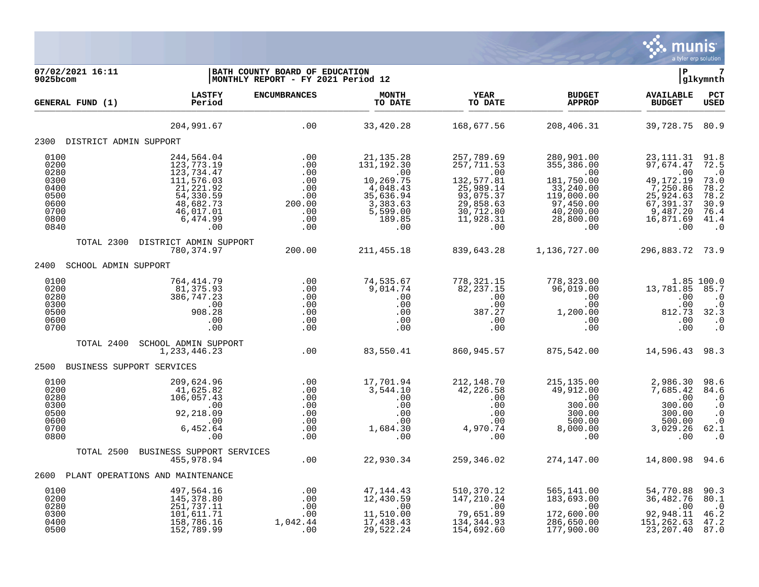

| 07/02/2021 16:11<br>9025bcom                                         |                                                                                                                      | BATH COUNTY BOARD OF EDUCATION<br>MONTHLY REPORT - FY 2021 Period 12 |                                                                                                           |                                                                                                                |                                                                                                                  | $\mathbf{P}$                                                                                                 | glkymnth                                                                              |
|----------------------------------------------------------------------|----------------------------------------------------------------------------------------------------------------------|----------------------------------------------------------------------|-----------------------------------------------------------------------------------------------------------|----------------------------------------------------------------------------------------------------------------|------------------------------------------------------------------------------------------------------------------|--------------------------------------------------------------------------------------------------------------|---------------------------------------------------------------------------------------|
| GENERAL FUND (1)                                                     | <b>LASTFY</b><br>Period                                                                                              | <b>ENCUMBRANCES</b>                                                  | <b>MONTH</b><br>TO DATE                                                                                   | <b>YEAR</b><br>TO DATE                                                                                         | <b>BUDGET</b><br><b>APPROP</b>                                                                                   | <b>AVAILABLE</b><br><b>BUDGET</b>                                                                            | PCT<br>USED                                                                           |
|                                                                      | 204,991.67                                                                                                           | .00                                                                  | 33,420.28                                                                                                 | 168,677.56                                                                                                     | 208,406.31                                                                                                       | 39,728.75 80.9                                                                                               |                                                                                       |
| 2300 DISTRICT ADMIN SUPPORT                                          |                                                                                                                      |                                                                      |                                                                                                           |                                                                                                                |                                                                                                                  |                                                                                                              |                                                                                       |
| 0100<br>0200<br>0280<br>0300<br>0400<br>0500<br>0600<br>0700<br>0800 | 244,564.04<br>123,773.19<br>123,734.47<br>111,576.03<br>21,221.92<br>54,330.59<br>48,682.73<br>46,017.01<br>6,474.99 | .00<br>.00<br>.00<br>.00<br>.00<br>.00<br>200.00<br>.00<br>.00       | 21, 135. 28<br>131, 192.30<br>.00<br>10,269.75<br>4,048.43<br>35,636.94<br>3,383.63<br>5,599.00<br>189.85 | 257,789.69<br>257,711.53<br>.00<br>132,577.81<br>25,989.14<br>93,075.37<br>29,858.63<br>30,712.80<br>11,928.31 | 280,901.00<br>355, 386.00<br>.00<br>181,750.00<br>33,240.00<br>119,000.00<br>97,450.00<br>40,200.00<br>28,800.00 | 23, 111.31<br>97,674.47<br>.00<br>49, 172. 19<br>7,250.86<br>25,924.63<br>67,391.37<br>9,487.20<br>16,871.69 | 91.8<br>72.5<br>$\cdot$ 0<br>73.0<br>78.2<br>78.2<br>$\frac{30.9}{76.4}$<br>41.4      |
| 0840                                                                 | .00                                                                                                                  | .00                                                                  | .00                                                                                                       | .00                                                                                                            | .00                                                                                                              | .00                                                                                                          | $\cdot$ 0                                                                             |
| TOTAL 2300                                                           | DISTRICT ADMIN SUPPORT<br>780,374.97                                                                                 | 200.00                                                               | 211,455.18                                                                                                | 839,643.28                                                                                                     | 1,136,727.00                                                                                                     | 296,883.72 73.9                                                                                              |                                                                                       |
| 2400<br>SCHOOL ADMIN SUPPORT                                         |                                                                                                                      |                                                                      |                                                                                                           |                                                                                                                |                                                                                                                  |                                                                                                              |                                                                                       |
| 0100<br>0200<br>0280<br>0300<br>0500<br>0600<br>0700                 | 764,414.79<br>81,375.93<br>386,747.23<br>.00<br>908.28<br>.00<br>.00                                                 | .00<br>.00<br>.00<br>.00<br>.00<br>.00<br>.00                        | 74,535.67<br>9,014.74<br>.00<br>.00<br>.00<br>.00<br>.00                                                  | 778,321.15<br>82, 237.15<br>.00<br>.00<br>387.27<br>.00<br>.00                                                 | 778,323.00<br>96,019.00<br>.00<br>.00<br>1,200.00<br>.00<br>.00                                                  | 13,781.85<br>.00<br>.00<br>812.73<br>.00<br>.00                                                              | 1.85 100.0<br>85.7<br>$\cdot$ 0<br>$\cdot$ 0<br>32.3<br>$\cdot$ 0<br>$\cdot$ 0        |
| TOTAL 2400                                                           | SCHOOL ADMIN SUPPORT<br>1,233,446.23                                                                                 | .00                                                                  | 83,550.41                                                                                                 | 860,945.57                                                                                                     | 875,542.00                                                                                                       | 14,596.43 98.3                                                                                               |                                                                                       |
| 2500 BUSINESS SUPPORT SERVICES                                       |                                                                                                                      |                                                                      |                                                                                                           |                                                                                                                |                                                                                                                  |                                                                                                              |                                                                                       |
| 0100<br>0200<br>0280<br>0300<br>0500<br>0600<br>0700<br>0800         | 209,624.96<br>41,625.82<br>106,057.43<br>.00<br>92,218.09<br>.00<br>6,452.64<br>.00                                  | .00<br>.00<br>.00<br>.00<br>.00<br>.00<br>.00<br>.00                 | 17,701.94<br>3,544.10<br>.00<br>.00<br>.00<br>.00<br>1,684.30<br>.00                                      | 212,148.70<br>42,226.58<br>.00<br>.00<br>.00<br>.00<br>4,970.74<br>.00                                         | 215, 135.00<br>49,912.00<br>$.00 \,$<br>300.00<br>300.00<br>500.00<br>8,000.00<br>.00                            | 2,986.30<br>7,685.42<br>.00<br>300.00<br>300.00<br>500.00<br>3,029.26<br>.00                                 | 98.6<br>84.6<br>$\cdot$ 0<br>$\cdot$ 0<br>$\cdot$ 0<br>$\cdot$ 0<br>62.1<br>$\cdot$ 0 |
| TOTAL 2500                                                           | BUSINESS SUPPORT SERVICES                                                                                            |                                                                      |                                                                                                           |                                                                                                                |                                                                                                                  |                                                                                                              |                                                                                       |
| 2600                                                                 | 455,978.94<br>PLANT OPERATIONS AND MAINTENANCE                                                                       | .00                                                                  | 22,930.34                                                                                                 | 259,346.02                                                                                                     | 274,147.00                                                                                                       | 14,800.98 94.6                                                                                               |                                                                                       |
| 0100                                                                 | 497,564.16                                                                                                           | .00                                                                  | 47,144.43                                                                                                 | 510,370.12                                                                                                     | 565,141.00                                                                                                       | 54,770.88                                                                                                    | 90.3                                                                                  |
| 0200<br>0280<br>0300<br>0400<br>0500                                 | 145,378.80<br>251,737.11<br>101,611.71<br>158,786.16<br>152,789.99                                                   | .00<br>.00<br>.00<br>1,042.44<br>.00                                 | 12,430.59<br>.00<br>11,510.00<br>17,438.43<br>29,522.24                                                   | 147,210.24<br>.00<br>79,651.89<br>134, 344. 93<br>154,692.60                                                   | 183,693.00<br>.00<br>172,600.00<br>286,650.00<br>177,900.00                                                      | 36,482.76<br>.00<br>92,948.11<br>151,262.63<br>23, 207.40                                                    | 80.1<br>$\ddot{\phantom{0}}$ .0<br>46.2<br>47.2<br>87.0                               |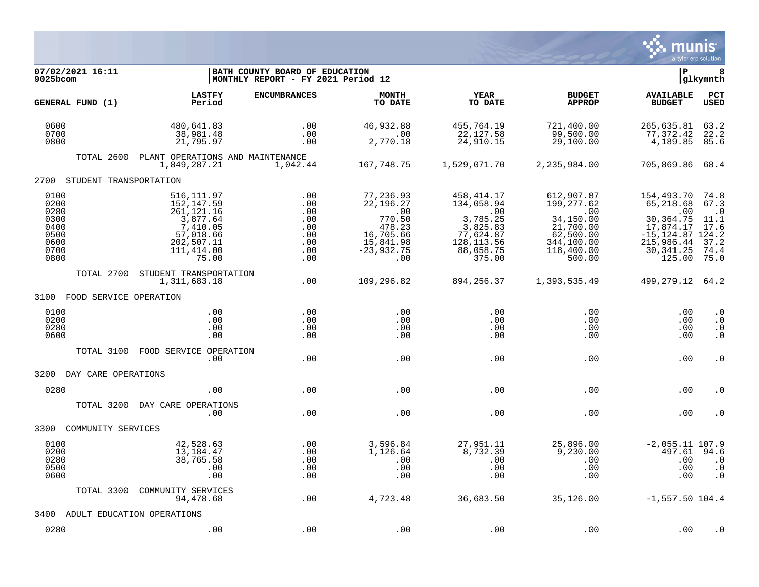

| 07/02/2021 16:11<br>9025bcom                                         |                                                                                                                   | BATH COUNTY BOARD OF EDUCATION<br>MONTHLY REPORT - FY 2021 Period 12 |                                                                                                            |                                                                                                                 |                                                                                                              | lР                                                                                                                      | 8<br> glkymnth                                                    |
|----------------------------------------------------------------------|-------------------------------------------------------------------------------------------------------------------|----------------------------------------------------------------------|------------------------------------------------------------------------------------------------------------|-----------------------------------------------------------------------------------------------------------------|--------------------------------------------------------------------------------------------------------------|-------------------------------------------------------------------------------------------------------------------------|-------------------------------------------------------------------|
| GENERAL FUND (1)                                                     | <b>LASTFY</b><br>Period                                                                                           | <b>ENCUMBRANCES</b>                                                  | <b>MONTH</b><br>TO DATE                                                                                    | YEAR<br>TO DATE                                                                                                 | <b>BUDGET</b><br><b>APPROP</b>                                                                               | <b>AVAILABLE</b><br><b>BUDGET</b>                                                                                       | PCT<br><b>USED</b>                                                |
| 0600<br>0700<br>0800                                                 | 480,641.83<br>38,981.48<br>21,795.97                                                                              | .00<br>.00<br>.00                                                    | 46,932.88<br>.00<br>2,770.18                                                                               | 455,764.19<br>22,127.58<br>24,910.15                                                                            | 721,400.00<br>99,500.00<br>29,100.00                                                                         | 265,635.81<br>77, 372.42<br>4,189.85                                                                                    | 63.2<br>22.2<br>85.6                                              |
| TOTAL 2600                                                           | PLANT OPERATIONS AND MAINTENANCE<br>1,849,287.21                                                                  | 1,042.44                                                             | 167,748.75                                                                                                 | 1,529,071.70                                                                                                    | 2,235,984.00                                                                                                 | 705,869.86 68.4                                                                                                         |                                                                   |
| 2700 STUDENT TRANSPORTATION                                          |                                                                                                                   |                                                                      |                                                                                                            |                                                                                                                 |                                                                                                              |                                                                                                                         |                                                                   |
| 0100<br>0200<br>0280<br>0300<br>0400<br>0500<br>0600<br>0700<br>0800 | 516, 111.97<br>152,147.59<br>261,121.16<br>3,877.64<br>7,410.05<br>57,018.66<br>202,507.11<br>111,414.00<br>75.00 | .00<br>.00<br>.00<br>.00<br>.00<br>.00<br>.00<br>.00<br>.00          | 77,236.93<br>22,196.27<br>$\ldots$ 00<br>770.50<br>478.23<br>16,705.66<br>15,841.98<br>$-23,932.75$<br>.00 | 458,414.17<br>134,058.94<br>$\ldots$<br>3,785.25<br>3,825.83<br>77,624.87<br>128, 113.56<br>88,058.75<br>375.00 | 612,907.87<br>199,277.62<br>.00<br>34,150.00<br>21,700.00<br>62,500.00<br>344,100.00<br>118,400.00<br>500.00 | 154,493.70<br>65,218.68<br>.00<br>30, 364. 75<br>17,874.17<br>$-15, 124.87$ 124.2<br>215,986.44<br>30, 341.25<br>125.00 | 74.8<br>67.3<br>$\cdot$ 0<br>11.1<br>17.6<br>37.2<br>74.4<br>75.0 |
| TOTAL 2700                                                           | STUDENT TRANSPORTATION<br>1,311,683.18                                                                            | .00                                                                  | 109,296.82                                                                                                 | 894, 256. 37                                                                                                    | 1,393,535.49                                                                                                 | 499,279.12 64.2                                                                                                         |                                                                   |
| 3100 FOOD SERVICE OPERATION                                          |                                                                                                                   |                                                                      |                                                                                                            |                                                                                                                 |                                                                                                              |                                                                                                                         |                                                                   |
| 0100<br>0200<br>0280<br>0600                                         | .00<br>.00<br>.00<br>.00                                                                                          | .00<br>.00<br>.00<br>.00                                             | .00<br>.00<br>.00<br>.00                                                                                   | .00<br>.00<br>.00<br>.00                                                                                        | .00<br>.00<br>$.00 \,$<br>.00                                                                                | .00<br>.00<br>.00<br>.00                                                                                                | $\cdot$ 0<br>$\cdot$ 0<br>$\cdot$ 0<br>$\cdot$ 0                  |
| TOTAL 3100                                                           | FOOD SERVICE OPERATION<br>.00                                                                                     | .00                                                                  | .00                                                                                                        | .00                                                                                                             | .00                                                                                                          | .00                                                                                                                     | $\cdot$ 0                                                         |
| 3200 DAY CARE OPERATIONS                                             |                                                                                                                   |                                                                      |                                                                                                            |                                                                                                                 |                                                                                                              |                                                                                                                         |                                                                   |
| 0280                                                                 | .00                                                                                                               | .00                                                                  | .00                                                                                                        | .00                                                                                                             | .00                                                                                                          | .00                                                                                                                     | . 0                                                               |
| TOTAL 3200                                                           | DAY CARE OPERATIONS<br>.00                                                                                        | .00                                                                  | .00                                                                                                        | .00                                                                                                             | .00                                                                                                          | .00                                                                                                                     | . 0                                                               |
| COMMUNITY SERVICES<br>3300                                           |                                                                                                                   |                                                                      |                                                                                                            |                                                                                                                 |                                                                                                              |                                                                                                                         |                                                                   |
| 0100<br>0200<br>0280<br>0500<br>0600                                 | 42,528.63<br>13,184.47<br>38,765.58<br>.00<br>.00                                                                 | .00<br>.00<br>.00<br>.00<br>.00                                      | 3,596.84<br>1,126.64<br>.00<br>.00<br>.00                                                                  | 27,951.11<br>8,732.39<br>.00<br>.00<br>.00                                                                      | 25,896.00<br>9,230.00<br>$.00 \,$<br>.00<br>.00                                                              | $-2,055.11$ 107.9<br>497.61<br>.00<br>.00<br>.00                                                                        | 94.6<br>$\cdot$ 0<br>$\cdot$ 0<br>$\cdot$ 0                       |
| TOTAL 3300                                                           | COMMUNITY SERVICES<br>94,478.68                                                                                   | .00                                                                  | 4,723.48                                                                                                   | 36,683.50                                                                                                       | 35,126.00                                                                                                    | $-1,557.50$ 104.4                                                                                                       |                                                                   |
| 3400                                                                 | ADULT EDUCATION OPERATIONS                                                                                        |                                                                      |                                                                                                            |                                                                                                                 |                                                                                                              |                                                                                                                         |                                                                   |
| 0280                                                                 | .00                                                                                                               | .00                                                                  | .00                                                                                                        | .00                                                                                                             | .00                                                                                                          | .00                                                                                                                     | $\cdot$ 0                                                         |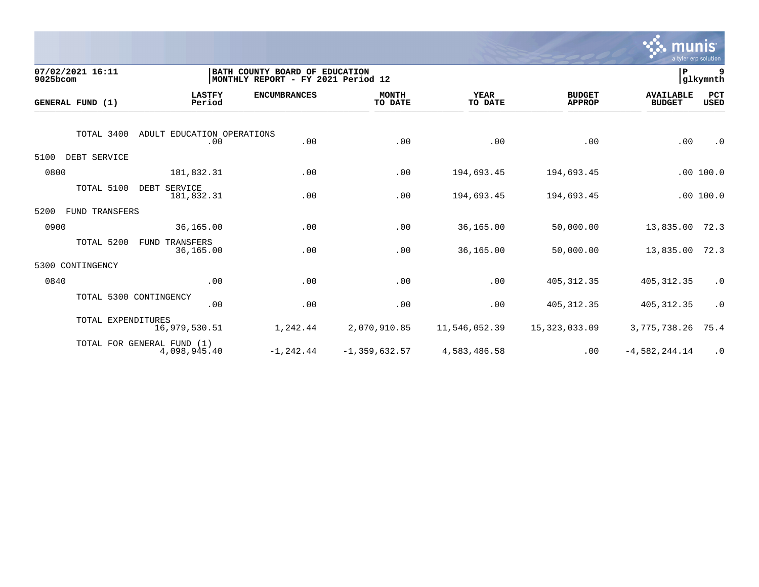

| 9025bcom         | 07/02/2021 16:11   |                                            | BATH COUNTY BOARD OF EDUCATION<br>MONTHLY REPORT - FY 2021 Period 12 |                         |                        |                                |                                   |                    |  |
|------------------|--------------------|--------------------------------------------|----------------------------------------------------------------------|-------------------------|------------------------|--------------------------------|-----------------------------------|--------------------|--|
| GENERAL FUND (1) |                    | <b>LASTFY</b><br>Period                    | <b>ENCUMBRANCES</b>                                                  | <b>MONTH</b><br>TO DATE | <b>YEAR</b><br>TO DATE | <b>BUDGET</b><br><b>APPROP</b> | <b>AVAILABLE</b><br><b>BUDGET</b> | PCT<br><b>USED</b> |  |
|                  | TOTAL 3400         | ADULT EDUCATION OPERATIONS<br>.00          | .00                                                                  | .00                     | .00                    | .00                            | .00                               | $\cdot$ 0          |  |
| 5100             | DEBT SERVICE       |                                            |                                                                      |                         |                        |                                |                                   |                    |  |
| 0800             |                    | 181,832.31                                 | .00                                                                  | .00                     | 194,693.45             | 194,693.45                     |                                   | .00100.0           |  |
|                  | TOTAL 5100         | DEBT SERVICE<br>181,832.31                 | .00                                                                  | .00                     | 194,693.45             | 194,693.45                     |                                   | .00 100.0          |  |
| 5200             | FUND TRANSFERS     |                                            |                                                                      |                         |                        |                                |                                   |                    |  |
| 0900             |                    | 36,165.00                                  | .00                                                                  | .00                     | 36,165.00              | 50,000.00                      | 13,835.00                         | 72.3               |  |
|                  | TOTAL 5200         | <b>FUND TRANSFERS</b><br>36,165.00         | .00                                                                  | .00                     | 36,165.00              | 50,000.00                      | 13,835.00                         | 72.3               |  |
| 5300             | CONTINGENCY        |                                            |                                                                      |                         |                        |                                |                                   |                    |  |
| 0840             |                    | .00                                        | .00                                                                  | .00                     | .00                    | 405, 312.35                    | 405, 312.35                       | $\cdot$ 0          |  |
|                  |                    | TOTAL 5300 CONTINGENCY<br>.00              | .00                                                                  | .00                     | .00                    | 405, 312.35                    | 405, 312.35                       | $\cdot$ 0          |  |
|                  | TOTAL EXPENDITURES | 16,979,530.51                              | 1,242.44                                                             | 2,070,910.85            | 11,546,052.39          | 15,323,033.09                  | 3,775,738.26                      | 75.4               |  |
|                  |                    | TOTAL FOR GENERAL FUND (1)<br>4,098,945.40 | $-1, 242.44$                                                         | $-1, 359, 632.57$       | 4,583,486.58           | .00                            | $-4,582,244.14$                   | $\cdot$ 0          |  |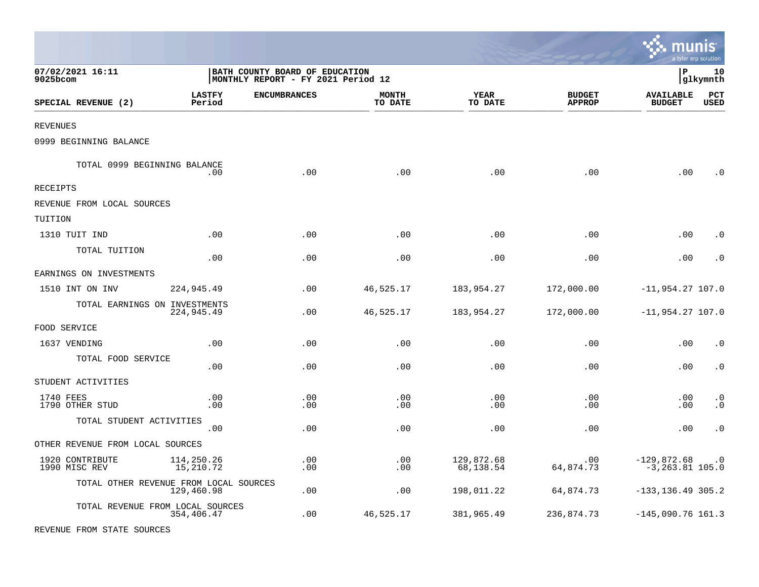|                                        |                         |                                                                      |                         |                         |                                | munis                               | a tyler erp solution   |
|----------------------------------------|-------------------------|----------------------------------------------------------------------|-------------------------|-------------------------|--------------------------------|-------------------------------------|------------------------|
| 07/02/2021 16:11<br>$9025$ bcom        |                         | BATH COUNTY BOARD OF EDUCATION<br>MONTHLY REPORT - FY 2021 Period 12 |                         |                         |                                | l P                                 | 10<br> glkymnth        |
| SPECIAL REVENUE (2)                    | <b>LASTFY</b><br>Period | <b>ENCUMBRANCES</b>                                                  | <b>MONTH</b><br>TO DATE | <b>YEAR</b><br>TO DATE  | <b>BUDGET</b><br><b>APPROP</b> | <b>AVAILABLE</b><br><b>BUDGET</b>   | PCT<br><b>USED</b>     |
| <b>REVENUES</b>                        |                         |                                                                      |                         |                         |                                |                                     |                        |
| 0999 BEGINNING BALANCE                 |                         |                                                                      |                         |                         |                                |                                     |                        |
| TOTAL 0999 BEGINNING BALANCE           | .00                     | .00                                                                  | .00                     | .00                     | .00                            | .00                                 | . 0                    |
| RECEIPTS                               |                         |                                                                      |                         |                         |                                |                                     |                        |
| REVENUE FROM LOCAL SOURCES             |                         |                                                                      |                         |                         |                                |                                     |                        |
| TUITION                                |                         |                                                                      |                         |                         |                                |                                     |                        |
| 1310 TUIT IND                          | .00                     | .00                                                                  | .00                     | .00                     | .00                            | .00                                 | $\cdot$ 0              |
| TOTAL TUITION                          | .00                     | .00                                                                  | .00                     | .00                     | .00                            | .00                                 | $\cdot$ 0              |
| EARNINGS ON INVESTMENTS                |                         |                                                                      |                         |                         |                                |                                     |                        |
| 1510 INT ON INV                        | 224,945.49              | .00                                                                  | 46,525.17               | 183,954.27              | 172,000.00                     | $-11,954.27$ 107.0                  |                        |
| TOTAL EARNINGS ON INVESTMENTS          | 224,945.49              | .00                                                                  | 46,525.17               | 183,954.27              | 172,000.00                     | $-11,954.27$ 107.0                  |                        |
| FOOD SERVICE                           |                         |                                                                      |                         |                         |                                |                                     |                        |
| 1637 VENDING                           | .00                     | .00                                                                  | .00                     | .00                     | .00                            | .00                                 | $\cdot$ 0              |
| TOTAL FOOD SERVICE                     | .00                     | .00                                                                  | .00                     | .00                     | .00                            | .00                                 | $\cdot$ 0              |
| STUDENT ACTIVITIES                     |                         |                                                                      |                         |                         |                                |                                     |                        |
| 1740 FEES<br>1790 OTHER STUD           | .00<br>.00              | .00<br>.00                                                           | .00<br>.00              | .00<br>.00              | .00<br>.00                     | .00<br>.00                          | $\cdot$ 0<br>$\cdot$ 0 |
| TOTAL STUDENT ACTIVITIES               | .00                     | .00                                                                  | .00                     | .00                     | .00                            | .00                                 | $\cdot$ 0              |
| OTHER REVENUE FROM LOCAL SOURCES       |                         |                                                                      |                         |                         |                                |                                     |                        |
| 1920 CONTRIBUTE<br>1990 MISC REV       | 114,250.26<br>15,210.72 | .00<br>.00                                                           | .00<br>.00              | 129,872.68<br>68,138.54 | .00<br>64,874.73               | $-129,872.68$<br>$-3, 263.81$ 105.0 | $\cdot$ 0              |
| TOTAL OTHER REVENUE FROM LOCAL SOURCES | 129,460.98              | .00                                                                  | .00                     | 198,011.22              | 64,874.73                      | $-133, 136.49$ 305.2                |                        |
| TOTAL REVENUE FROM LOCAL SOURCES       | 354,406.47              | .00                                                                  | 46,525.17               | 381,965.49              | 236,874.73                     | $-145,090.76$ 161.3                 |                        |

REVENUE FROM STATE SOURCES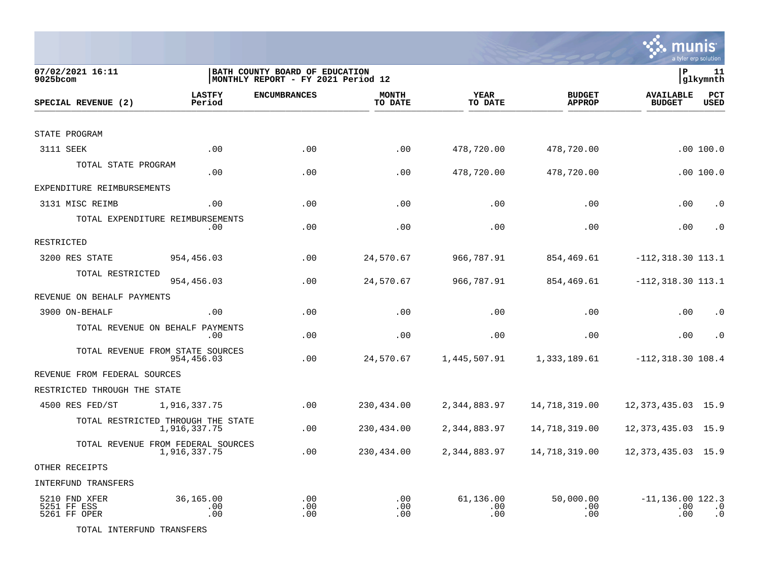

| 07/02/2021 16:11<br>9025bcom                 |                                                    | BATH COUNTY BOARD OF EDUCATION<br>MONTHLY REPORT - FY 2021 Period 12 |                         |                         |                                | lР                                | 11<br> glkymnth           |
|----------------------------------------------|----------------------------------------------------|----------------------------------------------------------------------|-------------------------|-------------------------|--------------------------------|-----------------------------------|---------------------------|
| SPECIAL REVENUE (2)                          | <b>LASTFY</b><br>Period                            | <b>ENCUMBRANCES</b>                                                  | <b>MONTH</b><br>TO DATE | <b>YEAR</b><br>TO DATE  | <b>BUDGET</b><br><b>APPROP</b> | <b>AVAILABLE</b><br><b>BUDGET</b> | <b>PCT</b><br><b>USED</b> |
|                                              |                                                    |                                                                      |                         |                         |                                |                                   |                           |
| STATE PROGRAM                                |                                                    |                                                                      |                         |                         |                                |                                   |                           |
| 3111 SEEK                                    | .00                                                | .00                                                                  | .00                     | 478,720.00              | 478,720.00                     |                                   | .00100.0                  |
| TOTAL STATE PROGRAM                          | .00                                                | .00                                                                  | .00                     | 478,720.00              | 478,720.00                     |                                   | .00 100.0                 |
| EXPENDITURE REIMBURSEMENTS                   |                                                    |                                                                      |                         |                         |                                |                                   |                           |
| 3131 MISC REIMB                              | .00.                                               | .00                                                                  | .00                     | .00                     | .00                            | .00                               | $\cdot$ 0                 |
|                                              | TOTAL EXPENDITURE REIMBURSEMENTS<br>.00.           | .00                                                                  | .00                     | .00                     | .00                            | .00                               | $\cdot$ 0                 |
| RESTRICTED                                   |                                                    |                                                                      |                         |                         |                                |                                   |                           |
| 3200 RES STATE                               | 954,456.03                                         | .00                                                                  | 24,570.67               | 966,787.91              | 854,469.61                     | $-112, 318.30$ 113.1              |                           |
| TOTAL RESTRICTED                             | 954,456.03                                         | .00                                                                  | 24,570.67               | 966,787.91              | 854,469.61                     | $-112, 318.30 113.1$              |                           |
| REVENUE ON BEHALF PAYMENTS                   |                                                    |                                                                      |                         |                         |                                |                                   |                           |
| 3900 ON-BEHALF                               | .00                                                | .00                                                                  | .00                     | .00                     | .00                            | .00                               | $\cdot$ 0                 |
|                                              | TOTAL REVENUE ON BEHALF PAYMENTS<br>.00            | .00                                                                  | .00                     | .00                     | .00                            | .00                               | $\cdot$ 0                 |
|                                              | TOTAL REVENUE FROM STATE SOURCES<br>954,456.03     | .00                                                                  | 24,570.67               | 1,445,507.91            | 1,333,189.61                   | $-112, 318.30 108.4$              |                           |
| REVENUE FROM FEDERAL SOURCES                 |                                                    |                                                                      |                         |                         |                                |                                   |                           |
| RESTRICTED THROUGH THE STATE                 |                                                    |                                                                      |                         |                         |                                |                                   |                           |
| 4500 RES FED/ST                              | 1,916,337.75                                       | .00                                                                  | 230,434.00              | 2,344,883.97            | 14,718,319.00                  | 12, 373, 435.03 15.9              |                           |
|                                              | TOTAL RESTRICTED THROUGH THE STATE<br>1,916,337.75 | .00                                                                  | 230,434.00              | 2,344,883.97            | 14,718,319.00                  | 12, 373, 435.03                   | 15.9                      |
|                                              | TOTAL REVENUE FROM FEDERAL SOURCES<br>1,916,337.75 | .00                                                                  | 230,434.00              | 2,344,883.97            | 14,718,319.00                  | 12, 373, 435.03 15.9              |                           |
| OTHER RECEIPTS                               |                                                    |                                                                      |                         |                         |                                |                                   |                           |
| INTERFUND TRANSFERS                          |                                                    |                                                                      |                         |                         |                                |                                   |                           |
| 5210 FND XFER<br>5251 FF ESS<br>5261 FF OPER | 36,165.00<br>.00<br>.00                            | .00<br>.00<br>.00                                                    | .00<br>.00<br>.00       | 61,136.00<br>.00<br>.00 | 50,000.00<br>.00<br>.00        | $-11, 136.00$ 122.3<br>.00<br>.00 | $\cdot$ 0<br>$\cdot$ 0    |

TOTAL INTERFUND TRANSFERS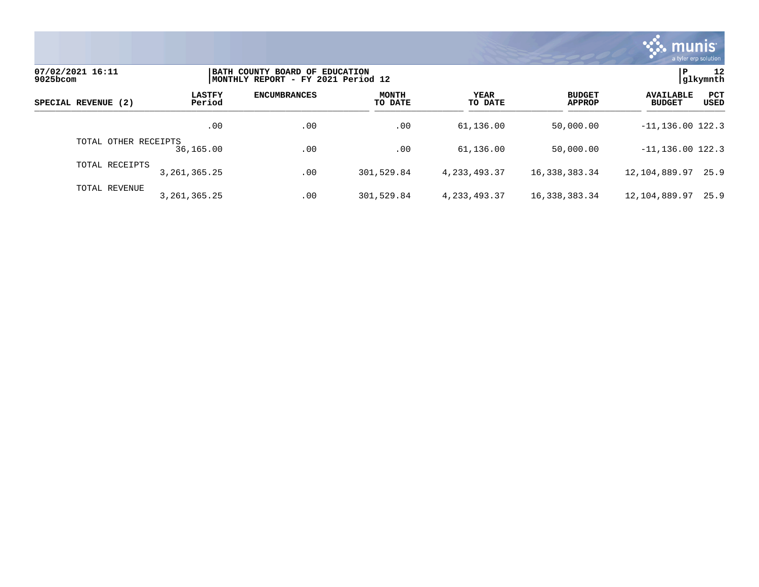

| 07/02/2021 16:11<br>9025bcom |                         | BATH COUNTY BOARD OF EDUCATION<br> MONTHLY REPORT - FY 2021 Period 12 |                         |                 |                                |                                                         |  |  |
|------------------------------|-------------------------|-----------------------------------------------------------------------|-------------------------|-----------------|--------------------------------|---------------------------------------------------------|--|--|
| SPECIAL REVENUE (2)          | <b>LASTFY</b><br>Period | <b>ENCUMBRANCES</b>                                                   | <b>MONTH</b><br>TO DATE | YEAR<br>TO DATE | <b>BUDGET</b><br><b>APPROP</b> | PCT<br><b>AVAILABLE</b><br><b>USED</b><br><b>BUDGET</b> |  |  |
|                              | .00                     | .00                                                                   | .00                     | 61,136.00       | 50,000.00                      | $-11, 136.00$ 122.3                                     |  |  |
| TOTAL OTHER RECEIPTS         | 36,165.00               | .00                                                                   | .00                     | 61,136.00       | 50,000.00                      | $-11, 136.00$ 122.3                                     |  |  |
| TOTAL RECEIPTS               | 3, 261, 365. 25         | .00                                                                   | 301,529.84              | 4, 233, 493. 37 | 16, 338, 383. 34               | 12,104,889.97<br>25.9                                   |  |  |
| TOTAL REVENUE                | 3, 261, 365. 25         | .00                                                                   | 301,529.84              | 4, 233, 493. 37 | 16, 338, 383. 34               | 12,104,889.97<br>25.9                                   |  |  |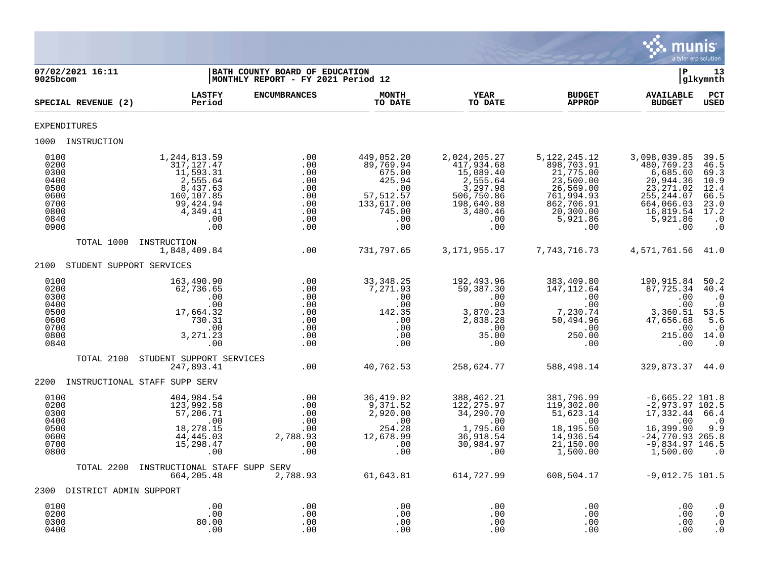

| 07/02/2021 16:11<br>9025bcom                                                 |                                                                                                                       | BATH COUNTY BOARD OF EDUCATION<br>MONTHLY REPORT - FY 2021 Period 12 |                                                                                                        |                                                                                                                       |                                                                                                                                   | lР                                                                                                                             | 13<br>glkymnth                                                                         |
|------------------------------------------------------------------------------|-----------------------------------------------------------------------------------------------------------------------|----------------------------------------------------------------------|--------------------------------------------------------------------------------------------------------|-----------------------------------------------------------------------------------------------------------------------|-----------------------------------------------------------------------------------------------------------------------------------|--------------------------------------------------------------------------------------------------------------------------------|----------------------------------------------------------------------------------------|
| SPECIAL REVENUE (2)                                                          | <b>LASTFY</b><br>Period                                                                                               | <b>ENCUMBRANCES</b>                                                  | <b>MONTH</b><br>TO DATE                                                                                | YEAR<br>TO DATE                                                                                                       | <b>BUDGET</b><br><b>APPROP</b>                                                                                                    | <b>AVAILABLE</b><br><b>BUDGET</b>                                                                                              | $_{\rm PCT}$<br><b>USED</b>                                                            |
| EXPENDITURES                                                                 |                                                                                                                       |                                                                      |                                                                                                        |                                                                                                                       |                                                                                                                                   |                                                                                                                                |                                                                                        |
| 1000 INSTRUCTION                                                             |                                                                                                                       |                                                                      |                                                                                                        |                                                                                                                       |                                                                                                                                   |                                                                                                                                |                                                                                        |
| 0100<br>0200<br>0300<br>0400<br>0500<br>0600<br>0700<br>0800<br>0840<br>0900 | 1,244,813.59<br>317, 127.47<br>11,593.31<br>2,555.64<br>8,437.63<br>160,107.85<br>99,424.94<br>4,349.41<br>.00<br>.00 | .00<br>.00<br>.00<br>.00<br>.00<br>.00<br>.00<br>.00<br>.00<br>.00   | 449,052.20<br>89,769.94<br>675.00<br>425.94<br>.00<br>57, 512.57<br>133,617.00<br>745.00<br>.00<br>.00 | 2,024,205.27<br>417,934.68<br>15,089.40<br>2,555.64<br>3,297.98<br>506,750.86<br>198,640.88<br>3,480.46<br>.00<br>.00 | 5, 122, 245. 12<br>898,703.91<br>21,775.00<br>23,500.00<br>26,569.00<br>761,994.93<br>862,706.91<br>20, 300.00<br>5,921.86<br>.00 | 3,098,039.85<br>480,769.23<br>6,685.60<br>20,944.36<br>23, 271.02<br>255, 244.07<br>664,066.03<br>16,819.54<br>5,921.86<br>.00 | 39.5<br>46.5<br>69.3<br>10.9<br>12.4<br>66.5<br>23.0<br>17.2<br>$\cdot$ 0<br>$\cdot$ 0 |
| TOTAL 1000                                                                   | INSTRUCTION<br>1,848,409.84                                                                                           | .00                                                                  | 731,797.65                                                                                             | 3, 171, 955. 17                                                                                                       | 7, 743, 716.73                                                                                                                    | 4,571,761.56 41.0                                                                                                              |                                                                                        |
| STUDENT SUPPORT SERVICES<br>2100                                             |                                                                                                                       |                                                                      |                                                                                                        |                                                                                                                       |                                                                                                                                   |                                                                                                                                |                                                                                        |
| 0100<br>0200<br>0300<br>0400<br>0500<br>0600<br>0700<br>0800<br>0840         | 163,490.90<br>62,736.65<br>.00<br>.00<br>17,664.32<br>730.31<br>.00<br>3,271.23<br>.00                                | .00<br>.00<br>.00<br>.00<br>.00<br>.00<br>.00<br>.00<br>.00          | 33, 348. 25<br>7,271.93<br>.00<br>.00<br>142.35<br>.00<br>.00<br>.00<br>.00                            | 192,493.96<br>59,387.30<br>.00<br>.00<br>3,870.23<br>2,838.28<br>.00<br>35.00<br>.00                                  | 383,409.80<br>147, 112.64<br>.00<br>.00<br>7,230.74<br>50,494.96<br>.00<br>250.00<br>.00                                          | 190,915.84<br>87,725.34<br>.00<br>.00<br>3,360.51<br>47,656.68<br>.00<br>215.00 14.0<br>.00                                    | 50.2<br>40.4<br>$\cdot$ 0<br>$\cdot$ 0<br>53.5<br>5.6<br>$\cdot$ 0<br>$\overline{0}$   |
| TOTAL 2100                                                                   | STUDENT SUPPORT SERVICES<br>247,893.41                                                                                | .00                                                                  | 40,762.53                                                                                              | 258,624.77                                                                                                            | 588,498.14                                                                                                                        | 329,873.37 44.0                                                                                                                |                                                                                        |
| 2200                                                                         | INSTRUCTIONAL STAFF SUPP SERV                                                                                         |                                                                      |                                                                                                        |                                                                                                                       |                                                                                                                                   |                                                                                                                                |                                                                                        |
| 0100<br>0200<br>0300<br>0400<br>0500<br>0600<br>0700<br>0800                 | 404,984.54<br>123,992.58<br>57,206.71<br>.00<br>18,278.15<br>44, 445.03<br>15, 298.47<br>.00                          | .00<br>.00<br>.00<br>.00<br>.00<br>2,788.93<br>.00<br>.00            | 36,419.02<br>9,371.52<br>2,920.00<br>.00<br>254.28<br>12,678.99<br>.00<br>.00                          | 388,462.21<br>122, 275.97<br>34,290.70<br>$\overline{00}$<br>1,795.60<br>36,918.54<br>30,984.97<br>.00                | 381,796.99<br>119,302.00<br>51,623.14<br>.00<br>18,195.50<br>14,936.54<br>21,150.00<br>1,500.00                                   | $-6,665.22$ 101.8<br>$-2,973.97$ 102.5<br>17,332.44<br>.00<br>16,399.90<br>$-24,770.93$ 265.8<br>$-9,834.97$ 146.5<br>1,500.00 | 66.4<br>$\cdot$ 0<br>9.9<br>$\cdot$ 0                                                  |
| TOTAL 2200                                                                   | INSTRUCTIONAL STAFF SUPP SERV<br>664,205.48                                                                           | 2,788.93                                                             | 61,643.81                                                                                              | 614,727.99                                                                                                            | 608,504.17                                                                                                                        | $-9,012.75$ 101.5                                                                                                              |                                                                                        |
| 2300 DISTRICT ADMIN SUPPORT                                                  |                                                                                                                       |                                                                      |                                                                                                        |                                                                                                                       |                                                                                                                                   |                                                                                                                                |                                                                                        |
| 0100<br>0200<br>0300<br>0400                                                 | .00<br>.00<br>80.00<br>.00                                                                                            | .00<br>.00<br>.00<br>.00                                             | .00<br>.00<br>.00<br>.00                                                                               | .00<br>.00<br>.00<br>.00                                                                                              | .00<br>.00<br>.00<br>.00                                                                                                          | .00<br>.00<br>.00<br>.00                                                                                                       | $\cdot$ 0<br>$\cdot$ 0<br>$\cdot$ 0<br>$\cdot$ 0                                       |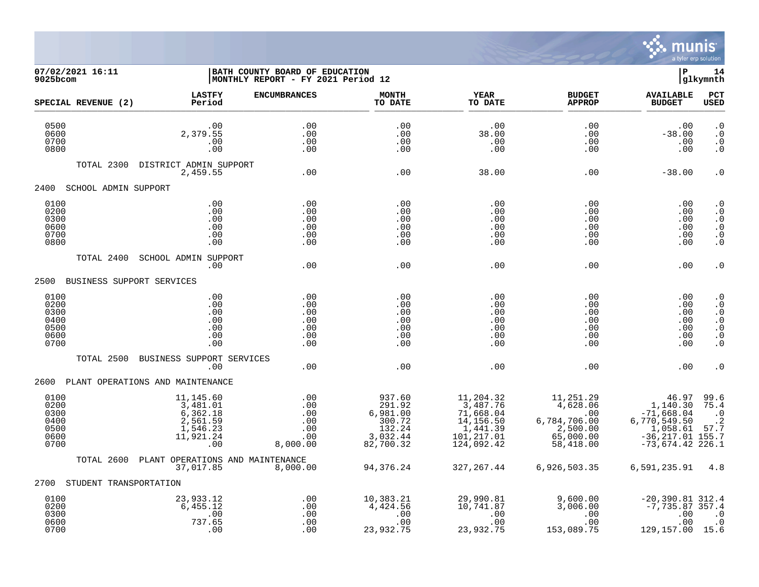

**07/02/2021 16:11 |BATH COUNTY BOARD OF EDUCATION |P 14**  $MONTHLY$  REPORT - FY 2021 Period 12 **LASTFY ENCUMBRANCES MONTH YEAR BUDGET AVAILABLE PCT** SPECIAL REVENUE (2) \_\_\_\_\_\_\_\_\_\_\_\_\_\_\_\_\_\_\_\_\_\_\_\_\_\_\_\_\_\_\_\_\_\_\_\_\_\_\_\_\_\_\_\_\_\_\_\_\_\_\_\_\_\_\_\_\_\_\_\_\_\_\_\_ \_\_\_\_\_\_\_\_\_\_\_\_\_\_\_\_\_ \_\_\_\_\_\_\_\_\_\_\_\_\_\_\_\_\_\_ \_\_\_\_\_\_\_\_\_\_\_\_\_\_ \_\_\_\_\_\_\_\_\_\_\_\_\_\_\_ 0500 .00 .00 .00 .00 .00 .00 .0 0600 2,379.55 .00 .00 38.00 .00 -38.00 .0 0700 .00 .00 .00 .00 .00 .00 .0 0800 .00 .00 .00 .00 .00 .00 .0 TOTAL 2300 DISTRICT ADMIN SUPPORT 2,459.55 .00 .00 38.00 .00 -38.00 .0 2400 SCHOOL ADMIN SUPPORT 0100 .00 .00 .00 .00 .00 .00 .0 0200 .00 .00 .00 .00 .00 .00 .0 0300 .00 .00 .00 .00 .00 .00 .0 0600 .00 .00 .00 .00 .00 .00 .0 0700 .00 .00 .00 .00 .00 .00 .0 0800 .00 .00 .00 .00 .00 .00 .0 TOTAL 2400 SCHOOL ADMIN SUPPORT .00 .00 .00 .00 .00 .00 .0 2500 BUSINESS SUPPORT SERVICES 0100 .00 .00 .00 .00 .00 .00 .0 0200 .00 .00 .00 .00 .00 .00 .0 0300 .00 .00 .00 .00 .00 .00 .0 0400 .00 .00 .00 .00 .00 .00 .0 0500 .00 .00 .00 .00 .00 .00 .0 0600 .00 .00 .00 .00 .00 .00 .0 0700 .00 .00 .00 .00 .00 .00 .0 TOTAL 2500 BUSINESS SUPPORT SERVICES .00 .00 .00 .00 .00 .00 .0 2600 PLANT OPERATIONS AND MAINTENANCE 0100 11,145.60 .00 937.60 11,204.32 11,251.29 46.97 99.6 0200 3,481.01 .00 291.92 3,487.76 4,628.06 1,140.30 75.4 0300 6,362.18 .00 6,981.00 71,668.04 .00 -71,668.04 .0 0400 2,561.59 .00 300.72 14,156.50 6,784,706.00 6,770,549.50 .2 0500 1,546.23 .00 132.24 1,441.39 2,500.00 1,058.61 57.7 0600 11,921.24 .00 0600 3,032.44 101,217.01 65,000.00 -36,217.01<br>124,092.42 58,418.00 -73,674.42 226.1 .00 82,700.32 124,092.42 58,418.00 -73,674.42 226.1 0700 .00 8,000.00 82,700.32 124,092.42 58,418.00 -73,674.42 226.1 TOTAL 2600 PLANT OPERATIONS AND MAINTENANCE 37,017.85 8,000.00 94,376.24 327,267.44 6,926,503.35 6,591,235.91 4.8 2700 STUDENT TRANSPORTATION 0100 23,933.12 .00 10,383.21 29,990.81 9,600.00 -20,390.81 312.4 0200 6,455.12 .00 4,424.56 10,741.87 3,006.00 -7,735.87 357.4 0300 .00 .00 .00 .00 .00 .00 .0 0600 737.65 .00 .00 .00 .00 .00 .0

0700 .00 .00 23,932.75 23,932.75 153,089.75 129,157.00 15.6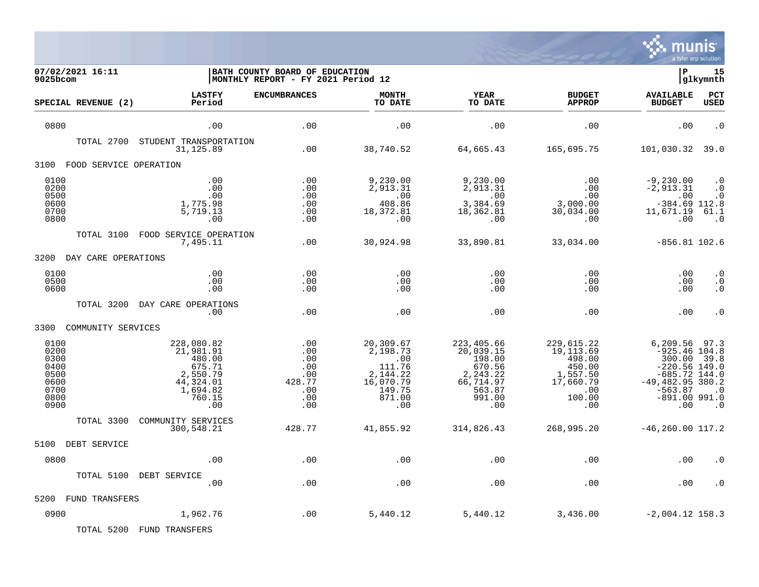

| 07/02/2021 16:11<br>$9025$ bcom                                      |                                                                                                   | BATH COUNTY BOARD OF EDUCATION<br>MONTHLY REPORT - FY 2021 Period 12 |                                                                                            |                                                                                                  |                                                                                               | lР                                                                                                                                       | 15<br> glkymnth                                          |
|----------------------------------------------------------------------|---------------------------------------------------------------------------------------------------|----------------------------------------------------------------------|--------------------------------------------------------------------------------------------|--------------------------------------------------------------------------------------------------|-----------------------------------------------------------------------------------------------|------------------------------------------------------------------------------------------------------------------------------------------|----------------------------------------------------------|
| SPECIAL REVENUE (2)                                                  | <b>LASTFY</b><br>Period                                                                           | <b>ENCUMBRANCES</b>                                                  | <b>MONTH</b><br>TO DATE                                                                    | <b>YEAR</b><br>TO DATE                                                                           | <b>BUDGET</b><br><b>APPROP</b>                                                                | <b>AVAILABLE</b><br><b>BUDGET</b>                                                                                                        | PCT<br><b>USED</b>                                       |
| 0800                                                                 | .00                                                                                               | $.00$                                                                | .00                                                                                        | .00                                                                                              | .00                                                                                           | .00                                                                                                                                      | $\overline{\phantom{0}}$ .                               |
| TOTAL 2700                                                           | STUDENT TRANSPORTATION<br>31, 125.89                                                              | .00                                                                  | 38,740.52                                                                                  | 64,665.43                                                                                        | 165,695.75                                                                                    | 101,030.32                                                                                                                               | 39.0                                                     |
| FOOD SERVICE OPERATION<br>3100                                       |                                                                                                   |                                                                      |                                                                                            |                                                                                                  |                                                                                               |                                                                                                                                          |                                                          |
| 0100<br>0200<br>0500<br>0600<br>0700<br>0800                         | .00<br>.00<br>.00<br>1,775.98<br>5,719.13<br>.00                                                  | .00<br>.00<br>.00<br>.00<br>.00<br>.00                               | 9,230.00<br>2,913.31<br>.00<br>408.86<br>18,372.81<br>.00                                  | 9,230.00<br>2,913.31<br>.00<br>3,384.69<br>18,362.81<br>.00                                      | .00<br>.00<br>.00<br>3,000.00<br>30,034.00<br>.00                                             | $-9,230.00$<br>$-2,913.31$<br>.00<br>$-384.69$ 112.8<br>11,671.19<br>.00                                                                 | $\cdot$ 0<br>$\cdot$ 0<br>$\cdot$ 0<br>61.1<br>$\cdot$ 0 |
| TOTAL 3100                                                           | FOOD SERVICE OPERATION<br>7,495.11                                                                | .00                                                                  | 30,924.98                                                                                  | 33,890.81                                                                                        | 33,034.00                                                                                     | $-856.81$ 102.6                                                                                                                          |                                                          |
| DAY CARE OPERATIONS<br>3200                                          |                                                                                                   |                                                                      |                                                                                            |                                                                                                  |                                                                                               |                                                                                                                                          |                                                          |
| 0100<br>0500<br>0600                                                 | .00<br>.00<br>.00                                                                                 | .00<br>.00<br>.00                                                    | .00<br>.00<br>.00                                                                          | .00<br>.00<br>.00                                                                                | .00<br>.00<br>.00                                                                             | .00<br>.00<br>.00                                                                                                                        | $\cdot$ 0<br>$\boldsymbol{\cdot}$ 0<br>$\cdot$ 0         |
| TOTAL 3200                                                           | DAY CARE OPERATIONS<br>.00                                                                        | .00                                                                  | .00                                                                                        | .00                                                                                              | .00                                                                                           | .00                                                                                                                                      | $\cdot$ 0                                                |
| 3300<br>COMMUNITY SERVICES                                           |                                                                                                   |                                                                      |                                                                                            |                                                                                                  |                                                                                               |                                                                                                                                          |                                                          |
| 0100<br>0200<br>0300<br>0400<br>0500<br>0600<br>0700<br>0800<br>0900 | 228,080.82<br>21,981.91<br>480.00<br>675.71<br>2,550.79<br>44,324.01<br>1,694.82<br>760.15<br>.00 | .00<br>.00<br>.00<br>.00<br>.00<br>428.77<br>.00<br>.00<br>.00       | 20,309.67<br>2,198.73<br>.00<br>111.76<br>2,144.22<br>16,070.79<br>149.75<br>871.00<br>.00 | 223,405.66<br>20,039.15<br>198.00<br>670.56<br>2, 243.22<br>66,714.97<br>563.87<br>991.00<br>.00 | 229,615.22<br>19, 113.69<br>498.00<br>450.00<br>1,557.50<br>17,660.79<br>.00<br>100.00<br>.00 | 6,209.56<br>$-925.46$ 104.8<br>300.00<br>$-220.56$ 149.0<br>$-685.72$ 144.0<br>$-49,482.95$ 380.2<br>$-563.87$<br>$-891.00$ 991.0<br>.00 | 97.3<br>39.8<br>$\cdot$ 0<br>$\cdot$ 0                   |
| TOTAL 3300                                                           | COMMUNITY SERVICES<br>300,548.21                                                                  | 428.77                                                               | 41,855.92                                                                                  | 314,826.43                                                                                       | 268,995.20                                                                                    | $-46, 260.00$ 117.2                                                                                                                      |                                                          |
| DEBT SERVICE<br>5100                                                 |                                                                                                   |                                                                      |                                                                                            |                                                                                                  |                                                                                               |                                                                                                                                          |                                                          |
| 0800                                                                 | .00                                                                                               | .00                                                                  | .00                                                                                        | .00                                                                                              | .00                                                                                           | .00                                                                                                                                      | . 0                                                      |
| TOTAL 5100                                                           | DEBT SERVICE<br>.00                                                                               | .00                                                                  | .00                                                                                        | .00                                                                                              | .00                                                                                           | .00                                                                                                                                      | . 0                                                      |
| 5200<br>FUND TRANSFERS                                               |                                                                                                   |                                                                      |                                                                                            |                                                                                                  |                                                                                               |                                                                                                                                          |                                                          |
| 0900                                                                 | 1,962.76                                                                                          | .00                                                                  | 5,440.12                                                                                   | 5,440.12                                                                                         | 3,436.00                                                                                      | $-2,004.12$ 158.3                                                                                                                        |                                                          |
| TOTAL 5200                                                           | FUND TRANSFERS                                                                                    |                                                                      |                                                                                            |                                                                                                  |                                                                                               |                                                                                                                                          |                                                          |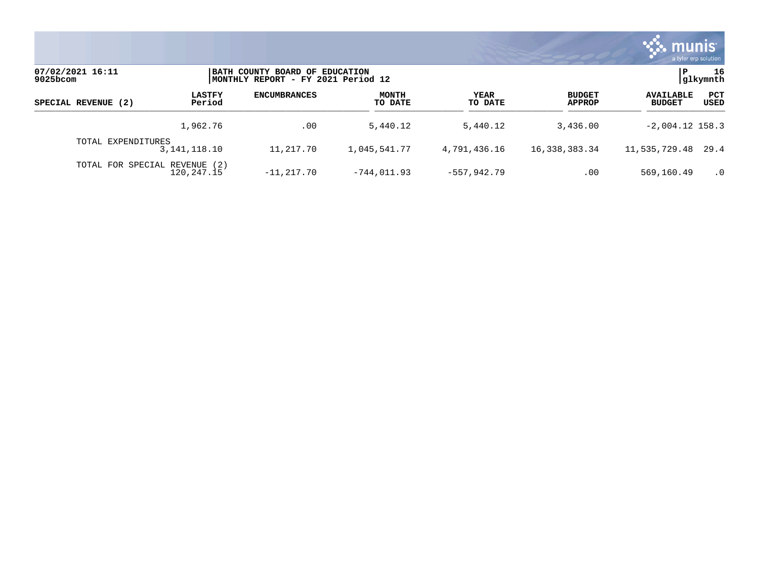

| 07/02/2021 16:11<br>$9025$ bcom |                         | BATH COUNTY BOARD OF EDUCATION<br> MONTHLY REPORT - FY 2021 Period 12 |                         |                 |                                | glkymnth                          | 16          |
|---------------------------------|-------------------------|-----------------------------------------------------------------------|-------------------------|-----------------|--------------------------------|-----------------------------------|-------------|
| SPECIAL REVENUE (2)             | <b>LASTFY</b><br>Period | <b>ENCUMBRANCES</b>                                                   | <b>MONTH</b><br>TO DATE | YEAR<br>TO DATE | <b>BUDGET</b><br><b>APPROP</b> | <b>AVAILABLE</b><br><b>BUDGET</b> | PCT<br>USED |
|                                 | 1,962.76                | .00                                                                   | 5,440.12                | 5,440.12        | 3,436.00                       | $-2,004.12$ 158.3                 |             |
| TOTAL EXPENDITURES              | 3, 141, 118. 10         | 11,217.70                                                             | 1,045,541.77            | 4,791,436.16    | 16,338,383.34                  | 11,535,729.48 29.4                |             |
| TOTAL FOR SPECIAL REVENUE       | (2)<br>120,247.15       | $-11, 217, 70$                                                        | $-744.011.93$           | $-557, 942.79$  | .00                            | 569,160.49                        | $\cdot$ 0   |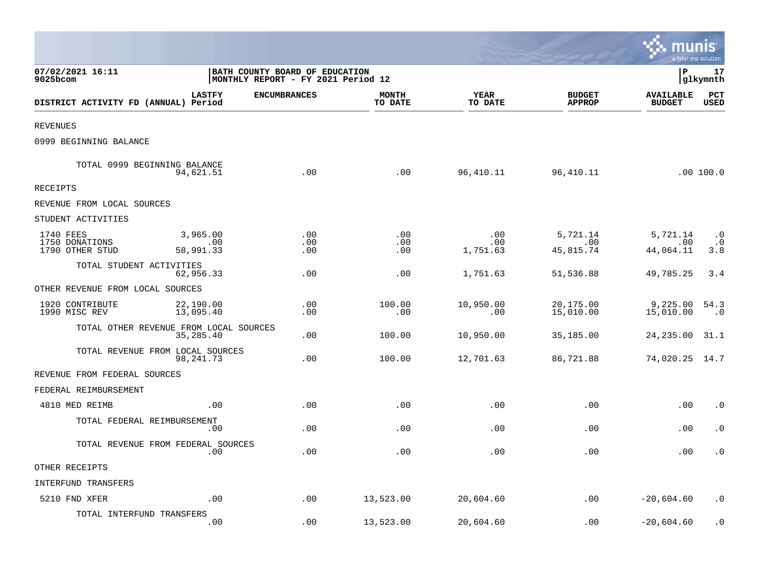|                                                |                                                     |                                                                              |                         |                        |                                | <u>ः munis</u><br>a tyler erp solution |                               |
|------------------------------------------------|-----------------------------------------------------|------------------------------------------------------------------------------|-------------------------|------------------------|--------------------------------|----------------------------------------|-------------------------------|
| 07/02/2021 16:11<br>9025bcom                   |                                                     | <b>BATH COUNTY BOARD OF EDUCATION</b><br> MONTHLY REPORT - FY 2021 Period 12 |                         |                        |                                | l P                                    | 17<br> glkymnth               |
| DISTRICT ACTIVITY FD (ANNUAL) Period           | <b>LASTFY</b>                                       | <b>ENCUMBRANCES</b>                                                          | <b>MONTH</b><br>TO DATE | YEAR<br>TO DATE        | <b>BUDGET</b><br><b>APPROP</b> | <b>AVAILABLE</b><br><b>BUDGET</b>      | $_{\rm PCT}$<br><b>USED</b>   |
| <b>REVENUES</b>                                |                                                     |                                                                              |                         |                        |                                |                                        |                               |
| 0999 BEGINNING BALANCE                         |                                                     |                                                                              |                         |                        |                                |                                        |                               |
| TOTAL 0999 BEGINNING BALANCE                   | 94,621.51                                           | .00                                                                          | .00                     | 96,410.11              | 96,410.11                      |                                        | .00 100.0                     |
| RECEIPTS                                       |                                                     |                                                                              |                         |                        |                                |                                        |                               |
| REVENUE FROM LOCAL SOURCES                     |                                                     |                                                                              |                         |                        |                                |                                        |                               |
| STUDENT ACTIVITIES                             |                                                     |                                                                              |                         |                        |                                |                                        |                               |
| 1740 FEES<br>1750 DONATIONS<br>1790 OTHER STUD | 3,965.00<br>.00<br>58,991.33                        | .00<br>.00<br>.00                                                            | .00<br>.00<br>.00       | .00<br>.00<br>1,751.63 | 5,721.14<br>.00<br>45,815.74   | 5,721.14<br>.00<br>44,064.11           | $\cdot$ 0<br>$\cdot$ 0<br>3.8 |
| TOTAL STUDENT ACTIVITIES                       | 62,956.33                                           | .00                                                                          | .00                     | 1,751.63               | 51,536.88                      | 49,785.25                              | 3.4                           |
| OTHER REVENUE FROM LOCAL SOURCES               |                                                     |                                                                              |                         |                        |                                |                                        |                               |
| 1920 CONTRIBUTE<br>1990 MISC REV               | 22,190.00<br>13,095.40                              | .00<br>.00                                                                   | 100.00<br>.00           | 10,950.00<br>.00       | 20,175.00<br>15,010.00         | 9,225.00<br>15,010.00                  | 54.3<br>$\cdot$ 0             |
|                                                | TOTAL OTHER REVENUE FROM LOCAL SOURCES<br>35,285.40 | .00                                                                          | 100.00                  | 10,950.00              | 35,185.00                      | 24,235.00                              | 31.1                          |
| TOTAL REVENUE FROM LOCAL SOURCES               | 98,241.73                                           | .00                                                                          | 100.00                  | 12,701.63              | 86,721.88                      | 74,020.25 14.7                         |                               |
| REVENUE FROM FEDERAL SOURCES                   |                                                     |                                                                              |                         |                        |                                |                                        |                               |
| FEDERAL REIMBURSEMENT                          |                                                     |                                                                              |                         |                        |                                |                                        |                               |
| 4810 MED REIMB                                 | .00                                                 | .00                                                                          | .00                     | .00                    | .00                            | .00                                    | $\cdot$ 0                     |
| TOTAL FEDERAL REIMBURSEMENT                    | .00                                                 | .00                                                                          | .00                     | .00                    | .00                            | .00                                    | $\cdot$ 0                     |
| TOTAL REVENUE FROM FEDERAL SOURCES             | .00                                                 | .00                                                                          | .00                     | .00                    | .00                            | .00                                    | $\cdot$ 0                     |
| OTHER RECEIPTS                                 |                                                     |                                                                              |                         |                        |                                |                                        |                               |
| INTERFUND TRANSFERS                            |                                                     |                                                                              |                         |                        |                                |                                        |                               |
| 5210 FND XFER                                  | .00                                                 | .00                                                                          | 13,523.00               | 20,604.60              | .00                            | $-20,604.60$                           | . 0                           |
| TOTAL INTERFUND TRANSFERS                      | .00                                                 | .00                                                                          | 13,523.00               | 20,604.60              | .00                            | $-20,604.60$                           | $\cdot$ 0                     |

and the contract of the contract of the contract of the contract of the contract of the contract of the contract of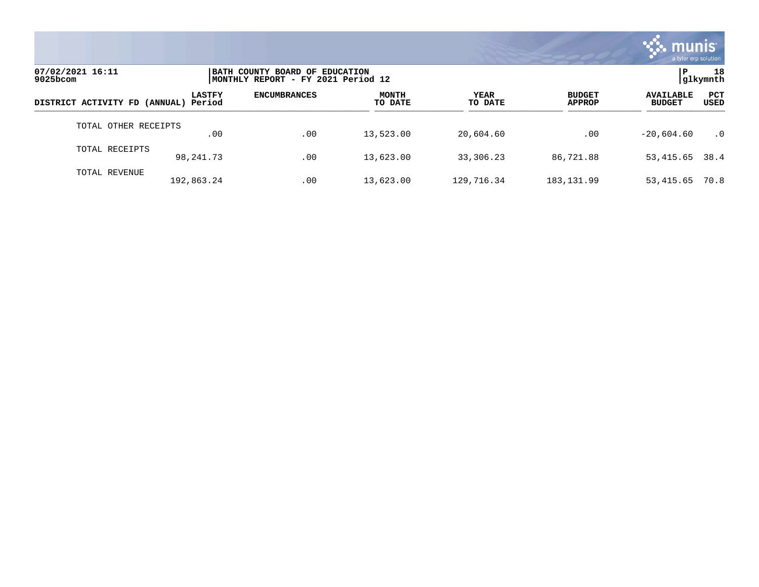

| 07/02/2021 16:11<br>$9025$ bcom      |               | BATH COUNTY BOARD OF EDUCATION<br> MONTHLY REPORT - FY 2021 Period 12 |                         |                        |                                |                                   |                    |
|--------------------------------------|---------------|-----------------------------------------------------------------------|-------------------------|------------------------|--------------------------------|-----------------------------------|--------------------|
| DISTRICT ACTIVITY FD (ANNUAL) Period | <b>LASTFY</b> | <b>ENCUMBRANCES</b>                                                   | <b>MONTH</b><br>TO DATE | <b>YEAR</b><br>TO DATE | <b>BUDGET</b><br><b>APPROP</b> | <b>AVAILABLE</b><br><b>BUDGET</b> | <b>PCT</b><br>USED |
| TOTAL OTHER RECEIPTS                 | .00           | .00                                                                   | 13,523.00               | 20,604.60              | .00                            | $-20.604.60$                      | $\cdot$ 0          |
| TOTAL RECEIPTS                       | 98,241.73     | .00                                                                   | 13,623.00               | 33,306.23              | 86,721.88                      | 53, 415.65 38.4                   |                    |
| TOTAL REVENUE                        | 192,863.24    | .00                                                                   | 13,623.00               | 129,716.34             | 183, 131.99                    | 53,415.65                         | 70.8               |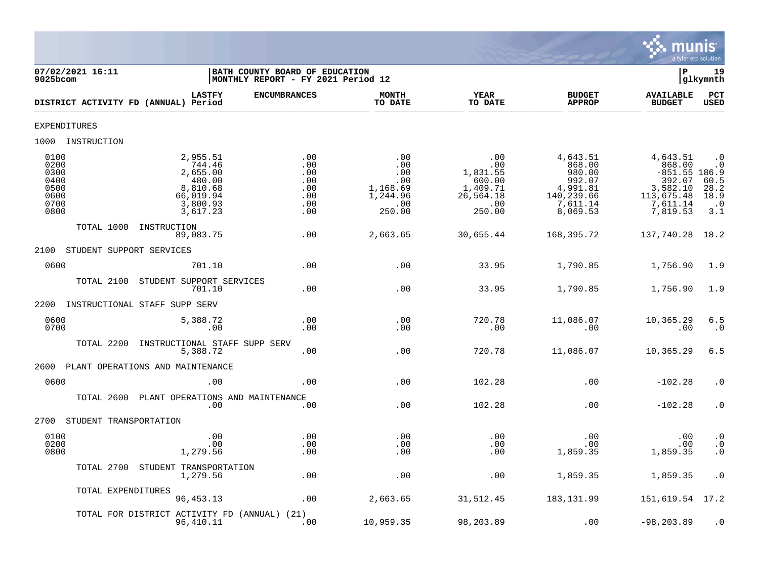

| 07/02/2021 16:11<br>9025bcom                                                                                                                              | BATH COUNTY BOARD OF EDUCATION<br>MONTHLY REPORT - FY 2021 Period 12 |                                                                   |                                                                            |                                                                                          | lР                                                                                                | 19<br> glkymnth                                                                             |
|-----------------------------------------------------------------------------------------------------------------------------------------------------------|----------------------------------------------------------------------|-------------------------------------------------------------------|----------------------------------------------------------------------------|------------------------------------------------------------------------------------------|---------------------------------------------------------------------------------------------------|---------------------------------------------------------------------------------------------|
| <b>LASTFY</b><br>DISTRICT ACTIVITY FD (ANNUAL) Period                                                                                                     | <b>ENCUMBRANCES</b>                                                  | <b>MONTH</b><br>TO DATE                                           | YEAR<br>TO DATE                                                            | <b>BUDGET</b><br><b>APPROP</b>                                                           | <b>AVAILABLE</b><br><b>BUDGET</b>                                                                 | PCT<br><b>USED</b>                                                                          |
| EXPENDITURES                                                                                                                                              |                                                                      |                                                                   |                                                                            |                                                                                          |                                                                                                   |                                                                                             |
| 1000 INSTRUCTION                                                                                                                                          |                                                                      |                                                                   |                                                                            |                                                                                          |                                                                                                   |                                                                                             |
| 0100<br>2,955.51<br>0200<br>744.46<br>0300<br>2,655.00<br>0400<br>480.00<br>0500<br>8,810.68<br>0600<br>66,019.94<br>0700<br>3,800.93<br>0800<br>3,617.23 | .00<br>.00<br>.00<br>.00<br>.00<br>.00<br>.00<br>.00                 | .00<br>.00<br>.00<br>.00<br>1,168.69<br>1,244.96<br>.00<br>250.00 | .00<br>.00<br>1,831.55<br>600.00<br>1,409.71<br>26,564.18<br>.00<br>250.00 | 4,643.51<br>868.00<br>980.00<br>992.07<br>4,991.81<br>140,239.66<br>7,611.14<br>8,069.53 | 4,643.51<br>868.00<br>$-851.55$ 186.9<br>392.07<br>3,582.10<br>113,675.48<br>7,611.14<br>7,819.53 | $\cdot$ 0<br>. 0<br>$\begin{array}{c} 60.5 \\ 28.2 \\ 18.9 \end{array}$<br>$\cdot$ 0<br>3.1 |
| TOTAL 1000<br>INSTRUCTION<br>89,083.75                                                                                                                    | .00                                                                  | 2,663.65                                                          | 30,655.44                                                                  | 168,395.72                                                                               | 137,740.28 18.2                                                                                   |                                                                                             |
| 2100<br>STUDENT SUPPORT SERVICES                                                                                                                          |                                                                      |                                                                   |                                                                            |                                                                                          |                                                                                                   |                                                                                             |
| 0600<br>701.10                                                                                                                                            | .00                                                                  | .00                                                               | 33.95                                                                      | 1,790.85                                                                                 | 1,756.90                                                                                          | 1.9                                                                                         |
| TOTAL 2100<br>STUDENT SUPPORT SERVICES<br>701.10                                                                                                          | .00                                                                  | .00                                                               | 33.95                                                                      | 1,790.85                                                                                 | 1,756.90                                                                                          | 1.9                                                                                         |
| INSTRUCTIONAL STAFF SUPP SERV<br>2200                                                                                                                     |                                                                      |                                                                   |                                                                            |                                                                                          |                                                                                                   |                                                                                             |
| 0600<br>5,388.72<br>0700<br>.00                                                                                                                           | .00<br>.00                                                           | .00<br>.00                                                        | 720.78<br>.00                                                              | 11,086.07<br>.00                                                                         | 10,365.29<br>.00                                                                                  | 6.5<br>$\cdot$ 0                                                                            |
| TOTAL 2200<br>INSTRUCTIONAL STAFF SUPP SERV<br>5,388.72                                                                                                   | .00                                                                  | .00                                                               | 720.78                                                                     | 11,086.07                                                                                | 10,365.29                                                                                         | 6.5                                                                                         |
| PLANT OPERATIONS AND MAINTENANCE<br>2600                                                                                                                  |                                                                      |                                                                   |                                                                            |                                                                                          |                                                                                                   |                                                                                             |
| 0600<br>.00                                                                                                                                               | .00                                                                  | .00                                                               | 102.28                                                                     | .00                                                                                      | $-102.28$                                                                                         | $\cdot$ 0                                                                                   |
| TOTAL 2600<br>.00                                                                                                                                         | PLANT OPERATIONS AND MAINTENANCE<br>.00                              | .00                                                               | 102.28                                                                     | .00                                                                                      | $-102.28$                                                                                         | $\cdot$ 0                                                                                   |
| 2700<br>STUDENT TRANSPORTATION                                                                                                                            |                                                                      |                                                                   |                                                                            |                                                                                          |                                                                                                   |                                                                                             |
| 0100<br>.00<br>0200<br>.00<br>0800<br>1,279.56                                                                                                            | .00<br>.00<br>.00                                                    | .00<br>$.00 \,$<br>.00                                            | .00<br>.00<br>.00                                                          | .00<br>$.00 \,$<br>1,859.35                                                              | .00<br>.00<br>1,859.35                                                                            | $\cdot$ 0<br>$\boldsymbol{\cdot}$ 0<br>$\cdot$ 0                                            |
| STUDENT TRANSPORTATION<br>TOTAL 2700<br>1,279.56                                                                                                          | .00                                                                  | .00                                                               | .00                                                                        | 1,859.35                                                                                 | 1,859.35                                                                                          | $\cdot$ 0                                                                                   |
| TOTAL EXPENDITURES<br>96,453.13                                                                                                                           | .00                                                                  | 2,663.65                                                          | 31,512.45                                                                  | 183, 131.99                                                                              | 151,619.54 17.2                                                                                   |                                                                                             |
| TOTAL FOR DISTRICT ACTIVITY FD (ANNUAL) (21)<br>96,410.11                                                                                                 | .00                                                                  | 10,959.35                                                         | 98,203.89                                                                  | .00                                                                                      | $-98, 203.89$                                                                                     | $\cdot$ 0                                                                                   |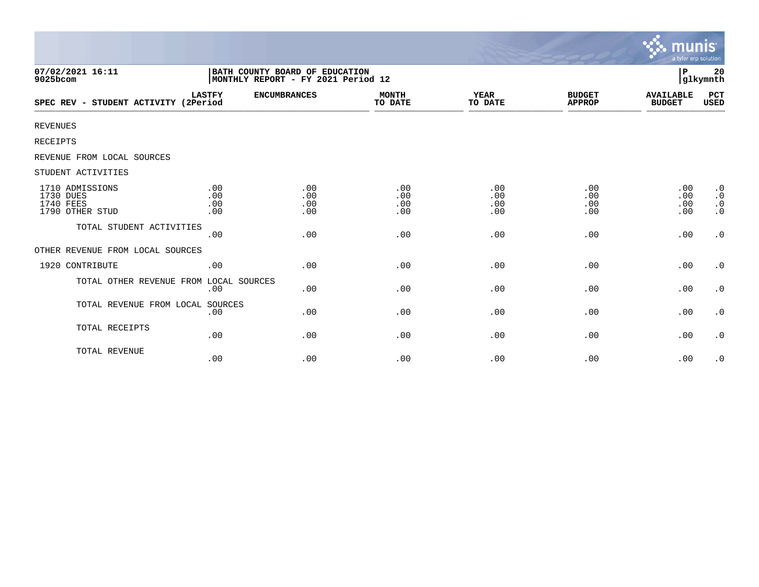|                                                              |                                                                      |                          |                          |                          |                                | munis<br>a tyler erp solution     |                                                  |
|--------------------------------------------------------------|----------------------------------------------------------------------|--------------------------|--------------------------|--------------------------|--------------------------------|-----------------------------------|--------------------------------------------------|
| 07/02/2021 16:11<br>9025bcom                                 | BATH COUNTY BOARD OF EDUCATION<br>MONTHLY REPORT - FY 2021 Period 12 |                          |                          |                          |                                | P                                 | 20<br>glkymnth                                   |
| SPEC REV - STUDENT ACTIVITY (2Period                         | <b>LASTFY</b>                                                        | <b>ENCUMBRANCES</b>      | <b>MONTH</b><br>TO DATE  | YEAR<br>TO DATE          | <b>BUDGET</b><br><b>APPROP</b> | <b>AVAILABLE</b><br><b>BUDGET</b> | PCT<br>USED                                      |
| <b>REVENUES</b>                                              |                                                                      |                          |                          |                          |                                |                                   |                                                  |
| RECEIPTS                                                     |                                                                      |                          |                          |                          |                                |                                   |                                                  |
| REVENUE FROM LOCAL SOURCES                                   |                                                                      |                          |                          |                          |                                |                                   |                                                  |
| STUDENT ACTIVITIES                                           |                                                                      |                          |                          |                          |                                |                                   |                                                  |
| 1710 ADMISSIONS<br>1730 DUES<br>1740 FEES<br>1790 OTHER STUD | .00<br>.00<br>.00<br>.00                                             | .00<br>.00<br>.00<br>.00 | .00<br>.00<br>.00<br>.00 | .00<br>.00<br>.00<br>.00 | .00<br>.00<br>.00<br>.00       | .00<br>.00<br>.00<br>.00          | $\cdot$ 0<br>$\cdot$ 0<br>$\cdot$ 0<br>$\cdot$ 0 |
| TOTAL STUDENT ACTIVITIES                                     | .00                                                                  | .00                      | .00                      | .00                      | .00                            | .00                               | $\cdot$ 0                                        |
| OTHER REVENUE FROM LOCAL SOURCES                             |                                                                      |                          |                          |                          |                                |                                   |                                                  |
| 1920 CONTRIBUTE                                              | .00                                                                  | .00                      | .00                      | .00                      | .00                            | .00                               | $\cdot$ 0                                        |
| TOTAL OTHER REVENUE FROM LOCAL SOURCES                       | .00                                                                  | .00                      | .00                      | .00                      | .00                            | .00                               | $\cdot$ 0                                        |
| TOTAL REVENUE FROM LOCAL                                     | SOURCES<br>.00                                                       | .00                      | .00                      | .00                      | .00                            | .00                               | $\cdot$ 0                                        |
| TOTAL RECEIPTS                                               | .00                                                                  | .00                      | .00                      | .00                      | .00                            | .00                               | $\cdot$ 0                                        |
| TOTAL REVENUE                                                | .00                                                                  | .00                      | .00                      | .00                      | .00                            | .00                               | $\cdot$ 0                                        |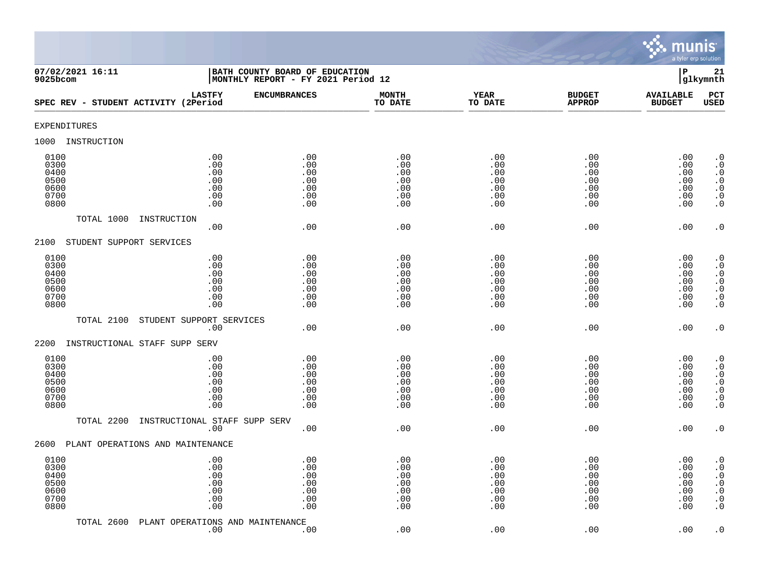

| 07/02/2021 16:11<br>9025bcom                         | BATH COUNTY BOARD OF EDUCATION<br>MONTHLY REPORT - FY 2021 Period 12 |                                               |                                               |                                               |                                               | $\, {\bf P}$                                  | 21<br>glkymnth                                                                                                                                    |
|------------------------------------------------------|----------------------------------------------------------------------|-----------------------------------------------|-----------------------------------------------|-----------------------------------------------|-----------------------------------------------|-----------------------------------------------|---------------------------------------------------------------------------------------------------------------------------------------------------|
| SPEC REV - STUDENT ACTIVITY (2Period                 | <b>LASTFY</b><br><b>ENCUMBRANCES</b>                                 |                                               | <b>MONTH</b><br>TO DATE                       | <b>YEAR</b><br>TO DATE                        | <b>BUDGET</b><br><b>APPROP</b>                | <b>AVAILABLE</b><br><b>BUDGET</b>             | PCT<br><b>USED</b>                                                                                                                                |
| <b>EXPENDITURES</b>                                  |                                                                      |                                               |                                               |                                               |                                               |                                               |                                                                                                                                                   |
| 1000<br>INSTRUCTION                                  |                                                                      |                                               |                                               |                                               |                                               |                                               |                                                                                                                                                   |
| 0100<br>0300<br>0400<br>0500<br>0600<br>0700<br>0800 | .00<br>.00<br>.00<br>.00<br>.00<br>.00<br>.00                        | .00<br>.00<br>.00<br>.00<br>.00<br>.00<br>.00 | .00<br>.00<br>.00<br>.00<br>.00<br>.00<br>.00 | .00<br>.00<br>.00<br>.00<br>.00<br>.00<br>.00 | .00<br>.00<br>.00<br>.00<br>.00<br>.00<br>.00 | .00<br>.00<br>.00<br>.00<br>.00<br>.00<br>.00 | $\cdot$ 0<br>$\boldsymbol{\cdot}$ 0<br>$\cdot$ 0<br>$\begin{smallmatrix} . & 0 \\ . & 0 \end{smallmatrix}$<br>$\boldsymbol{\cdot}$ 0<br>$\cdot$ 0 |
| TOTAL 1000                                           | INSTRUCTION<br>.00                                                   | .00                                           | .00                                           | .00                                           | .00                                           | .00                                           | $\cdot$ 0                                                                                                                                         |
| STUDENT SUPPORT SERVICES<br>2100                     |                                                                      |                                               |                                               |                                               |                                               |                                               |                                                                                                                                                   |
| 0100<br>0300<br>0400<br>0500<br>0600<br>0700<br>0800 | .00<br>.00<br>.00<br>.00<br>.00<br>.00<br>.00                        | .00<br>.00<br>.00<br>.00<br>.00<br>.00<br>.00 | .00<br>.00<br>.00<br>.00<br>.00<br>.00<br>.00 | .00<br>.00<br>.00<br>.00<br>.00<br>.00<br>.00 | .00<br>.00<br>.00<br>.00<br>.00<br>.00<br>.00 | .00<br>.00<br>.00<br>.00<br>.00<br>.00<br>.00 | $\begin{smallmatrix} 0.1 \\ 0.1 \end{smallmatrix}$<br>$\cdot$ 0<br>$\begin{matrix} 0 \\ 0 \\ 0 \end{matrix}$<br>$\overline{0}$<br>$\cdot$ 0       |
| TOTAL 2100                                           | STUDENT SUPPORT SERVICES<br>.00                                      | .00                                           | .00                                           | .00                                           | .00                                           | .00                                           | $\cdot$ 0                                                                                                                                         |
| 2200                                                 | INSTRUCTIONAL STAFF SUPP SERV                                        |                                               |                                               |                                               |                                               |                                               |                                                                                                                                                   |
| 0100<br>0300<br>0400<br>0500<br>0600<br>0700<br>0800 | .00<br>.00<br>.00<br>.00<br>.00<br>.00<br>.00                        | .00<br>.00<br>.00<br>.00<br>.00<br>.00<br>.00 | .00<br>.00<br>.00<br>.00<br>.00<br>.00<br>.00 | .00<br>.00<br>.00<br>.00<br>.00<br>.00<br>.00 | .00<br>.00<br>.00<br>.00<br>.00<br>.00<br>.00 | .00<br>.00<br>.00<br>.00<br>.00<br>.00<br>.00 | $\cdot$ 0<br>$\overline{0}$<br>$\cdot$ 0<br>$\ddot{0}$<br>$\boldsymbol{\cdot}$ 0<br>$\boldsymbol{\cdot}$ 0<br>$\ddot{0}$                          |
| TOTAL 2200                                           | INSTRUCTIONAL STAFF SUPP SERV<br>.00                                 | .00                                           | .00                                           | .00                                           | .00                                           | .00                                           | $\cdot$ 0                                                                                                                                         |
| 2600                                                 | PLANT OPERATIONS AND MAINTENANCE                                     |                                               |                                               |                                               |                                               |                                               |                                                                                                                                                   |
| 0100<br>0300<br>0400<br>0500<br>0600<br>0700<br>0800 | .00<br>.00<br>.00<br>.00<br>.00<br>.00<br>.00                        | .00<br>.00<br>.00<br>.00<br>.00<br>.00<br>.00 | .00<br>.00<br>.00<br>.00<br>.00<br>.00<br>.00 | .00<br>.00<br>.00<br>.00<br>.00<br>.00<br>.00 | .00<br>.00<br>.00<br>.00<br>.00<br>.00<br>.00 | .00<br>.00<br>.00<br>.00<br>.00<br>.00<br>.00 | $\cdot$ 0<br>$\cdot$ 0<br>$\boldsymbol{\cdot}$ 0<br>$\boldsymbol{\cdot}$ 0<br>$\boldsymbol{\cdot}$ 0<br>$\cdot$ 0<br>$\cdot$ 0                    |
| TOTAL 2600                                           | PLANT OPERATIONS AND MAINTENANCE<br>.00                              | .00                                           | .00                                           | .00                                           | .00                                           | .00                                           | $\cdot$ 0                                                                                                                                         |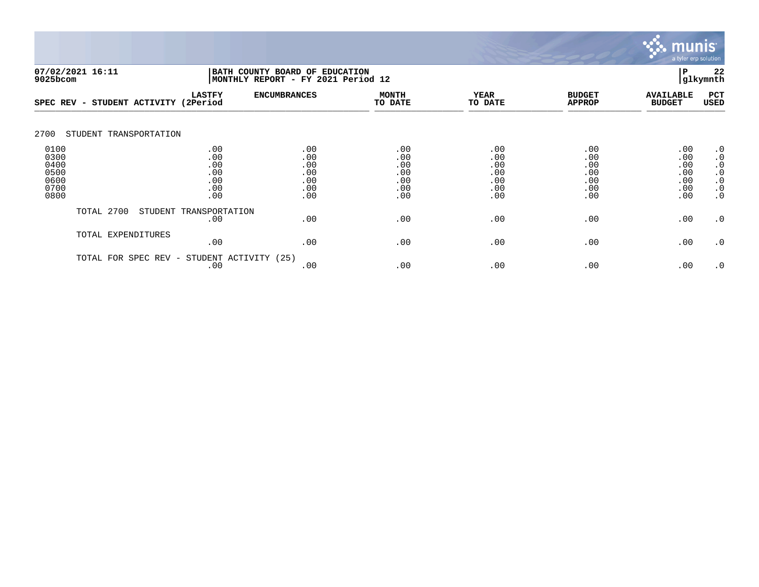

| 07/02/2021 16:11<br>$9025$ bcom                      | BATH COUNTY BOARD OF EDUCATION<br>MONTHLY REPORT - FY 2021 Period 12 | P<br>glkymnth                                 |                                               |                                               |                                               |                                               |                                                                                         |
|------------------------------------------------------|----------------------------------------------------------------------|-----------------------------------------------|-----------------------------------------------|-----------------------------------------------|-----------------------------------------------|-----------------------------------------------|-----------------------------------------------------------------------------------------|
| SPEC REV - STUDENT ACTIVITY (2Period                 | <b>LASTFY</b>                                                        | <b>ENCUMBRANCES</b>                           | <b>MONTH</b><br>TO DATE                       | <b>YEAR</b><br>TO DATE                        | <b>BUDGET</b><br><b>APPROP</b>                | <b>AVAILABLE</b><br><b>BUDGET</b>             | PCT<br>USED                                                                             |
| 2700<br>STUDENT TRANSPORTATION                       |                                                                      |                                               |                                               |                                               |                                               |                                               |                                                                                         |
| 0100<br>0300<br>0400<br>0500<br>0600<br>0700<br>0800 | .00<br>.00<br>.00<br>.00<br>.00<br>.00<br>.00                        | .00<br>.00<br>.00<br>.00<br>.00<br>.00<br>.00 | .00<br>.00<br>.00<br>.00<br>.00<br>.00<br>.00 | .00<br>.00<br>.00<br>.00<br>.00<br>.00<br>.00 | .00<br>.00<br>.00<br>.00<br>.00<br>.00<br>.00 | .00<br>.00<br>.00<br>.00<br>.00<br>.00<br>.00 | $\cdot$ 0<br>$\cdot$ 0<br>$\cdot$ 0<br>$\cdot$ 0<br>$\cdot$ 0<br>$\cdot$ 0<br>$\cdot$ 0 |
| TOTAL 2700                                           | STUDENT TRANSPORTATION<br>.00                                        | .00                                           | .00                                           | .00                                           | .00                                           | .00                                           | .0                                                                                      |
| TOTAL EXPENDITURES                                   | .00                                                                  | .00                                           | .00                                           | .00                                           | .00                                           | .00                                           | .0                                                                                      |
| TOTAL FOR SPEC REV -                                 | .00                                                                  | STUDENT ACTIVITY (25)<br>.00                  | .00                                           | .00                                           | .00                                           | .00                                           | $\cdot$ 0                                                                               |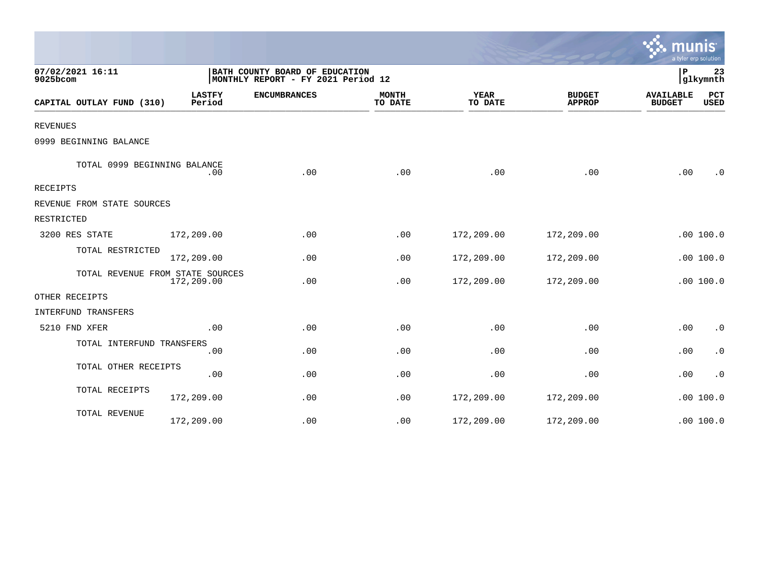|                                  |                         |                                                                      |                         |                        |                                | a tyler erp solution              |                    |
|----------------------------------|-------------------------|----------------------------------------------------------------------|-------------------------|------------------------|--------------------------------|-----------------------------------|--------------------|
| 07/02/2021 16:11<br>9025bcom     |                         | BATH COUNTY BOARD OF EDUCATION<br>MONTHLY REPORT - FY 2021 Period 12 |                         |                        |                                | P                                 | 23<br>glkymnth     |
| CAPITAL OUTLAY FUND (310)        | <b>LASTFY</b><br>Period | <b>ENCUMBRANCES</b>                                                  | <b>MONTH</b><br>TO DATE | <b>YEAR</b><br>TO DATE | <b>BUDGET</b><br><b>APPROP</b> | <b>AVAILABLE</b><br><b>BUDGET</b> | PCT<br><b>USED</b> |
| <b>REVENUES</b>                  |                         |                                                                      |                         |                        |                                |                                   |                    |
| 0999 BEGINNING BALANCE           |                         |                                                                      |                         |                        |                                |                                   |                    |
| TOTAL 0999 BEGINNING BALANCE     | .00                     | .00                                                                  | .00                     | .00                    | .00                            | .00                               | $\cdot$ 0          |
| RECEIPTS                         |                         |                                                                      |                         |                        |                                |                                   |                    |
| REVENUE FROM STATE SOURCES       |                         |                                                                      |                         |                        |                                |                                   |                    |
| RESTRICTED                       |                         |                                                                      |                         |                        |                                |                                   |                    |
| 3200 RES STATE                   | 172,209.00              | .00                                                                  | .00                     | 172,209.00             | 172,209.00                     |                                   | .00100.0           |
| TOTAL RESTRICTED                 | 172,209.00              | .00                                                                  | .00                     | 172,209.00             | 172,209.00                     |                                   | .00 100.0          |
| TOTAL REVENUE FROM STATE SOURCES | 172,209.00              | .00                                                                  | .00                     | 172,209.00             | 172,209.00                     |                                   | .00 100.0          |
| OTHER RECEIPTS                   |                         |                                                                      |                         |                        |                                |                                   |                    |
| <b>INTERFUND TRANSFERS</b>       |                         |                                                                      |                         |                        |                                |                                   |                    |
| 5210 FND XFER                    | .00                     | .00                                                                  | .00                     | .00                    | .00                            | .00                               | $\cdot$ 0          |
| TOTAL INTERFUND TRANSFERS        | .00                     | .00                                                                  | .00                     | .00                    | .00                            | .00                               | $\cdot$ 0          |
| TOTAL OTHER RECEIPTS             | .00                     | .00                                                                  | .00                     | .00                    | .00                            | .00                               | $\cdot$ 0          |
| TOTAL RECEIPTS                   | 172,209.00              | .00                                                                  | .00                     | 172,209.00             | 172,209.00                     |                                   | .00 100.0          |
| TOTAL REVENUE                    | 172,209.00              | .00                                                                  | .00                     | 172,209.00             | 172,209.00                     |                                   | .00 100.0          |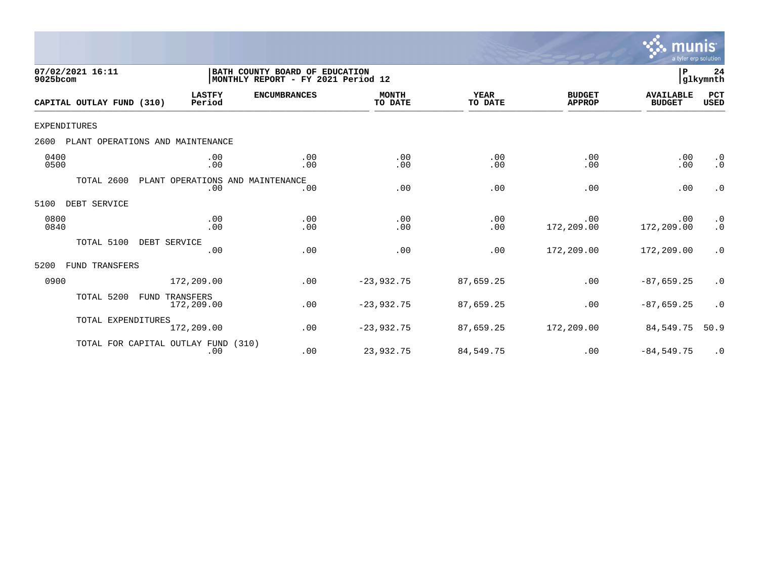

| 07/02/2021 16:11<br>9025bcom             |                                         | BATH COUNTY BOARD OF EDUCATION<br>MONTHLY REPORT - FY 2021 Period 12 |                         |                        |                                | P                                 | 24<br>glkymnth                                     |
|------------------------------------------|-----------------------------------------|----------------------------------------------------------------------|-------------------------|------------------------|--------------------------------|-----------------------------------|----------------------------------------------------|
| CAPITAL OUTLAY FUND (310)                | <b>LASTFY</b><br>Period                 | <b>ENCUMBRANCES</b>                                                  | <b>MONTH</b><br>TO DATE | <b>YEAR</b><br>TO DATE | <b>BUDGET</b><br><b>APPROP</b> | <b>AVAILABLE</b><br><b>BUDGET</b> | PCT<br><b>USED</b>                                 |
| <b>EXPENDITURES</b>                      |                                         |                                                                      |                         |                        |                                |                                   |                                                    |
| 2600<br>PLANT OPERATIONS AND MAINTENANCE |                                         |                                                                      |                         |                        |                                |                                   |                                                    |
| 0400<br>0500                             | .00<br>.00                              | .00<br>.00                                                           | .00<br>.00              | .00<br>.00             | .00<br>.00                     | .00<br>.00                        | $\cdot$ 0<br>$\cdot$ 0                             |
| TOTAL 2600                               | PLANT OPERATIONS AND MAINTENANCE<br>.00 | .00                                                                  | .00                     | .00                    | .00                            | .00                               | $\cdot$ 0                                          |
| DEBT SERVICE<br>5100                     |                                         |                                                                      |                         |                        |                                |                                   |                                                    |
| 0800<br>0840                             | .00<br>.00                              | .00<br>.00                                                           | .00<br>.00              | .00<br>.00             | .00<br>172,209.00              | .00<br>172,209.00                 | $\begin{smallmatrix} 0.1 \\ 0.1 \end{smallmatrix}$ |
| TOTAL 5100                               | DEBT SERVICE<br>.00                     | .00                                                                  | .00                     | .00                    | 172,209.00                     | 172,209.00                        | $\cdot$ 0                                          |
| 5200<br>FUND TRANSFERS                   |                                         |                                                                      |                         |                        |                                |                                   |                                                    |
| 0900                                     | 172,209.00                              | .00                                                                  | $-23,932.75$            | 87,659.25              | .00                            | $-87,659.25$                      | $\cdot$ 0                                          |
| TOTAL 5200<br>FUND                       | TRANSFERS<br>172,209.00                 | .00                                                                  | $-23,932.75$            | 87,659.25              | .00                            | $-87,659.25$                      | $\cdot$ 0                                          |
| TOTAL EXPENDITURES                       | 172,209.00                              | .00                                                                  | $-23,932.75$            | 87,659.25              | 172,209.00                     | 84,549.75                         | 50.9                                               |
| TOTAL FOR CAPITAL OUTLAY FUND            | .00                                     | (310)<br>.00                                                         | 23,932.75               | 84,549.75              | .00                            | $-84,549.75$                      | $\cdot$ 0                                          |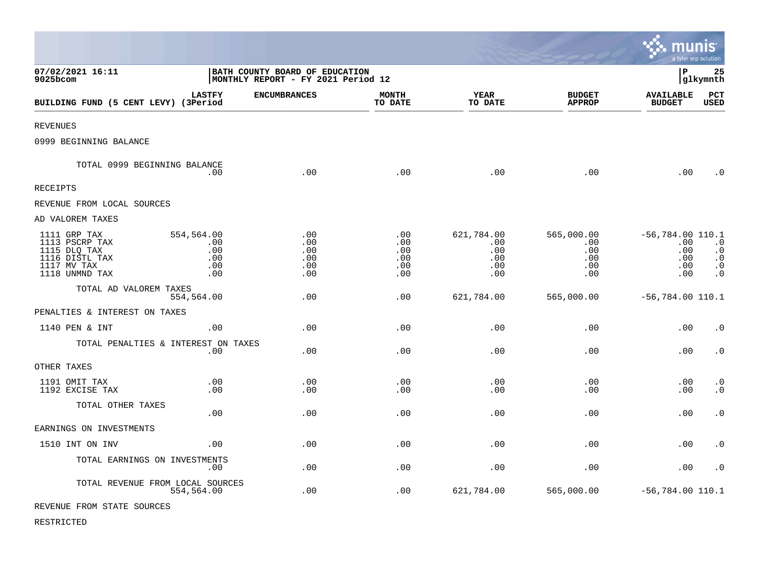|                                                                                                   |                                                                      |                                        |                                        |                                               |                                               | munis                                                 | a tyler erp solution                                           |
|---------------------------------------------------------------------------------------------------|----------------------------------------------------------------------|----------------------------------------|----------------------------------------|-----------------------------------------------|-----------------------------------------------|-------------------------------------------------------|----------------------------------------------------------------|
| 07/02/2021 16:11<br>9025bcom                                                                      | BATH COUNTY BOARD OF EDUCATION<br>MONTHLY REPORT - FY 2021 Period 12 |                                        |                                        |                                               |                                               | l P                                                   | 25<br>glkymnth                                                 |
| BUILDING FUND (5 CENT LEVY) (3Period                                                              | <b>LASTFY</b>                                                        | <b>ENCUMBRANCES</b>                    | <b>MONTH</b><br>TO DATE                | YEAR<br>TO DATE                               | <b>BUDGET</b><br><b>APPROP</b>                | <b>AVAILABLE</b><br><b>BUDGET</b>                     | <b>PCT</b><br><b>USED</b>                                      |
| <b>REVENUES</b>                                                                                   |                                                                      |                                        |                                        |                                               |                                               |                                                       |                                                                |
| 0999 BEGINNING BALANCE                                                                            |                                                                      |                                        |                                        |                                               |                                               |                                                       |                                                                |
| TOTAL 0999 BEGINNING BALANCE                                                                      | .00                                                                  | .00                                    | .00                                    | .00                                           | .00                                           | .00                                                   | $\cdot$ 0                                                      |
| RECEIPTS                                                                                          |                                                                      |                                        |                                        |                                               |                                               |                                                       |                                                                |
| REVENUE FROM LOCAL SOURCES                                                                        |                                                                      |                                        |                                        |                                               |                                               |                                                       |                                                                |
| AD VALOREM TAXES                                                                                  |                                                                      |                                        |                                        |                                               |                                               |                                                       |                                                                |
| 1111 GRP TAX<br>1113 PSCRP TAX<br>1115 DLQ TAX<br>1116 DISTL TAX<br>1117 MV TAX<br>1118 UNMND TAX | 554,564.00<br>.00<br>.00<br>.00<br>.00<br>.00                        | .00<br>.00<br>.00<br>.00<br>.00<br>.00 | .00<br>.00<br>.00<br>.00<br>.00<br>.00 | 621,784.00<br>.00<br>.00<br>.00<br>.00<br>.00 | 565,000.00<br>.00<br>.00<br>.00<br>.00<br>.00 | $-56,784.00$ 110.1<br>.00<br>.00<br>.00<br>.00<br>.00 | $\cdot$ 0<br>$\ddot{0}$<br>$\cdot$ 0<br>$\cdot$ 0<br>$\cdot$ 0 |
| TOTAL AD VALOREM TAXES                                                                            | 554,564.00                                                           | .00                                    | .00                                    | 621,784.00                                    | 565,000.00                                    | $-56,784.00$ 110.1                                    |                                                                |
| PENALTIES & INTEREST ON TAXES                                                                     |                                                                      |                                        |                                        |                                               |                                               |                                                       |                                                                |
| 1140 PEN & INT                                                                                    | .00                                                                  | .00                                    | .00                                    | .00                                           | .00                                           | .00                                                   | $\cdot$ 0                                                      |
| TOTAL PENALTIES & INTEREST ON TAXES                                                               | .00                                                                  | .00                                    | .00                                    | .00                                           | .00                                           | .00                                                   | $\cdot$ 0                                                      |
| OTHER TAXES                                                                                       |                                                                      |                                        |                                        |                                               |                                               |                                                       |                                                                |
| 1191 OMIT TAX<br>1192 EXCISE TAX                                                                  | .00<br>.00                                                           | .00<br>.00                             | .00<br>.00                             | .00<br>.00                                    | .00<br>.00                                    | .00<br>.00                                            | $\cdot$ 0<br>$\cdot$ 0                                         |
| TOTAL OTHER TAXES                                                                                 | .00                                                                  | .00                                    | .00                                    | .00                                           | .00                                           | .00                                                   | $\cdot$ 0                                                      |
| EARNINGS ON INVESTMENTS                                                                           |                                                                      |                                        |                                        |                                               |                                               |                                                       |                                                                |
| 1510 INT ON INV                                                                                   | .00                                                                  | .00                                    | .00                                    | .00                                           | .00                                           | .00                                                   | $\cdot$ 0                                                      |
| TOTAL EARNINGS ON INVESTMENTS                                                                     | .00                                                                  | .00                                    | .00                                    | .00                                           | .00                                           | .00                                                   | $\cdot$ 0                                                      |
| TOTAL REVENUE FROM LOCAL SOURCES                                                                  | 554,564.00                                                           | .00                                    | .00                                    | 621,784.00                                    | 565,000.00                                    | $-56,784.00$ 110.1                                    |                                                                |
| REVENUE FROM STATE SOURCES                                                                        |                                                                      |                                        |                                        |                                               |                                               |                                                       |                                                                |

 $\mathcal{L}$ 

RESTRICTED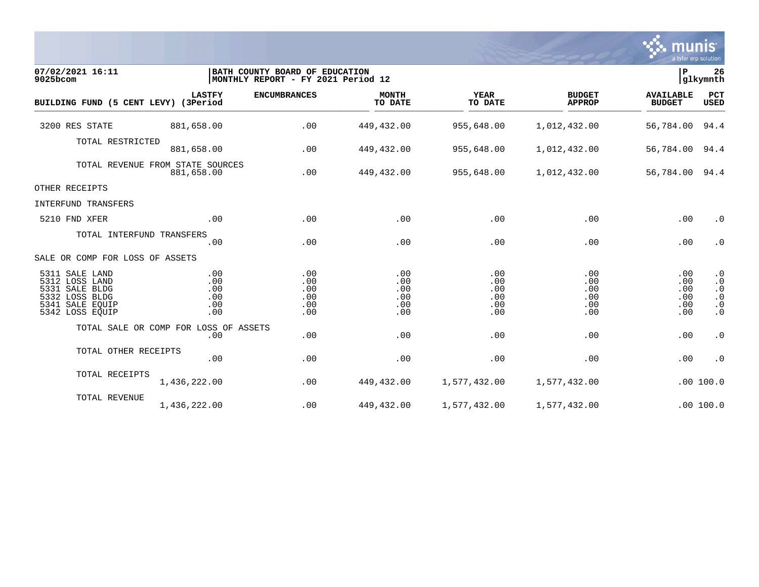

| 07/02/2021 16:11<br>9025bcom                                                                                  |                                                | BATH COUNTY BOARD OF EDUCATION<br>MONTHLY REPORT - FY 2021 Period 12 |                                        |                                        |                                        |                                        |                                                                            |  |
|---------------------------------------------------------------------------------------------------------------|------------------------------------------------|----------------------------------------------------------------------|----------------------------------------|----------------------------------------|----------------------------------------|----------------------------------------|----------------------------------------------------------------------------|--|
| BUILDING FUND (5 CENT LEVY) (3Period                                                                          | <b>LASTFY</b>                                  | <b>ENCUMBRANCES</b>                                                  | <b>MONTH</b><br>TO DATE                | <b>YEAR</b><br>TO DATE                 | <b>BUDGET</b><br><b>APPROP</b>         | <b>AVAILABLE</b><br><b>BUDGET</b>      | PCT<br><b>USED</b>                                                         |  |
| 3200 RES STATE                                                                                                | 881,658.00                                     | .00                                                                  | 449,432.00                             | 955,648.00                             | 1,012,432.00                           | 56,784.00 94.4                         |                                                                            |  |
| TOTAL RESTRICTED                                                                                              | 881,658.00                                     | .00                                                                  | 449,432.00                             | 955,648.00                             | 1,012,432.00                           | 56,784.00 94.4                         |                                                                            |  |
|                                                                                                               | TOTAL REVENUE FROM STATE SOURCES<br>881,658.00 | .00                                                                  | 449,432.00                             | 955,648.00                             | 1,012,432.00                           | 56,784.00 94.4                         |                                                                            |  |
| OTHER RECEIPTS                                                                                                |                                                |                                                                      |                                        |                                        |                                        |                                        |                                                                            |  |
| INTERFUND TRANSFERS                                                                                           |                                                |                                                                      |                                        |                                        |                                        |                                        |                                                                            |  |
| 5210 FND XFER                                                                                                 | .00                                            | .00                                                                  | .00                                    | .00                                    | .00                                    | .00                                    | $\cdot$ 0                                                                  |  |
| TOTAL INTERFUND TRANSFERS                                                                                     | .00                                            | .00                                                                  | .00                                    | .00                                    | .00                                    | .00                                    | $\cdot$ 0                                                                  |  |
| SALE OR COMP FOR LOSS OF ASSETS                                                                               |                                                |                                                                      |                                        |                                        |                                        |                                        |                                                                            |  |
| 5311 SALE LAND<br>5312 LOSS LAND<br>5331 SALE BLDG<br>5332 LOSS BLDG<br>5341<br>SALE EOUIP<br>5342 LOSS EQUIP | .00<br>.00<br>.00<br>.00<br>.00<br>.00         | .00<br>.00<br>.00<br>.00<br>.00<br>.00                               | .00<br>.00<br>.00<br>.00<br>.00<br>.00 | .00<br>.00<br>.00<br>.00<br>.00<br>.00 | .00<br>.00<br>.00<br>.00<br>.00<br>.00 | .00<br>.00<br>.00<br>.00<br>.00<br>.00 | $\cdot$ 0<br>$\cdot$ 0<br>$\cdot$ 0<br>$\cdot$ 0<br>$\cdot$ 0<br>$\cdot$ 0 |  |
|                                                                                                               | TOTAL SALE OR COMP FOR LOSS OF ASSETS<br>.00   | .00                                                                  | .00                                    | .00                                    | .00                                    | .00                                    | $\cdot$ 0                                                                  |  |
| TOTAL OTHER RECEIPTS                                                                                          | .00                                            | .00                                                                  | .00                                    | .00                                    | .00                                    | .00                                    | $\cdot$ 0                                                                  |  |
| TOTAL RECEIPTS                                                                                                | 1,436,222.00                                   | .00                                                                  | 449,432.00                             | 1,577,432.00                           | 1,577,432.00                           |                                        | .00 100.0                                                                  |  |
| TOTAL REVENUE                                                                                                 | 1,436,222.00                                   | .00                                                                  | 449,432.00                             | 1,577,432.00                           | 1,577,432.00                           |                                        | .00 100.0                                                                  |  |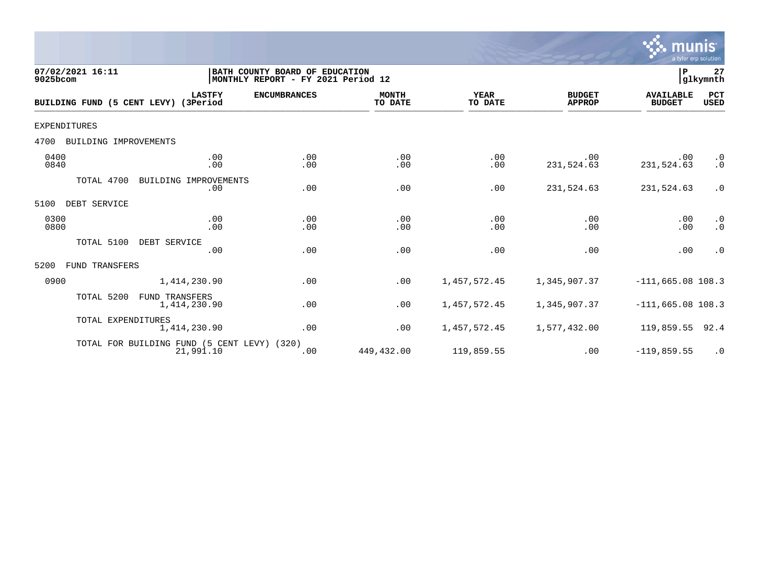

| 07/02/2021 16:11<br>9025bcom         |                                                          | BATH COUNTY BOARD OF EDUCATION<br> MONTHLY REPORT - FY 2021 Period 12 |                         |                        |                                | ∣₽                                | 27<br>glkymnth            |
|--------------------------------------|----------------------------------------------------------|-----------------------------------------------------------------------|-------------------------|------------------------|--------------------------------|-----------------------------------|---------------------------|
| BUILDING FUND (5 CENT LEVY) (3Period | <b>LASTFY</b>                                            | <b>ENCUMBRANCES</b>                                                   | <b>MONTH</b><br>TO DATE | <b>YEAR</b><br>TO DATE | <b>BUDGET</b><br><b>APPROP</b> | <b>AVAILABLE</b><br><b>BUDGET</b> | <b>PCT</b><br><b>USED</b> |
| EXPENDITURES                         |                                                          |                                                                       |                         |                        |                                |                                   |                           |
| BUILDING IMPROVEMENTS<br>4700        |                                                          |                                                                       |                         |                        |                                |                                   |                           |
| 0400<br>0840                         | .00<br>.00                                               | .00<br>.00                                                            | .00<br>.00              | .00<br>.00             | .00<br>231,524.63              | .00<br>231,524.63                 | $\cdot$ 0<br>$\cdot$ 0    |
| TOTAL 4700                           | BUILDING IMPROVEMENTS<br>.00                             | .00                                                                   | .00                     | .00                    | 231,524.63                     | 231,524.63                        | $\cdot$ 0                 |
| 5100<br>DEBT SERVICE                 |                                                          |                                                                       |                         |                        |                                |                                   |                           |
| 0300<br>0800                         | .00<br>.00                                               | .00<br>.00                                                            | .00<br>.00              | .00<br>.00             | .00<br>.00                     | .00<br>.00                        | $\cdot$ 0<br>$\cdot$ 0    |
| TOTAL 5100                           | DEBT SERVICE<br>.00                                      | .00                                                                   | .00                     | .00                    | .00                            | .00                               | $\cdot$ 0                 |
| 5200<br><b>FUND TRANSFERS</b>        |                                                          |                                                                       |                         |                        |                                |                                   |                           |
| 0900                                 | 1,414,230.90                                             | .00                                                                   | .00                     | 1,457,572.45           | 1,345,907.37                   | $-111,665.08$ 108.3               |                           |
| TOTAL 5200                           | <b>FUND TRANSFERS</b><br>1,414,230.90                    | .00                                                                   | .00                     | 1, 457, 572.45         | 1,345,907.37                   | $-111,665.08$ 108.3               |                           |
| TOTAL EXPENDITURES                   | 1,414,230.90                                             | .00                                                                   | .00                     | 1,457,572.45           | 1,577,432.00                   | 119,859.55                        | 92.4                      |
|                                      | TOTAL FOR BUILDING FUND (5 CENT LEVY) (320)<br>21,991.10 | .00                                                                   | 449,432.00              | 119,859.55             | $.00 \ \rm$                    | $-119,859.55$                     | $\cdot$ 0                 |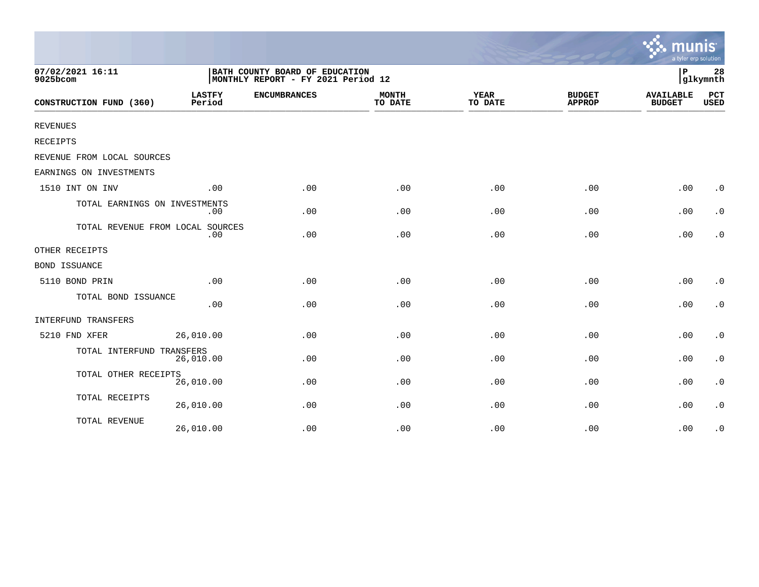|                                  |                                                                      |                     |                         |                        |                                | a tyler erp solution              |                        |
|----------------------------------|----------------------------------------------------------------------|---------------------|-------------------------|------------------------|--------------------------------|-----------------------------------|------------------------|
| 07/02/2021 16:11<br>9025bcom     | BATH COUNTY BOARD OF EDUCATION<br>MONTHLY REPORT - FY 2021 Period 12 |                     |                         |                        |                                |                                   | 28<br>glkymnth         |
| CONSTRUCTION FUND (360)          | <b>LASTFY</b><br>Period                                              | <b>ENCUMBRANCES</b> | <b>MONTH</b><br>TO DATE | <b>YEAR</b><br>TO DATE | <b>BUDGET</b><br><b>APPROP</b> | <b>AVAILABLE</b><br><b>BUDGET</b> | PCT<br><b>USED</b>     |
| <b>REVENUES</b>                  |                                                                      |                     |                         |                        |                                |                                   |                        |
| RECEIPTS                         |                                                                      |                     |                         |                        |                                |                                   |                        |
| REVENUE FROM LOCAL SOURCES       |                                                                      |                     |                         |                        |                                |                                   |                        |
| EARNINGS ON INVESTMENTS          |                                                                      |                     |                         |                        |                                |                                   |                        |
| 1510 INT ON INV                  | .00                                                                  | .00                 | .00                     | .00                    | .00                            | .00                               | $\cdot$ 0              |
| TOTAL EARNINGS ON INVESTMENTS    | .00                                                                  | .00                 | .00                     | .00                    | .00                            | .00                               | $\cdot$ 0              |
| TOTAL REVENUE FROM LOCAL SOURCES | .00                                                                  | .00                 | .00                     | .00                    | .00                            | .00                               | $\cdot$ 0              |
| OTHER RECEIPTS                   |                                                                      |                     |                         |                        |                                |                                   |                        |
| <b>BOND ISSUANCE</b>             |                                                                      |                     |                         |                        |                                |                                   |                        |
| 5110 BOND PRIN                   | .00                                                                  | .00                 | .00                     | .00                    | .00                            | .00                               | $\cdot$ 0              |
| TOTAL BOND ISSUANCE              | .00                                                                  | .00                 | .00                     | .00                    | .00                            | .00                               | $\cdot$ 0              |
| INTERFUND TRANSFERS              |                                                                      |                     |                         |                        |                                |                                   |                        |
| 5210 FND XFER                    | 26,010.00                                                            | .00                 | .00                     | .00                    | .00                            | .00                               | $\boldsymbol{\cdot}$ 0 |
| TOTAL INTERFUND TRANSFERS        | 26,010.00                                                            | .00                 | .00                     | .00                    | .00                            | .00                               | $\cdot$ 0              |
| TOTAL OTHER RECEIPTS             | 26,010.00                                                            | .00                 | .00                     | .00                    | .00                            | .00                               | $\boldsymbol{\cdot}$ 0 |
| TOTAL RECEIPTS                   | 26,010.00                                                            | .00                 | .00                     | .00                    | .00                            | .00                               | $\cdot$ 0              |
| TOTAL REVENUE                    | 26,010.00                                                            | .00                 | .00                     | .00                    | .00                            | .00                               | $\cdot$ 0              |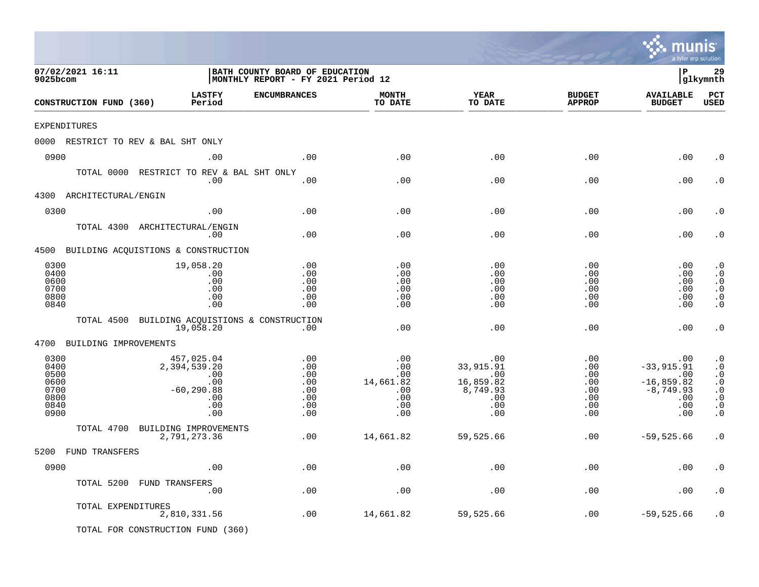|                                                              |                                                         |                                                                                |                                                                      |                                                            |                                                                            |                                                                | a tyler erp solution                                                            |                                                                                                                   |
|--------------------------------------------------------------|---------------------------------------------------------|--------------------------------------------------------------------------------|----------------------------------------------------------------------|------------------------------------------------------------|----------------------------------------------------------------------------|----------------------------------------------------------------|---------------------------------------------------------------------------------|-------------------------------------------------------------------------------------------------------------------|
| 07/02/2021 16:11<br>9025bcom                                 |                                                         |                                                                                | BATH COUNTY BOARD OF EDUCATION<br>MONTHLY REPORT - FY 2021 Period 12 |                                                            |                                                                            |                                                                | l P                                                                             | 29<br> glkymnth                                                                                                   |
| CONSTRUCTION FUND (360)                                      |                                                         | <b>LASTFY</b><br>Period                                                        | <b>ENCUMBRANCES</b>                                                  | <b>MONTH</b><br>TO DATE                                    | <b>YEAR</b><br>TO DATE                                                     | <b>BUDGET</b><br><b>APPROP</b>                                 | <b>AVAILABLE</b><br><b>BUDGET</b>                                               | PCT<br><b>USED</b>                                                                                                |
| EXPENDITURES                                                 |                                                         |                                                                                |                                                                      |                                                            |                                                                            |                                                                |                                                                                 |                                                                                                                   |
|                                                              | 0000 RESTRICT TO REV & BAL SHT ONLY                     |                                                                                |                                                                      |                                                            |                                                                            |                                                                |                                                                                 |                                                                                                                   |
| 0900                                                         |                                                         | .00                                                                            | .00                                                                  | .00                                                        | .00                                                                        | .00                                                            | .00                                                                             | . 0                                                                                                               |
|                                                              | TOTAL 0000 RESTRICT TO REV & BAL SHT ONLY               | .00                                                                            | .00                                                                  | .00                                                        | .00                                                                        | .00                                                            | .00                                                                             | . 0                                                                                                               |
| 4300                                                         | ARCHITECTURAL/ENGIN                                     |                                                                                |                                                                      |                                                            |                                                                            |                                                                |                                                                                 |                                                                                                                   |
| 0300                                                         |                                                         | .00                                                                            | .00                                                                  | .00                                                        | .00                                                                        | .00                                                            | .00                                                                             | . 0                                                                                                               |
|                                                              | TOTAL 4300 ARCHITECTURAL/ENGIN                          | .00                                                                            | .00                                                                  | .00                                                        | .00                                                                        | .00                                                            | .00                                                                             | . 0                                                                                                               |
|                                                              | 4500 BUILDING ACQUISTIONS & CONSTRUCTION                |                                                                                |                                                                      |                                                            |                                                                            |                                                                |                                                                                 |                                                                                                                   |
| 0300<br>0400<br>0600<br>0700<br>0800<br>0840                 |                                                         | 19,058.20<br>.00<br>.00<br>.00<br>.00<br>.00                                   | .00<br>.00<br>.00<br>.00<br>.00<br>.00                               | .00<br>.00<br>.00<br>.00<br>.00<br>.00                     | .00<br>.00<br>.00<br>.00<br>.00<br>.00                                     | .00<br>.00<br>.00<br>.00<br>.00<br>.00                         | .00<br>.00<br>.00<br>.00<br>.00<br>.00                                          | $\cdot$ 0<br>$\cdot$ 0<br>$\cdot$ 0<br>$\cdot$ 0<br>$\boldsymbol{\cdot}$ 0<br>$\cdot$ 0                           |
|                                                              | TOTAL 4500                                              | 19,058.20                                                                      | BUILDING ACQUISTIONS & CONSTRUCTION<br>.00                           | .00                                                        | .00                                                                        | .00                                                            | .00                                                                             | $\cdot$ 0                                                                                                         |
| 4700                                                         | BUILDING IMPROVEMENTS                                   |                                                                                |                                                                      |                                                            |                                                                            |                                                                |                                                                                 |                                                                                                                   |
| 0300<br>0400<br>0500<br>0600<br>0700<br>0800<br>0840<br>0900 |                                                         | 457,025.04<br>2,394,539.20<br>.00<br>.00<br>$-60, 290.88$<br>.00<br>.00<br>.00 | .00<br>.00<br>.00<br>.00<br>.00<br>.00<br>.00<br>.00                 | .00<br>.00<br>.00<br>14,661.82<br>.00<br>.00<br>.00<br>.00 | .00<br>33,915.91<br>.00<br>16,859.82<br>8,749.93<br>$.00 \,$<br>.00<br>.00 | .00<br>.00<br>.00<br>$.00 \,$<br>.00<br>.00<br>$.00 \,$<br>.00 | .00<br>$-33,915.91$<br>.00<br>$-16,859.82$<br>$-8, 749.93$<br>.00<br>.00<br>.00 | $\cdot$ 0<br>$\cdot$ 0<br>$\cdot$ 0<br>$\cdot$ 0<br>$\boldsymbol{\cdot}$ 0<br>$\cdot$ 0<br>$\cdot$ 0<br>$\cdot$ 0 |
|                                                              | TOTAL 4700                                              | BUILDING IMPROVEMENTS                                                          |                                                                      |                                                            |                                                                            |                                                                |                                                                                 |                                                                                                                   |
|                                                              |                                                         | 2,791,273.36                                                                   | .00                                                                  | 14,661.82                                                  | 59,525.66                                                                  | .00                                                            | $-59,525.66$                                                                    | . 0                                                                                                               |
| 5200 FUND TRANSFERS                                          |                                                         |                                                                                |                                                                      |                                                            |                                                                            |                                                                |                                                                                 |                                                                                                                   |
| 0900                                                         |                                                         | .00                                                                            | $\boldsymbol{\mathsf{.00}}$                                          | .00                                                        | $.00$                                                                      | .00                                                            | .00                                                                             | . $\boldsymbol{0}$                                                                                                |
|                                                              | TOTAL 5200 FUND TRANSFERS                               | .00                                                                            | $.00$                                                                | .00                                                        | .00                                                                        | .00                                                            | .00                                                                             | $\cdot$ 0                                                                                                         |
|                                                              | TOTAL EXPENDITURES<br>TOTAL FOR CONSTRUCTION FUND (360) | 2,810,331.56                                                                   | .00                                                                  | 14,661.82                                                  | 59,525.66                                                                  | .00                                                            | $-59,525.66$                                                                    | $\cdot$ 0                                                                                                         |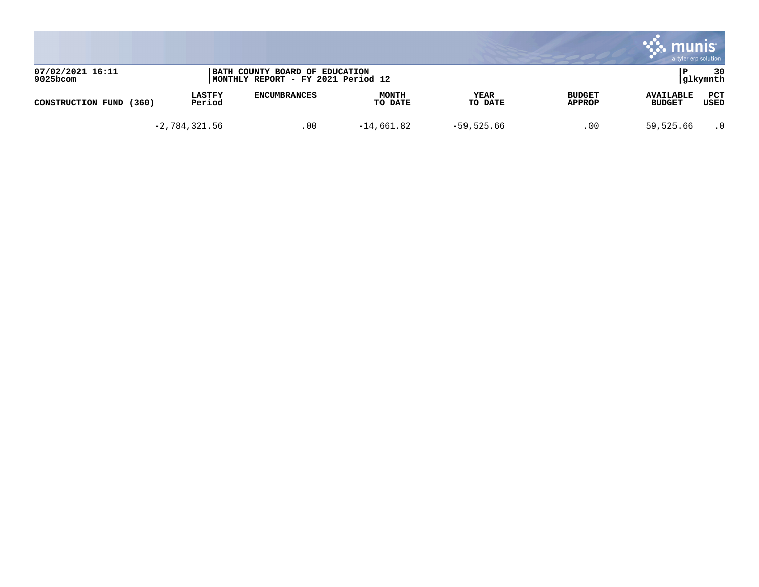|                              |                         |                                                                      |                         |                 |                         | a tyler erp solution              |                 |
|------------------------------|-------------------------|----------------------------------------------------------------------|-------------------------|-----------------|-------------------------|-----------------------------------|-----------------|
| 07/02/2021 16:11<br>9025bcom |                         | BATH COUNTY BOARD OF EDUCATION<br>MONTHLY REPORT - FY 2021 Period 12 |                         |                 |                         |                                   | 30<br> glkymnth |
| CONSTRUCTION FUND<br>(360)   | <b>LASTFY</b><br>Period | <b>ENCUMBRANCES</b>                                                  | <b>MONTH</b><br>TO DATE | YEAR<br>TO DATE | <b>BUDGET</b><br>APPROP | <b>AVAILABLE</b><br><b>BUDGET</b> | PCT<br>USED     |
|                              | $-2,784,321.56$         | .00                                                                  | $-14,661.82$            | $-59,525.66$    | .00                     | 59,525.66                         | $\cdot$ 0       |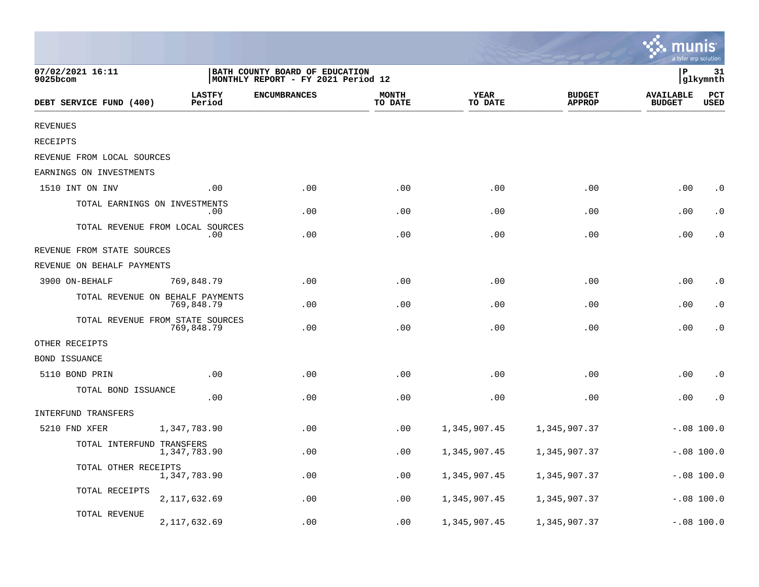|                                 |                                                |                                                                      |                         |                 |                                | a tyler erp solution              |                    |
|---------------------------------|------------------------------------------------|----------------------------------------------------------------------|-------------------------|-----------------|--------------------------------|-----------------------------------|--------------------|
| 07/02/2021 16:11<br>$9025$ bcom |                                                | BATH COUNTY BOARD OF EDUCATION<br>MONTHLY REPORT - FY 2021 Period 12 |                         | P               | 31<br>glkymnth                 |                                   |                    |
| DEBT SERVICE FUND (400)         | <b>LASTFY</b><br>Period                        | <b>ENCUMBRANCES</b>                                                  | <b>MONTH</b><br>TO DATE | YEAR<br>TO DATE | <b>BUDGET</b><br><b>APPROP</b> | <b>AVAILABLE</b><br><b>BUDGET</b> | PCT<br><b>USED</b> |
| <b>REVENUES</b>                 |                                                |                                                                      |                         |                 |                                |                                   |                    |
| RECEIPTS                        |                                                |                                                                      |                         |                 |                                |                                   |                    |
| REVENUE FROM LOCAL SOURCES      |                                                |                                                                      |                         |                 |                                |                                   |                    |
| EARNINGS ON INVESTMENTS         |                                                |                                                                      |                         |                 |                                |                                   |                    |
| 1510 INT ON INV                 | .00                                            | .00                                                                  | .00                     | .00             | .00                            | .00                               | $\cdot$ 0          |
|                                 | TOTAL EARNINGS ON INVESTMENTS<br>.00           | .00                                                                  | .00                     | .00             | .00                            | .00                               | $\cdot$ 0          |
|                                 | TOTAL REVENUE FROM LOCAL SOURCES<br>.00        | .00                                                                  | .00                     | .00             | .00                            | .00                               | $\cdot$ 0          |
| REVENUE FROM STATE SOURCES      |                                                |                                                                      |                         |                 |                                |                                   |                    |
| REVENUE ON BEHALF PAYMENTS      |                                                |                                                                      |                         |                 |                                |                                   |                    |
| 3900 ON-BEHALF                  | 769,848.79                                     | .00                                                                  | .00                     | .00             | .00                            | .00                               | $\cdot$ 0          |
|                                 | TOTAL REVENUE ON BEHALF PAYMENTS<br>769,848.79 | .00                                                                  | .00                     | .00             | .00                            | .00                               | $\cdot$ 0          |
|                                 | TOTAL REVENUE FROM STATE SOURCES<br>769,848.79 | .00                                                                  | .00                     | .00             | .00                            | .00                               | $\cdot$ 0          |
| OTHER RECEIPTS                  |                                                |                                                                      |                         |                 |                                |                                   |                    |
| <b>BOND ISSUANCE</b>            |                                                |                                                                      |                         |                 |                                |                                   |                    |
| 5110 BOND PRIN                  | .00                                            | .00                                                                  | .00                     | .00             | .00                            | .00                               | $\cdot$ 0          |
| TOTAL BOND ISSUANCE             | .00                                            | .00                                                                  | .00                     | .00             | .00                            | .00                               | $\cdot$ 0          |
| INTERFUND TRANSFERS             |                                                |                                                                      |                         |                 |                                |                                   |                    |
| 5210 FND XFER                   | 1,347,783.90                                   | .00                                                                  | .00                     | 1,345,907.45    | 1,345,907.37                   |                                   | $-.08$ 100.0       |
| TOTAL INTERFUND TRANSFERS       | 1,347,783.90                                   | .00                                                                  | .00                     | 1,345,907.45    | 1,345,907.37                   |                                   | $-.08$ 100.0       |
| TOTAL OTHER RECEIPTS            | 1,347,783.90                                   | .00                                                                  | .00                     | 1,345,907.45    | 1,345,907.37                   |                                   | $-.08$ 100.0       |
| TOTAL RECEIPTS                  | 2,117,632.69                                   | .00                                                                  | .00                     | 1,345,907.45    | 1,345,907.37                   |                                   | $-.08$ 100.0       |
| TOTAL REVENUE                   | 2,117,632.69                                   | .00                                                                  | .00                     | 1,345,907.45    | 1,345,907.37                   |                                   | $-.08$ 100.0       |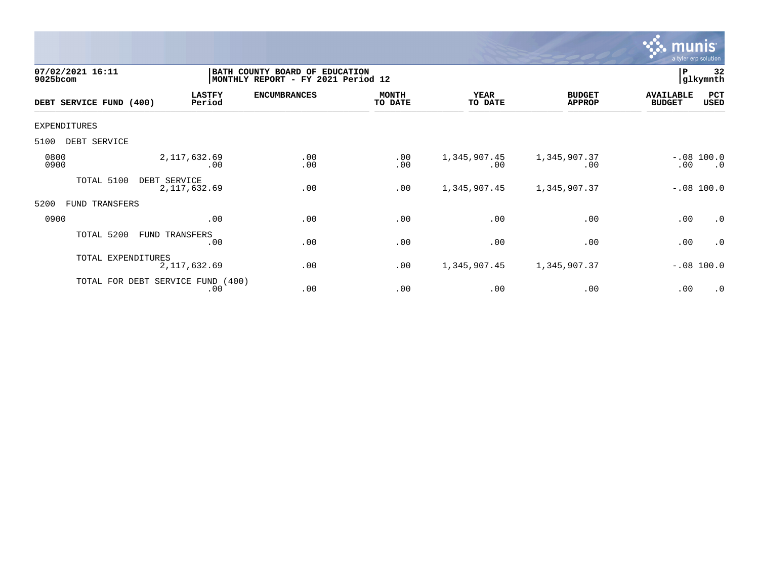

| 07/02/2021 16:11<br>9025bcom |                    | BATH COUNTY BOARD OF EDUCATION<br>MONTHLY REPORT - FY 2021 Period 12 |                     |                         |                        |                                | 32<br>P<br>glkymnth               |                           |  |
|------------------------------|--------------------|----------------------------------------------------------------------|---------------------|-------------------------|------------------------|--------------------------------|-----------------------------------|---------------------------|--|
| DEBT SERVICE FUND (400)      |                    | <b>LASTFY</b><br>Period                                              | <b>ENCUMBRANCES</b> | <b>MONTH</b><br>TO DATE | <b>YEAR</b><br>TO DATE | <b>BUDGET</b><br><b>APPROP</b> | <b>AVAILABLE</b><br><b>BUDGET</b> | PCT<br><b>USED</b>        |  |
| EXPENDITURES                 |                    |                                                                      |                     |                         |                        |                                |                                   |                           |  |
| 5100<br>DEBT SERVICE         |                    |                                                                      |                     |                         |                        |                                |                                   |                           |  |
| 0800<br>0900                 |                    | 2, 117, 632.69<br>.00                                                | .00<br>.00          | .00<br>.00              | 1,345,907.45<br>.00    | 1,345,907.37<br>.00            | .00                               | $-.08$ 100.0<br>$\cdot$ 0 |  |
| TOTAL 5100                   | DEBT SERVICE       | 2, 117, 632.69                                                       | .00                 | .00                     | 1,345,907.45           | 1,345,907.37                   |                                   | $-.08 100.0$              |  |
| 5200<br>TRANSFERS<br>FUND    |                    |                                                                      |                     |                         |                        |                                |                                   |                           |  |
| 0900                         |                    | .00                                                                  | .00                 | .00                     | .00                    | .00                            | .00                               | $\cdot$ 0                 |  |
| TOTAL 5200                   |                    | FUND TRANSFERS<br>.00                                                | .00                 | .00                     | .00                    | .00                            | .00                               | .0                        |  |
|                              | TOTAL EXPENDITURES | 2, 117, 632.69                                                       | .00                 | .00                     | 1,345,907.45           | 1,345,907.37                   |                                   | $-.08$ 100.0              |  |
|                              |                    | TOTAL FOR DEBT SERVICE FUND (400)<br>.00                             | .00                 | .00                     | .00                    | .00                            | .00                               | $\cdot$ 0                 |  |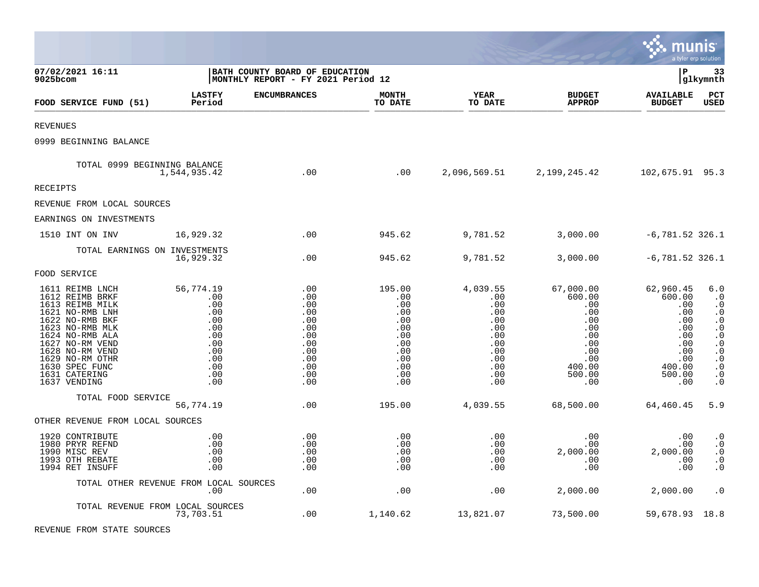|                                                                                                                                                                                                                                               |                                                                                               |                                                                                         |                                                                                            |                                                                                              |                                                                                                                  | mu                                                                                                     | nıs<br>a tyler erp solution                                                                                                                                                  |
|-----------------------------------------------------------------------------------------------------------------------------------------------------------------------------------------------------------------------------------------------|-----------------------------------------------------------------------------------------------|-----------------------------------------------------------------------------------------|--------------------------------------------------------------------------------------------|----------------------------------------------------------------------------------------------|------------------------------------------------------------------------------------------------------------------|--------------------------------------------------------------------------------------------------------|------------------------------------------------------------------------------------------------------------------------------------------------------------------------------|
| 07/02/2021 16:11<br>9025bcom                                                                                                                                                                                                                  |                                                                                               | BATH COUNTY BOARD OF EDUCATION<br>MONTHLY REPORT - FY 2021 Period 12                    |                                                                                            |                                                                                              |                                                                                                                  | lР                                                                                                     | 33<br> glkymnth                                                                                                                                                              |
| FOOD SERVICE FUND (51)                                                                                                                                                                                                                        | <b>LASTFY</b><br>Period                                                                       | <b>ENCUMBRANCES</b>                                                                     | <b>MONTH</b><br>TO DATE                                                                    | <b>YEAR</b><br>TO DATE                                                                       | <b>BUDGET</b><br><b>APPROP</b>                                                                                   | <b>AVAILABLE</b><br><b>BUDGET</b>                                                                      | $_{\rm PCT}$<br><b>USED</b>                                                                                                                                                  |
| <b>REVENUES</b>                                                                                                                                                                                                                               |                                                                                               |                                                                                         |                                                                                            |                                                                                              |                                                                                                                  |                                                                                                        |                                                                                                                                                                              |
| 0999 BEGINNING BALANCE                                                                                                                                                                                                                        |                                                                                               |                                                                                         |                                                                                            |                                                                                              |                                                                                                                  |                                                                                                        |                                                                                                                                                                              |
| TOTAL 0999 BEGINNING BALANCE                                                                                                                                                                                                                  | 1,544,935.42                                                                                  | .00                                                                                     | .00                                                                                        |                                                                                              | 2,096,569.51 2,199,245.42                                                                                        | 102,675.91 95.3                                                                                        |                                                                                                                                                                              |
| RECEIPTS                                                                                                                                                                                                                                      |                                                                                               |                                                                                         |                                                                                            |                                                                                              |                                                                                                                  |                                                                                                        |                                                                                                                                                                              |
| REVENUE FROM LOCAL SOURCES                                                                                                                                                                                                                    |                                                                                               |                                                                                         |                                                                                            |                                                                                              |                                                                                                                  |                                                                                                        |                                                                                                                                                                              |
| EARNINGS ON INVESTMENTS                                                                                                                                                                                                                       |                                                                                               |                                                                                         |                                                                                            |                                                                                              |                                                                                                                  |                                                                                                        |                                                                                                                                                                              |
| 1510 INT ON INV                                                                                                                                                                                                                               | 16,929.32                                                                                     | .00                                                                                     | 945.62                                                                                     | 9,781.52                                                                                     | 3,000.00                                                                                                         | $-6,781.52$ 326.1                                                                                      |                                                                                                                                                                              |
| TOTAL EARNINGS ON INVESTMENTS                                                                                                                                                                                                                 | 16,929.32                                                                                     | .00                                                                                     | 945.62                                                                                     | 9,781.52                                                                                     | 3,000.00                                                                                                         | $-6,781.52$ 326.1                                                                                      |                                                                                                                                                                              |
| FOOD SERVICE                                                                                                                                                                                                                                  |                                                                                               |                                                                                         |                                                                                            |                                                                                              |                                                                                                                  |                                                                                                        |                                                                                                                                                                              |
| 1611 REIMB LNCH<br>1612 REIMB BRKF<br>1613 REIMB MILK<br>1621 NO-RMB LNH<br>1622 NO-RMB BKF<br>1623 NO-RMB MLK<br>1624 NO-RMB ALA<br>1627 NO-RM VEND<br>1628 NO-RM VEND<br>1629 NO-RM OTHR<br>1630 SPEC FUNC<br>1631 CATERING<br>1637 VENDING | 56,774.19<br>.00<br>.00<br>.00<br>.00<br>.00<br>.00<br>.00<br>.00<br>.00<br>.00<br>.00<br>.00 | .00<br>.00<br>.00<br>.00<br>.00<br>.00<br>.00<br>.00<br>.00<br>.00<br>.00<br>.00<br>.00 | 195.00<br>.00<br>.00<br>.00<br>.00<br>.00<br>.00<br>.00<br>.00<br>.00<br>.00<br>.00<br>.00 | 4,039.55<br>.00<br>.00<br>.00<br>.00<br>.00<br>.00<br>.00<br>.00<br>.00<br>.00<br>.00<br>.00 | 67,000.00<br>600.00<br>.00<br>.00<br>.00<br>.00<br>.00<br>.00<br>.00<br>$.00 \,$<br>400.00<br>500.00<br>$.00 \,$ | 62,960.45<br>600.00<br>.00<br>.00<br>.00<br>.00<br>.00<br>.00<br>.00<br>.00<br>400.00<br>500.00<br>.00 | 6.0<br>$\cdot$ 0<br>$\cdot$ 0<br>$\cdot$ 0<br>$\cdot$ 0<br>$\boldsymbol{\cdot}$ 0<br>$\cdot$ 0<br>$\cdot$ 0<br>$\cdot$ 0<br>$\cdot$ 0<br>$\cdot$ 0<br>$\cdot$ 0<br>$\cdot$ 0 |
| TOTAL FOOD SERVICE                                                                                                                                                                                                                            | 56,774.19                                                                                     | .00                                                                                     | 195.00                                                                                     | 4,039.55                                                                                     | 68,500.00                                                                                                        | 64,460.45                                                                                              | 5.9                                                                                                                                                                          |
| OTHER REVENUE FROM LOCAL SOURCES                                                                                                                                                                                                              |                                                                                               |                                                                                         |                                                                                            |                                                                                              |                                                                                                                  |                                                                                                        |                                                                                                                                                                              |
| 1920 CONTRIBUTE<br>1980 PRYR REFND<br>1990 MISC REV<br>1993 OTH REBATE<br>1994 RET INSUFF                                                                                                                                                     | .00<br>.00<br>.00<br>.00<br>.00                                                               | .00<br>.00<br>.00<br>.00<br>.00                                                         | .00<br>.00<br>.00<br>.00<br>.00                                                            | .00<br>.00<br>.00<br>.00<br>.00                                                              | $.00 \,$<br>$.00 \,$<br>2,000.00<br>.00<br>.00                                                                   | .00<br>.00<br>2,000.00<br>.00<br>.00                                                                   | $\cdot$ 0<br>$\boldsymbol{\cdot}$ 0<br>$\cdot$ 0<br>$\cdot$ 0<br>$\cdot$ 0                                                                                                   |
|                                                                                                                                                                                                                                               | TOTAL OTHER REVENUE FROM LOCAL SOURCES<br>$.00 \,$                                            | .00                                                                                     | .00                                                                                        | .00                                                                                          | 2,000.00                                                                                                         | 2,000.00                                                                                               | $\cdot$ 0                                                                                                                                                                    |
| TOTAL REVENUE FROM LOCAL SOURCES                                                                                                                                                                                                              | 73,703.51                                                                                     | .00                                                                                     | 1,140.62                                                                                   | 13,821.07                                                                                    | 73,500.00                                                                                                        | 59,678.93 18.8                                                                                         |                                                                                                                                                                              |

**Contract Contract** 

REVENUE FROM STATE SOURCES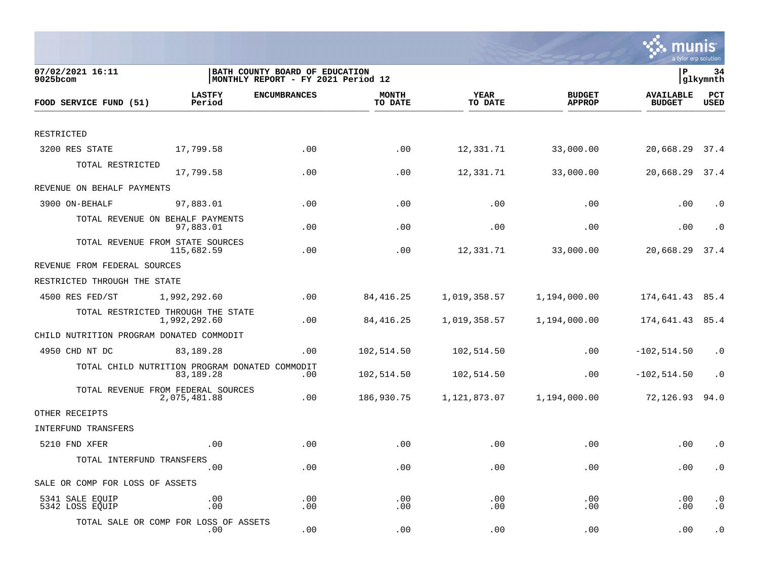

| 07/02/2021 16:11<br>$9025$ bcom                |                         | BATH COUNTY BOARD OF EDUCATION<br>MONTHLY REPORT - FY 2021 Period 12 |                         |                        |                                | İP                                | 34<br> glkymnth        |
|------------------------------------------------|-------------------------|----------------------------------------------------------------------|-------------------------|------------------------|--------------------------------|-----------------------------------|------------------------|
| FOOD SERVICE FUND (51)                         | <b>LASTFY</b><br>Period | <b>ENCUMBRANCES</b>                                                  | <b>MONTH</b><br>TO DATE | <b>YEAR</b><br>TO DATE | <b>BUDGET</b><br><b>APPROP</b> | <b>AVAILABLE</b><br><b>BUDGET</b> | PCT<br><b>USED</b>     |
|                                                |                         |                                                                      |                         |                        |                                |                                   |                        |
| RESTRICTED                                     |                         |                                                                      |                         |                        |                                |                                   |                        |
| 3200 RES STATE                                 | 17,799.58               | .00                                                                  | .00                     | 12,331.71              | 33,000.00                      | 20,668.29 37.4                    |                        |
| TOTAL RESTRICTED                               | 17,799.58               | .00                                                                  | .00                     | 12,331.71              | 33,000.00                      | 20,668.29                         | 37.4                   |
| REVENUE ON BEHALF PAYMENTS                     |                         |                                                                      |                         |                        |                                |                                   |                        |
| 3900 ON-BEHALF                                 | 97,883.01               | .00                                                                  | .00                     | .00                    | .00                            | .00                               | $\cdot$ 0              |
| TOTAL REVENUE ON BEHALF PAYMENTS               | 97,883.01               | .00                                                                  | .00                     | .00                    | .00                            | .00                               | $\cdot$ 0              |
| TOTAL REVENUE FROM STATE SOURCES               | 115,682.59              | .00                                                                  | .00                     | 12,331.71              | 33,000.00                      | 20,668.29                         | 37.4                   |
| REVENUE FROM FEDERAL SOURCES                   |                         |                                                                      |                         |                        |                                |                                   |                        |
| RESTRICTED THROUGH THE STATE                   |                         |                                                                      |                         |                        |                                |                                   |                        |
| 4500 RES FED/ST                                | 1,992,292.60            | .00                                                                  | 84, 416.25              | 1,019,358.57           | 1,194,000.00                   | 174,641.43 85.4                   |                        |
| TOTAL RESTRICTED THROUGH THE STATE             | 1,992,292.60            | .00                                                                  | 84,416.25               | 1,019,358.57           | 1,194,000.00                   | 174,641.43 85.4                   |                        |
| CHILD NUTRITION PROGRAM DONATED COMMODIT       |                         |                                                                      |                         |                        |                                |                                   |                        |
| 4950 CHD NT DC                                 | 83,189.28               | .00                                                                  | 102,514.50              | 102,514.50             | .00                            | $-102,514.50$                     | $\cdot$ 0              |
| TOTAL CHILD NUTRITION PROGRAM DONATED COMMODIT | 83,189.28               | .00                                                                  | 102,514.50              | 102,514.50             | .00                            | $-102, 514.50$                    | $\cdot$ 0              |
| TOTAL REVENUE FROM FEDERAL SOURCES             | 2,075,481.88            | .00                                                                  | 186,930.75              | 1,121,873.07           | 1,194,000.00                   | 72,126.93                         | 94.0                   |
| OTHER RECEIPTS                                 |                         |                                                                      |                         |                        |                                |                                   |                        |
| INTERFUND TRANSFERS                            |                         |                                                                      |                         |                        |                                |                                   |                        |
| 5210 FND XFER                                  | .00                     | .00                                                                  | .00                     | .00                    | .00                            | .00                               | $\cdot$ 0              |
| TOTAL INTERFUND TRANSFERS                      | .00                     | .00                                                                  | .00                     | .00                    | .00                            | .00                               | $\cdot$ 0              |
| SALE OR COMP FOR LOSS OF ASSETS                |                         |                                                                      |                         |                        |                                |                                   |                        |
| 5341 SALE EQUIP<br>5342 LOSS EQUIP             | .00<br>.00              | .00<br>.00                                                           | .00<br>.00              | .00<br>.00             | .00<br>.00                     | .00<br>.00                        | $\cdot$ 0<br>$\cdot$ 0 |
| TOTAL SALE OR COMP FOR LOSS OF ASSETS          | $.00 \,$                | .00                                                                  | .00                     | .00                    | .00                            | .00                               | $\cdot$ 0              |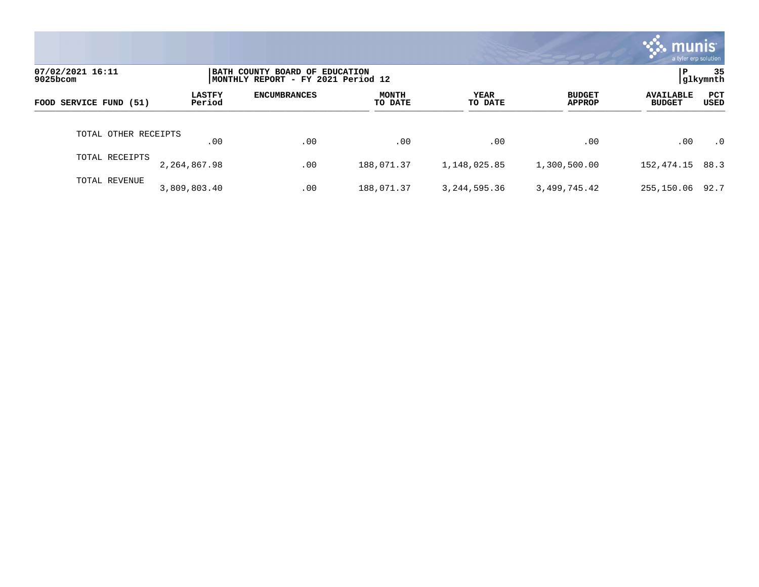|                              |                         |                                                                      |                         |                        |                                | munis <sup>®</sup><br>a tyler erp solution |                |
|------------------------------|-------------------------|----------------------------------------------------------------------|-------------------------|------------------------|--------------------------------|--------------------------------------------|----------------|
| 07/02/2021 16:11<br>9025bcom |                         | BATH COUNTY BOARD OF EDUCATION<br>MONTHLY REPORT - FY 2021 Period 12 |                         |                        |                                | P                                          | 35<br>glkymnth |
| FOOD SERVICE FUND (51)       | <b>LASTFY</b><br>Period | <b>ENCUMBRANCES</b>                                                  | <b>MONTH</b><br>TO DATE | <b>YEAR</b><br>TO DATE | <b>BUDGET</b><br><b>APPROP</b> | <b>AVAILABLE</b><br><b>BUDGET</b>          | PCT<br>USED    |
| TOTAL OTHER RECEIPTS         | .00                     | .00                                                                  | .00                     | .00                    | .00                            | .00                                        | $\cdot$ 0      |
| TOTAL RECEIPTS               | 2,264,867.98            | .00                                                                  | 188,071.37              | 1,148,025.85           | 1,300,500.00                   | 152,474.15                                 | 88.3           |
| TOTAL REVENUE                | 3,809,803.40            | .00                                                                  | 188,071.37              | 3, 244, 595. 36        | 3,499,745.42                   | 255,150.06                                 | 92.7           |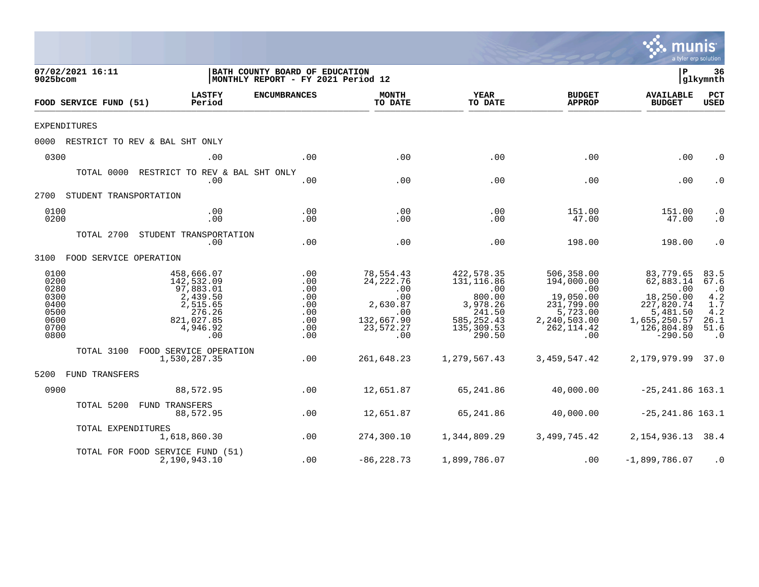|                                                                      |                                                                                                          |                                                                      |                                                                                                  |                                                                                                               |                                                                                                                          |                                                                                                                 | a tyler erp solution                                                               |
|----------------------------------------------------------------------|----------------------------------------------------------------------------------------------------------|----------------------------------------------------------------------|--------------------------------------------------------------------------------------------------|---------------------------------------------------------------------------------------------------------------|--------------------------------------------------------------------------------------------------------------------------|-----------------------------------------------------------------------------------------------------------------|------------------------------------------------------------------------------------|
| 07/02/2021 16:11<br>9025bcom                                         |                                                                                                          | BATH COUNTY BOARD OF EDUCATION<br>MONTHLY REPORT - FY 2021 Period 12 |                                                                                                  |                                                                                                               |                                                                                                                          | $\mathbf{P}$                                                                                                    | 36<br> glkymnth                                                                    |
| FOOD SERVICE FUND (51)                                               | <b>LASTFY</b><br>Period                                                                                  | <b>ENCUMBRANCES</b>                                                  | <b>MONTH</b><br>TO DATE                                                                          | YEAR<br>TO DATE                                                                                               | <b>BUDGET</b><br><b>APPROP</b>                                                                                           | <b>AVAILABLE</b><br><b>BUDGET</b>                                                                               | PCT<br><b>USED</b>                                                                 |
| <b>EXPENDITURES</b>                                                  |                                                                                                          |                                                                      |                                                                                                  |                                                                                                               |                                                                                                                          |                                                                                                                 |                                                                                    |
|                                                                      | 0000 RESTRICT TO REV & BAL SHT ONLY                                                                      |                                                                      |                                                                                                  |                                                                                                               |                                                                                                                          |                                                                                                                 |                                                                                    |
| 0300                                                                 | .00                                                                                                      | .00                                                                  | .00                                                                                              | .00                                                                                                           | .00                                                                                                                      | .00                                                                                                             | $\cdot$ 0                                                                          |
|                                                                      | TOTAL 0000 RESTRICT TO REV & BAL SHT ONLY<br>.00                                                         | .00                                                                  | .00                                                                                              | .00                                                                                                           | .00                                                                                                                      | .00                                                                                                             | $\cdot$ 0                                                                          |
| 2700 STUDENT TRANSPORTATION                                          |                                                                                                          |                                                                      |                                                                                                  |                                                                                                               |                                                                                                                          |                                                                                                                 |                                                                                    |
| 0100<br>0200                                                         | .00<br>.00                                                                                               | .00<br>.00                                                           | .00<br>.00                                                                                       | .00<br>.00                                                                                                    | 151.00<br>47.00                                                                                                          | 151.00<br>47.00                                                                                                 | $\cdot$ 0<br>$\cdot$ 0                                                             |
|                                                                      | TOTAL 2700 STUDENT TRANSPORTATION<br>.00                                                                 | .00                                                                  | .00                                                                                              | .00                                                                                                           | 198.00                                                                                                                   | 198.00                                                                                                          | $\cdot$ 0                                                                          |
| 3100 FOOD SERVICE OPERATION                                          |                                                                                                          |                                                                      |                                                                                                  |                                                                                                               |                                                                                                                          |                                                                                                                 |                                                                                    |
| 0100<br>0200<br>0280<br>0300<br>0400<br>0500<br>0600<br>0700<br>0800 | 458,666.07<br>142,532.09<br>97,883.01<br>2,439.50<br>2,515.65<br>276.26<br>821,027.85<br>4,946.92<br>.00 | .00<br>.00<br>.00<br>.00<br>.00<br>.00<br>.00<br>.00<br>.00          | 78,554.43<br>24, 222.76<br>$\sim$ 00<br>.00<br>2,630.87<br>.00<br>132,667.90<br>23,572.27<br>.00 | 422,578.35<br>131, 116.86<br>$\sim$ 00<br>800.00<br>3,978.26<br>241.50<br>585, 252.43<br>135,309.53<br>290.50 | 506,358.00<br>194,000.00<br>$\overline{00}$<br>19,050.00<br>231,799.00<br>5,723.00<br>2,240,503.00<br>262, 114.42<br>.00 | 83,779.65<br>62,883.14<br>.00<br>18,250.00<br>227,820.74<br>5,481.50<br>1,655,250.57<br>126,804.89<br>$-290.50$ | 83.5<br>67.6<br>$\cdot$ 0<br>$\frac{4.2}{1.7}$<br>4.2<br>26.1<br>51.6<br>$\cdot$ 0 |
| TOTAL 3100                                                           | FOOD SERVICE OPERATION<br>1,530,287.35                                                                   | .00                                                                  | 261,648.23                                                                                       | 1,279,567.43                                                                                                  | 3,459,547.42                                                                                                             | 2,179,979.99 37.0                                                                                               |                                                                                    |
| 5200 FUND TRANSFERS                                                  |                                                                                                          |                                                                      |                                                                                                  |                                                                                                               |                                                                                                                          |                                                                                                                 |                                                                                    |
| 0900                                                                 | 88,572.95                                                                                                | .00                                                                  | 12,651.87                                                                                        | 65,241.86                                                                                                     | 40,000.00                                                                                                                | $-25, 241.86$ 163.1                                                                                             |                                                                                    |
| TOTAL 5200                                                           | FUND TRANSFERS<br>88,572.95                                                                              | .00                                                                  | 12,651.87                                                                                        | 65,241.86                                                                                                     | 40,000.00                                                                                                                | $-25, 241.86$ 163.1                                                                                             |                                                                                    |
| TOTAL EXPENDITURES                                                   | 1,618,860.30                                                                                             | .00                                                                  | 274,300.10                                                                                       | 1,344,809.29                                                                                                  | 3,499,745.42                                                                                                             | 2, 154, 936. 13 38. 4                                                                                           |                                                                                    |
|                                                                      | TOTAL FOR FOOD SERVICE FUND (51)<br>2,190,943.10                                                         | .00                                                                  | $-86, 228.73$                                                                                    | 1,899,786.07                                                                                                  | .00                                                                                                                      | $-1,899,786.07$                                                                                                 | $\cdot$ 0                                                                          |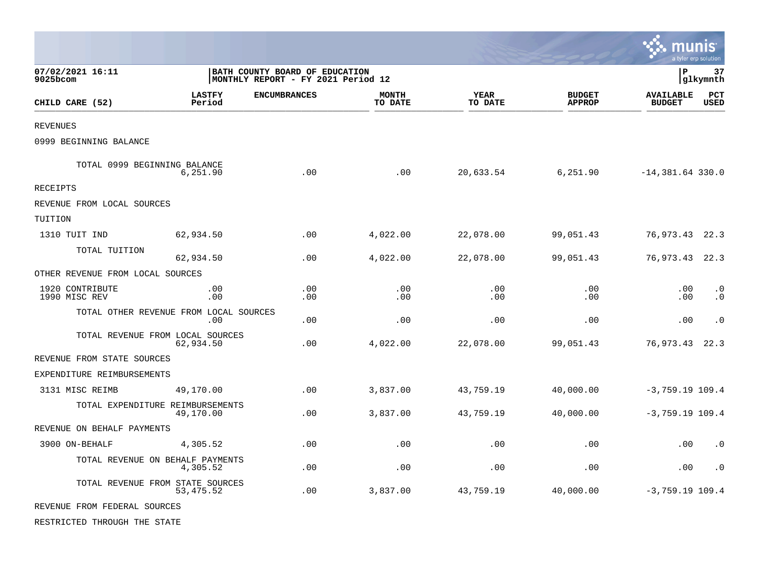|                                  |                                                |                                                                      |                         |                        |                                | munis                             | a tyler erp solution   |
|----------------------------------|------------------------------------------------|----------------------------------------------------------------------|-------------------------|------------------------|--------------------------------|-----------------------------------|------------------------|
| 07/02/2021 16:11<br>9025bcom     |                                                | BATH COUNTY BOARD OF EDUCATION<br>MONTHLY REPORT - FY 2021 Period 12 |                         |                        |                                | l P                               | 37<br> glkymnth        |
| CHILD CARE (52)                  | <b>LASTFY</b><br>Period                        | <b>ENCUMBRANCES</b>                                                  | <b>MONTH</b><br>TO DATE | <b>YEAR</b><br>TO DATE | <b>BUDGET</b><br><b>APPROP</b> | <b>AVAILABLE</b><br><b>BUDGET</b> | PCT<br><b>USED</b>     |
| <b>REVENUES</b>                  |                                                |                                                                      |                         |                        |                                |                                   |                        |
| 0999 BEGINNING BALANCE           |                                                |                                                                      |                         |                        |                                |                                   |                        |
| TOTAL 0999 BEGINNING BALANCE     | 6,251.90                                       | .00                                                                  | .00                     | 20,633.54              | 6,251.90                       | $-14,381.64$ 330.0                |                        |
| RECEIPTS                         |                                                |                                                                      |                         |                        |                                |                                   |                        |
| REVENUE FROM LOCAL SOURCES       |                                                |                                                                      |                         |                        |                                |                                   |                        |
| TUITION                          |                                                |                                                                      |                         |                        |                                |                                   |                        |
| 1310 TUIT IND                    | 62,934.50                                      | .00                                                                  | 4,022.00                | 22,078.00              | 99,051.43                      | 76,973.43                         | 22.3                   |
| TOTAL TUITION                    | 62,934.50                                      | .00                                                                  | 4,022.00                | 22,078.00              | 99,051.43                      | 76,973.43                         | 22.3                   |
| OTHER REVENUE FROM LOCAL SOURCES |                                                |                                                                      |                         |                        |                                |                                   |                        |
| 1920 CONTRIBUTE<br>1990 MISC REV | .00<br>.00                                     | .00<br>.00.                                                          | .00<br>.00              | .00<br>.00             | .00<br>.00                     | .00<br>.00                        | $\cdot$ 0<br>$\cdot$ 0 |
|                                  | TOTAL OTHER REVENUE FROM LOCAL SOURCES<br>.00  | .00                                                                  | .00                     | .00                    | .00                            | .00                               | $\cdot$ 0              |
|                                  | TOTAL REVENUE FROM LOCAL SOURCES<br>62,934.50  | .00                                                                  | 4,022.00                | 22,078.00              | 99,051.43                      | 76,973.43                         | 22.3                   |
| REVENUE FROM STATE SOURCES       |                                                |                                                                      |                         |                        |                                |                                   |                        |
| EXPENDITURE REIMBURSEMENTS       |                                                |                                                                      |                         |                        |                                |                                   |                        |
| 3131 MISC REIMB                  | 49,170.00                                      | .00                                                                  | 3,837.00                | 43,759.19              | 40,000.00                      | $-3,759.19$ 109.4                 |                        |
|                                  | TOTAL EXPENDITURE REIMBURSEMENTS<br>49,170.00  | .00                                                                  | 3,837.00                | 43,759.19              | 40,000.00                      | $-3,759.19$ 109.4                 |                        |
| REVENUE ON BEHALF PAYMENTS       |                                                |                                                                      |                         |                        |                                |                                   |                        |
| 3900 ON-BEHALF                   | 4,305.52                                       | .00                                                                  | .00                     | .00                    | .00                            | .00                               | $\cdot$ 0              |
|                                  | TOTAL REVENUE ON BEHALF PAYMENTS<br>4,305.52   | .00                                                                  | .00                     | .00                    | .00                            | .00                               | $\cdot$ 0              |
|                                  | TOTAL REVENUE FROM STATE SOURCES<br>53, 475.52 | .00                                                                  | 3,837.00                | 43,759.19              | 40,000.00                      | $-3,759.19$ 109.4                 |                        |
| REVENUE FROM FEDERAL SOURCES     |                                                |                                                                      |                         |                        |                                |                                   |                        |

**Contract** 

RESTRICTED THROUGH THE STATE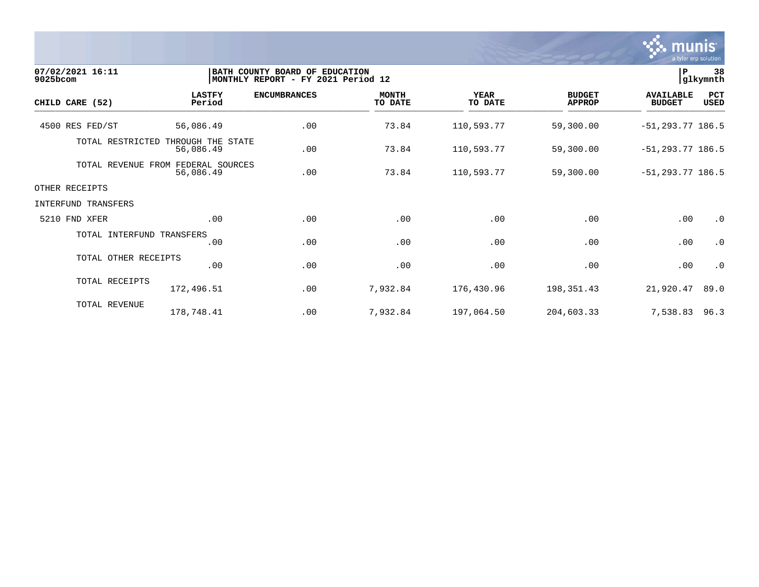

| 07/02/2021 16:11<br>9025bcom |                                      | BATH COUNTY BOARD OF EDUCATION<br>MONTHLY REPORT - FY 2021 Period 12 |                         |                        |                                |                                   |                    |  |
|------------------------------|--------------------------------------|----------------------------------------------------------------------|-------------------------|------------------------|--------------------------------|-----------------------------------|--------------------|--|
| CHILD CARE (52)              | <b>LASTFY</b><br>Period              | <b>ENCUMBRANCES</b>                                                  | <b>MONTH</b><br>TO DATE | <b>YEAR</b><br>TO DATE | <b>BUDGET</b><br><b>APPROP</b> | <b>AVAILABLE</b><br><b>BUDGET</b> | PCT<br><b>USED</b> |  |
| 4500 RES FED/ST              | 56,086.49                            | .00                                                                  | 73.84                   | 110,593.77             | 59,300.00                      | $-51, 293.77$ 186.5               |                    |  |
| TOTAL RESTRICTED             | THROUGH THE STATE<br>56,086.49       | .00                                                                  | 73.84                   | 110,593.77             | 59,300.00                      | $-51, 293.77$ 186.5               |                    |  |
| TOTAL REVENUE                | FEDERAL SOURCES<br>FROM<br>56,086.49 | .00                                                                  | 73.84                   | 110,593.77             | 59,300.00                      | $-51, 293.77$ 186.5               |                    |  |
| OTHER RECEIPTS               |                                      |                                                                      |                         |                        |                                |                                   |                    |  |
| INTERFUND TRANSFERS          |                                      |                                                                      |                         |                        |                                |                                   |                    |  |
| 5210 FND XFER                | .00                                  | .00                                                                  | .00                     | .00                    | .00                            | .00                               | $\cdot$ 0          |  |
| TOTAL INTERFUND TRANSFERS    | .00                                  | .00                                                                  | .00                     | .00                    | .00                            | .00                               | $\cdot$ 0          |  |
| TOTAL OTHER RECEIPTS         | .00                                  | .00                                                                  | .00                     | .00                    | .00                            | .00                               | $\cdot$ 0          |  |
| TOTAL RECEIPTS               | 172,496.51                           | .00                                                                  | 7,932.84                | 176,430.96             | 198,351.43                     | 21,920.47                         | 89.0               |  |
| TOTAL REVENUE                | 178,748.41                           | .00                                                                  | 7,932.84                | 197,064.50             | 204,603.33                     | 7,538.83                          | 96.3               |  |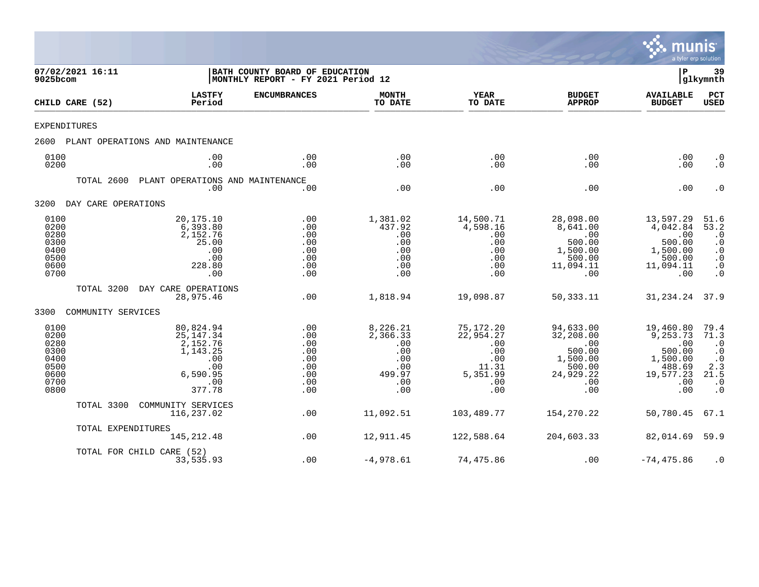

| 07/02/2021 16:11<br>9025bcom                                         |                     |                                                                                             | BATH COUNTY BOARD OF EDUCATION<br> MONTHLY REPORT - FY 2021 Period 12 |                                                                          | $\mathbf{P}$                                                                   | 39<br>glkymnth                                                                           |                                                                                         |                                                                                              |
|----------------------------------------------------------------------|---------------------|---------------------------------------------------------------------------------------------|-----------------------------------------------------------------------|--------------------------------------------------------------------------|--------------------------------------------------------------------------------|------------------------------------------------------------------------------------------|-----------------------------------------------------------------------------------------|----------------------------------------------------------------------------------------------|
|                                                                      | CHILD CARE (52)     | <b>LASTFY</b><br>Period                                                                     | <b>ENCUMBRANCES</b>                                                   | <b>MONTH</b><br>TO DATE                                                  | <b>YEAR</b><br>TO DATE                                                         | <b>BUDGET</b><br><b>APPROP</b>                                                           | <b>AVAILABLE</b><br><b>BUDGET</b>                                                       | PCT<br><b>USED</b>                                                                           |
| <b>EXPENDITURES</b>                                                  |                     |                                                                                             |                                                                       |                                                                          |                                                                                |                                                                                          |                                                                                         |                                                                                              |
| 2600                                                                 |                     | PLANT OPERATIONS AND MAINTENANCE                                                            |                                                                       |                                                                          |                                                                                |                                                                                          |                                                                                         |                                                                                              |
| 0100<br>0200                                                         |                     | .00<br>.00                                                                                  | .00<br>.00                                                            | .00<br>.00                                                               | .00<br>.00                                                                     | .00<br>.00                                                                               | .00<br>.00                                                                              | $\cdot$ 0<br>$\cdot$ 0                                                                       |
|                                                                      | TOTAL 2600          | PLANT OPERATIONS AND MAINTENANCE<br>.00                                                     | .00                                                                   | .00                                                                      | .00                                                                            | .00                                                                                      | .00                                                                                     | $\cdot$ 0                                                                                    |
| 3200                                                                 | DAY CARE OPERATIONS |                                                                                             |                                                                       |                                                                          |                                                                                |                                                                                          |                                                                                         |                                                                                              |
| 0100<br>0200<br>0280<br>0300<br>0400<br>0500<br>0600<br>0700         |                     | 20,175.10<br>6,393.80<br>2,152.76<br>25.00<br>.00<br>.00<br>228.80<br>.00                   | .00<br>.00<br>.00<br>.00<br>.00<br>.00<br>.00<br>.00                  | 1,381.02<br>437.92<br>.00<br>.00<br>.00<br>.00<br>.00<br>.00             | 14,500.71<br>4,598.16<br>.00<br>.00<br>.00<br>.00<br>.00<br>.00                | 28,098.00<br>8,641.00<br>.00<br>500.00<br>1,500.00<br>500.00<br>11,094.11<br>.00         | 13,597.29<br>4,042.84<br>.00<br>500.00<br>1,500.00<br>500.00<br>11,094.11<br>.00        | 51.6<br>53.2<br>$\cdot$ 0<br>$\cdot$ 0<br>$\cdot$ 0<br>$\cdot$ 0<br>$\cdot$ 0<br>$\cdot$ 0   |
|                                                                      | TOTAL 3200          | DAY CARE OPERATIONS<br>28,975.46                                                            | .00                                                                   | 1,818.94                                                                 | 19,098.87                                                                      | 50, 333. 11                                                                              | 31, 234. 24 37. 9                                                                       |                                                                                              |
| 3300                                                                 | COMMUNITY SERVICES  |                                                                                             |                                                                       |                                                                          |                                                                                |                                                                                          |                                                                                         |                                                                                              |
| 0100<br>0200<br>0280<br>0300<br>0400<br>0500<br>0600<br>0700<br>0800 |                     | 80,824.94<br>25, 147. 34<br>2,152.76<br>1,143.25<br>.00<br>.00<br>6,590.95<br>.00<br>377.78 | .00<br>.00<br>.00<br>.00<br>.00<br>.00<br>.00<br>.00<br>.00           | 8,226.21<br>2,366.33<br>.00<br>.00<br>.00<br>.00<br>499.97<br>.00<br>.00 | 75,172.20<br>22,954.27<br>.00<br>.00<br>.00<br>11.31<br>5,351.99<br>.00<br>.00 | 94,633.00<br>32,208.00<br>.00<br>500.00<br>1,500.00<br>500.00<br>24,929.22<br>.00<br>.00 | 19,460.80<br>9,253.73<br>.00<br>500.00<br>1,500.00<br>488.69<br>19,577.23<br>.00<br>.00 | 79.4<br>71.3<br>$\cdot$ 0<br>$\cdot$ 0<br>$\cdot$ 0<br>2.3<br>21.5<br>$\cdot$ 0<br>$\cdot$ 0 |
|                                                                      | TOTAL 3300          | COMMUNITY SERVICES<br>116,237.02                                                            | .00                                                                   | 11,092.51                                                                | 103,489.77                                                                     | 154,270.22                                                                               | 50,780.45                                                                               | 67.1                                                                                         |
|                                                                      | TOTAL EXPENDITURES  | 145, 212.48                                                                                 | .00                                                                   | 12,911.45                                                                | 122,588.64                                                                     | 204,603.33                                                                               | 82,014.69                                                                               | 59.9                                                                                         |
|                                                                      |                     | TOTAL FOR CHILD CARE (52)<br>33,535.93                                                      | .00                                                                   | $-4,978.61$                                                              | 74,475.86                                                                      | .00                                                                                      | $-74, 475.86$                                                                           | $\cdot$ 0                                                                                    |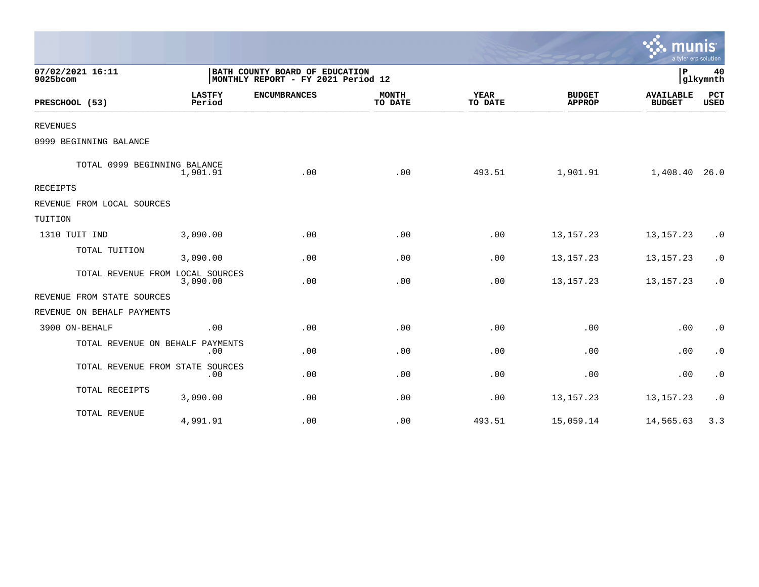|                                  |                         |                                                                      |                         |                        |                                | a tyler erp solution              |                    |
|----------------------------------|-------------------------|----------------------------------------------------------------------|-------------------------|------------------------|--------------------------------|-----------------------------------|--------------------|
| 07/02/2021 16:11<br>9025bcom     |                         | BATH COUNTY BOARD OF EDUCATION<br>MONTHLY REPORT - FY 2021 Period 12 |                         |                        |                                | P                                 | 40<br>glkymnth     |
| PRESCHOOL (53)                   | <b>LASTFY</b><br>Period | <b>ENCUMBRANCES</b>                                                  | <b>MONTH</b><br>TO DATE | <b>YEAR</b><br>TO DATE | <b>BUDGET</b><br><b>APPROP</b> | <b>AVAILABLE</b><br><b>BUDGET</b> | PCT<br><b>USED</b> |
| <b>REVENUES</b>                  |                         |                                                                      |                         |                        |                                |                                   |                    |
| 0999 BEGINNING BALANCE           |                         |                                                                      |                         |                        |                                |                                   |                    |
| TOTAL 0999 BEGINNING BALANCE     | 1,901.91                | .00                                                                  | .00                     | 493.51                 | 1,901.91                       | 1,408.40 26.0                     |                    |
| RECEIPTS                         |                         |                                                                      |                         |                        |                                |                                   |                    |
| REVENUE FROM LOCAL SOURCES       |                         |                                                                      |                         |                        |                                |                                   |                    |
| TUITION                          |                         |                                                                      |                         |                        |                                |                                   |                    |
| 1310 TUIT IND                    | 3,090.00                | .00                                                                  | .00                     | .00                    | 13, 157. 23                    | 13, 157. 23                       | $\cdot$ 0          |
| TOTAL TUITION                    | 3,090.00                | .00                                                                  | .00                     | .00                    | 13, 157. 23                    | 13, 157. 23                       | $\cdot$ 0          |
| TOTAL REVENUE FROM LOCAL SOURCES | 3,090.00                | .00                                                                  | .00                     | .00                    | 13, 157. 23                    | 13, 157. 23                       | $\cdot$ 0          |
| REVENUE FROM STATE SOURCES       |                         |                                                                      |                         |                        |                                |                                   |                    |
| REVENUE ON BEHALF PAYMENTS       |                         |                                                                      |                         |                        |                                |                                   |                    |
| 3900 ON-BEHALF                   | .00                     | .00                                                                  | .00                     | .00                    | .00                            | .00                               | $\cdot$ 0          |
| TOTAL REVENUE ON BEHALF PAYMENTS | .00                     | .00                                                                  | .00                     | .00                    | .00                            | .00                               | $\cdot$ 0          |
| TOTAL REVENUE FROM STATE SOURCES | .00                     | .00                                                                  | .00                     | .00                    | .00                            | .00                               | $\cdot$ 0          |
| TOTAL RECEIPTS                   | 3,090.00                | .00                                                                  | .00                     | .00                    | 13, 157. 23                    | 13, 157. 23                       | $\cdot$ 0          |
| TOTAL REVENUE                    | 4,991.91                | .00                                                                  | .00                     | 493.51                 | 15,059.14                      | 14,565.63                         | 3.3                |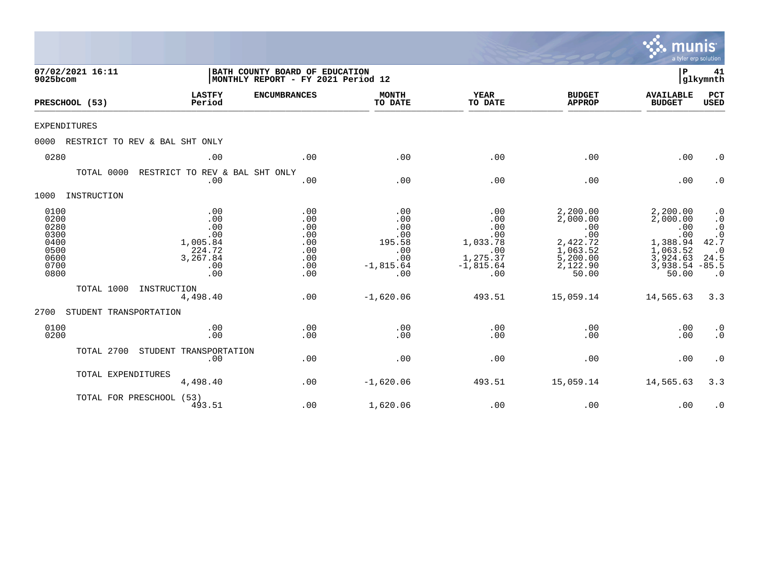|                                                                      |                                |                                                                          |                                                                      |                                                                        |                                                                               |                                                                                             | munis<br>a tyler erp solution                                                               |                                                                                          |
|----------------------------------------------------------------------|--------------------------------|--------------------------------------------------------------------------|----------------------------------------------------------------------|------------------------------------------------------------------------|-------------------------------------------------------------------------------|---------------------------------------------------------------------------------------------|---------------------------------------------------------------------------------------------|------------------------------------------------------------------------------------------|
| 9025bcom                                                             | 07/02/2021 16:11               |                                                                          | BATH COUNTY BOARD OF EDUCATION<br>MONTHLY REPORT - FY 2021 Period 12 |                                                                        |                                                                               |                                                                                             | ΙP                                                                                          | 41<br> glkymnth                                                                          |
|                                                                      | PRESCHOOL (53)                 | <b>LASTFY</b><br>Period                                                  | <b>ENCUMBRANCES</b>                                                  | <b>MONTH</b><br>TO DATE                                                | <b>YEAR</b><br>TO DATE                                                        | <b>BUDGET</b><br><b>APPROP</b>                                                              | <b>AVAILABLE</b><br><b>BUDGET</b>                                                           | PCT<br><b>USED</b>                                                                       |
| <b>EXPENDITURES</b>                                                  |                                |                                                                          |                                                                      |                                                                        |                                                                               |                                                                                             |                                                                                             |                                                                                          |
| 0000                                                                 | RESTRICT TO REV & BAL SHT ONLY |                                                                          |                                                                      |                                                                        |                                                                               |                                                                                             |                                                                                             |                                                                                          |
| 0280                                                                 |                                | .00                                                                      | .00                                                                  | .00                                                                    | .00                                                                           | .00                                                                                         | .00                                                                                         | $\cdot$ 0                                                                                |
|                                                                      | TOTAL 0000                     | RESTRICT TO REV & BAL SHT ONLY<br>.00                                    | .00                                                                  | .00                                                                    | .00                                                                           | .00                                                                                         | .00                                                                                         | $\cdot$ 0                                                                                |
| 1000                                                                 | INSTRUCTION                    |                                                                          |                                                                      |                                                                        |                                                                               |                                                                                             |                                                                                             |                                                                                          |
| 0100<br>0200<br>0280<br>0300<br>0400<br>0500<br>0600<br>0700<br>0800 |                                | .00<br>.00<br>.00<br>.00<br>1,005.84<br>224.72<br>3,267.84<br>.00<br>.00 | .00<br>.00<br>.00<br>.00<br>.00<br>.00<br>.00<br>.00<br>.00          | .00<br>.00<br>.00<br>.00<br>195.58<br>.00<br>.00<br>$-1,815.64$<br>.00 | .00<br>.00<br>.00<br>.00<br>1,033.78<br>.00<br>1,275.37<br>$-1,815.64$<br>.00 | 2,200.00<br>2,000.00<br>.00<br>.00<br>2,422.72<br>1,063.52<br>5,200.00<br>2,122.90<br>50.00 | 2,200.00<br>2,000.00<br>.00<br>.00<br>1,388.94<br>1,063.52<br>3,924.63<br>3,938.54<br>50.00 | $\cdot$ 0<br>$\cdot$ 0<br>$\cdot$ 0<br>42.7<br>$\cdot$ 0<br>24.5<br>$-85.5$<br>$\cdot$ 0 |
|                                                                      | TOTAL 1000                     | INSTRUCTION<br>4,498.40                                                  | .00                                                                  | $-1,620.06$                                                            | 493.51                                                                        | 15,059.14                                                                                   | 14,565.63                                                                                   | 3.3                                                                                      |
| 2700                                                                 | STUDENT TRANSPORTATION         |                                                                          |                                                                      |                                                                        |                                                                               |                                                                                             |                                                                                             |                                                                                          |
| 0100<br>0200                                                         |                                | .00<br>.00                                                               | .00<br>.00                                                           | .00<br>.00                                                             | .00<br>.00                                                                    | .00<br>.00                                                                                  | .00<br>.00                                                                                  | $\cdot$ 0<br>$\cdot$ 0                                                                   |
|                                                                      | TOTAL 2700                     | STUDENT TRANSPORTATION<br>.00                                            | .00                                                                  | .00                                                                    | .00                                                                           | .00                                                                                         | .00                                                                                         | $\cdot$ 0                                                                                |
|                                                                      | TOTAL EXPENDITURES             | 4,498.40                                                                 | .00                                                                  | $-1,620.06$                                                            | 493.51                                                                        | 15,059.14                                                                                   | 14,565.63                                                                                   | 3.3                                                                                      |
|                                                                      | TOTAL FOR PRESCHOOL (53)       | 493.51                                                                   | .00                                                                  | 1,620.06                                                               | .00                                                                           | .00                                                                                         | .00                                                                                         | $\cdot$ 0                                                                                |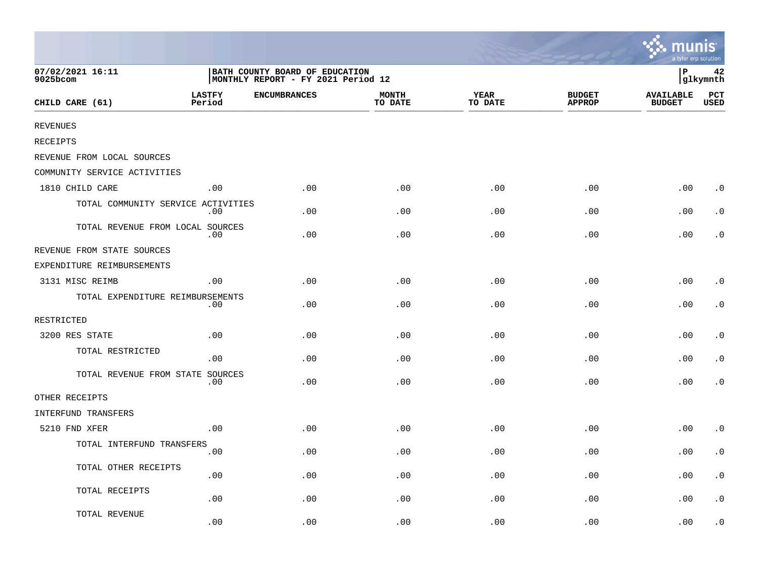|                                    |                         |                                                                      |                         |                        |                                | mun<br>a tyler erp solution       |                        |
|------------------------------------|-------------------------|----------------------------------------------------------------------|-------------------------|------------------------|--------------------------------|-----------------------------------|------------------------|
| 07/02/2021 16:11<br>9025bcom       |                         | BATH COUNTY BOARD OF EDUCATION<br>MONTHLY REPORT - FY 2021 Period 12 |                         |                        |                                | ∣P                                | 42<br>glkymnth         |
| CHILD CARE (61)                    | <b>LASTFY</b><br>Period | <b>ENCUMBRANCES</b>                                                  | <b>MONTH</b><br>TO DATE | <b>YEAR</b><br>TO DATE | <b>BUDGET</b><br><b>APPROP</b> | <b>AVAILABLE</b><br><b>BUDGET</b> | PCT<br>USED            |
| <b>REVENUES</b>                    |                         |                                                                      |                         |                        |                                |                                   |                        |
| RECEIPTS                           |                         |                                                                      |                         |                        |                                |                                   |                        |
| REVENUE FROM LOCAL SOURCES         |                         |                                                                      |                         |                        |                                |                                   |                        |
| COMMUNITY SERVICE ACTIVITIES       |                         |                                                                      |                         |                        |                                |                                   |                        |
| 1810 CHILD CARE                    | .00                     | .00                                                                  | .00                     | .00                    | .00                            | .00                               | $\cdot$ 0              |
| TOTAL COMMUNITY SERVICE ACTIVITIES | .00                     | .00                                                                  | .00                     | .00                    | .00                            | .00                               | $\cdot$ 0              |
| TOTAL REVENUE FROM LOCAL SOURCES   | .00                     | .00                                                                  | .00                     | .00                    | .00                            | .00                               | $\cdot$ 0              |
| REVENUE FROM STATE SOURCES         |                         |                                                                      |                         |                        |                                |                                   |                        |
| EXPENDITURE REIMBURSEMENTS         |                         |                                                                      |                         |                        |                                |                                   |                        |
| 3131 MISC REIMB                    | .00                     | .00                                                                  | .00                     | .00                    | .00                            | .00                               | $\cdot$ 0              |
| TOTAL EXPENDITURE REIMBURSEMENTS   | .00                     | .00                                                                  | .00                     | .00                    | .00                            | .00                               | $\cdot$ 0              |
| RESTRICTED                         |                         |                                                                      |                         |                        |                                |                                   |                        |
| 3200 RES STATE                     | .00                     | .00                                                                  | .00                     | .00                    | .00                            | .00                               | $\cdot$ 0              |
| TOTAL RESTRICTED                   | .00                     | .00                                                                  | .00                     | .00                    | .00                            | .00                               | $\cdot$ 0              |
| TOTAL REVENUE FROM STATE SOURCES   | .00                     | .00                                                                  | .00                     | .00                    | .00                            | .00                               | $\cdot$ 0              |
| OTHER RECEIPTS                     |                         |                                                                      |                         |                        |                                |                                   |                        |
| INTERFUND TRANSFERS                |                         |                                                                      |                         |                        |                                |                                   |                        |
| 5210 FND XFER                      | .00                     | .00                                                                  | .00                     | .00                    | .00                            | .00                               | $\cdot$ 0              |
| TOTAL INTERFUND TRANSFERS          | .00                     | .00                                                                  | .00                     | .00                    | .00                            | .00                               | $\cdot$ 0              |
| TOTAL OTHER RECEIPTS               | .00                     | .00                                                                  | .00                     | .00                    | .00                            | .00                               | $\cdot$ 0              |
| TOTAL RECEIPTS                     | .00                     | .00                                                                  | .00                     | .00                    | .00                            | .00                               | $\boldsymbol{\cdot}$ 0 |
| TOTAL REVENUE                      | .00                     | .00                                                                  | .00                     | .00                    | .00                            | .00                               | . 0                    |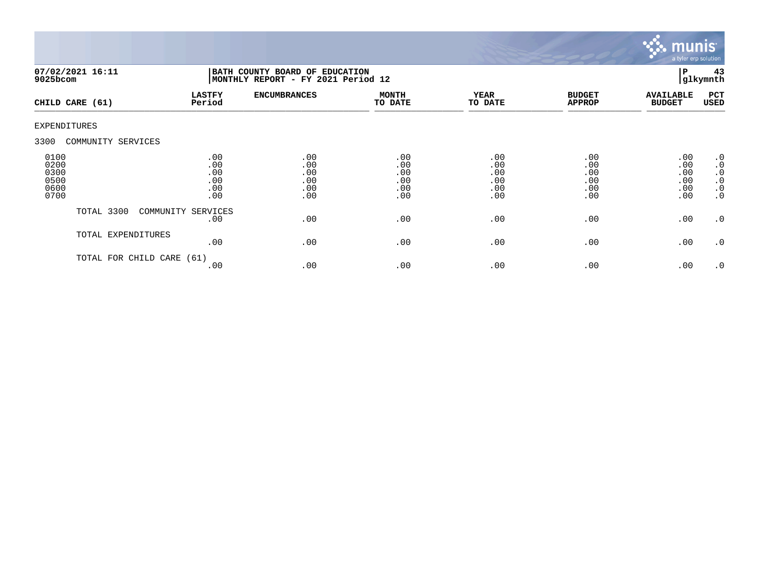

| 07/02/2021 16:11<br>9025bcom                 |                      | BATH COUNTY BOARD OF EDUCATION<br>MONTHLY REPORT - FY 2021 Period 12 |                                        |                                        |                                        |                                        |                                        | 43<br>glkymnth                                                             |
|----------------------------------------------|----------------------|----------------------------------------------------------------------|----------------------------------------|----------------------------------------|----------------------------------------|----------------------------------------|----------------------------------------|----------------------------------------------------------------------------|
| CHILD CARE (61)                              |                      | <b>LASTFY</b><br>Period                                              | <b>ENCUMBRANCES</b>                    | <b>MONTH</b><br>TO DATE                | <b>YEAR</b><br>TO DATE                 | <b>BUDGET</b><br><b>APPROP</b>         | <b>AVAILABLE</b><br><b>BUDGET</b>      | PCT<br><b>USED</b>                                                         |
| EXPENDITURES                                 |                      |                                                                      |                                        |                                        |                                        |                                        |                                        |                                                                            |
| 3300                                         | COMMUNITY SERVICES   |                                                                      |                                        |                                        |                                        |                                        |                                        |                                                                            |
| 0100<br>0200<br>0300<br>0500<br>0600<br>0700 |                      | .00<br>.00<br>.00<br>.00<br>.00<br>.00                               | .00<br>.00<br>.00<br>.00<br>.00<br>.00 | .00<br>.00<br>.00<br>.00<br>.00<br>.00 | .00<br>.00<br>.00<br>.00<br>.00<br>.00 | .00<br>.00<br>.00<br>.00<br>.00<br>.00 | .00<br>.00<br>.00<br>.00<br>.00<br>.00 | $\cdot$ 0<br>$\cdot$ 0<br>$\cdot$ 0<br>$\cdot$ 0<br>$\cdot$ 0<br>$\cdot$ 0 |
|                                              | TOTAL 3300           | COMMUNITY SERVICES<br>.00                                            | .00                                    | .00                                    | .00                                    | .00                                    | .00                                    | $\cdot$ 0                                                                  |
|                                              | TOTAL EXPENDITURES   | .00                                                                  | .00                                    | .00                                    | .00                                    | .00                                    | .00                                    | $\cdot$ 0                                                                  |
|                                              | TOTAL FOR CHILD CARE | (61)<br>.00                                                          | .00                                    | .00                                    | .00                                    | .00                                    | .00                                    | $\cdot$ 0                                                                  |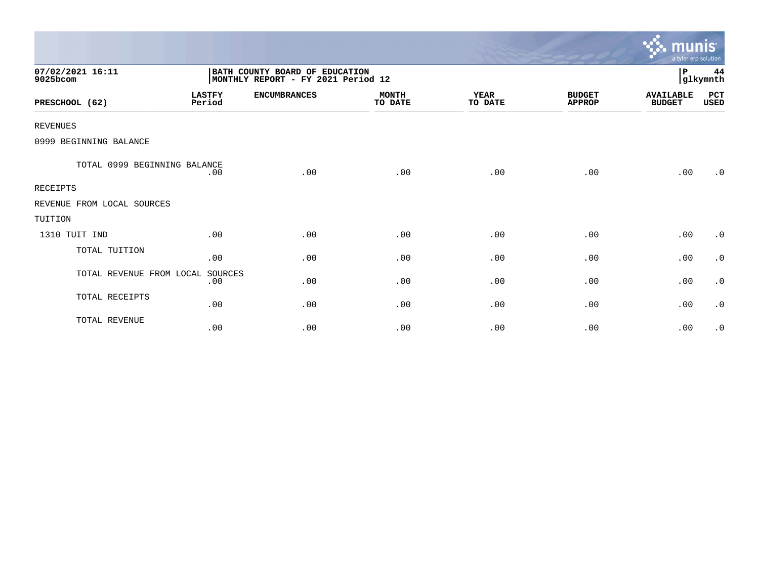|                              |                         |                                                                      |                         |                        |                                | <u>munis </u><br>a tyler erp solution |                |
|------------------------------|-------------------------|----------------------------------------------------------------------|-------------------------|------------------------|--------------------------------|---------------------------------------|----------------|
| 07/02/2021 16:11<br>9025bcom |                         | BATH COUNTY BOARD OF EDUCATION<br>MONTHLY REPORT - FY 2021 Period 12 |                         |                        |                                | P                                     | 44<br>glkymnth |
| PRESCHOOL (62)               | <b>LASTFY</b><br>Period | <b>ENCUMBRANCES</b>                                                  | <b>MONTH</b><br>TO DATE | <b>YEAR</b><br>TO DATE | <b>BUDGET</b><br><b>APPROP</b> | <b>AVAILABLE</b><br><b>BUDGET</b>     | PCT<br>USED    |
| <b>REVENUES</b>              |                         |                                                                      |                         |                        |                                |                                       |                |
| 0999 BEGINNING BALANCE       |                         |                                                                      |                         |                        |                                |                                       |                |
| TOTAL 0999 BEGINNING BALANCE | .00                     | .00                                                                  | .00                     | .00                    | .00                            | .00                                   | .0             |
| <b>RECEIPTS</b>              |                         |                                                                      |                         |                        |                                |                                       |                |
| REVENUE FROM LOCAL SOURCES   |                         |                                                                      |                         |                        |                                |                                       |                |
| TUITION                      |                         |                                                                      |                         |                        |                                |                                       |                |
| 1310 TUIT IND                | .00                     | .00                                                                  | .00                     | .00                    | .00                            | .00                                   | $\cdot$ 0      |
| TOTAL TUITION                | .00                     | .00                                                                  | .00                     | .00                    | .00                            | .00                                   | $\cdot$ 0      |
| TOTAL REVENUE FROM LOCAL     | SOURCES<br>.00          | .00                                                                  | .00                     | .00                    | .00                            | .00                                   | $\cdot$ 0      |
| TOTAL RECEIPTS               | .00                     | .00                                                                  | .00                     | .00                    | .00                            | .00                                   | $\cdot$ 0      |
| TOTAL REVENUE                | .00                     | .00                                                                  | .00                     | .00                    | .00                            | .00                                   | $\cdot$ 0      |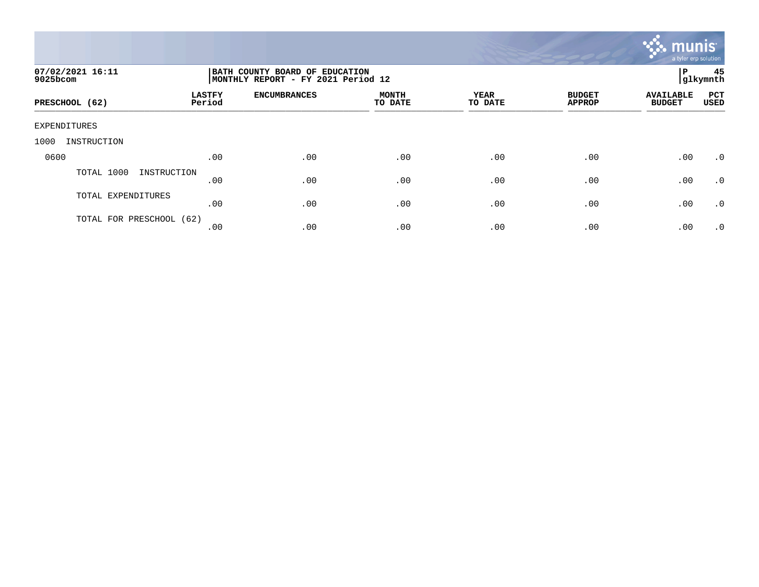

| 07/02/2021 16:11<br>9025bcom | BATH COUNTY BOARD OF EDUCATION<br>MONTHLY REPORT - FY 2021 Period 12 |                     |                         |                        |                                |                                   | 45<br>l P<br>glkymnth |  |  |
|------------------------------|----------------------------------------------------------------------|---------------------|-------------------------|------------------------|--------------------------------|-----------------------------------|-----------------------|--|--|
| PRESCHOOL (62)               | <b>LASTFY</b><br>Period                                              | <b>ENCUMBRANCES</b> | <b>MONTH</b><br>TO DATE | <b>YEAR</b><br>TO DATE | <b>BUDGET</b><br><b>APPROP</b> | <b>AVAILABLE</b><br><b>BUDGET</b> | PCT<br>USED           |  |  |
| EXPENDITURES                 |                                                                      |                     |                         |                        |                                |                                   |                       |  |  |
| 1000<br>INSTRUCTION          |                                                                      |                     |                         |                        |                                |                                   |                       |  |  |
| 0600                         | .00                                                                  | .00                 | .00                     | .00                    | .00                            | .00                               | .0                    |  |  |
| TOTAL 1000<br>INSTRUCTION    | .00                                                                  | .00                 | .00                     | .00                    | .00                            | .00                               | $\cdot$ 0             |  |  |
| TOTAL EXPENDITURES           | .00                                                                  | .00                 | .00                     | .00                    | .00                            | .00                               | $\cdot$ 0             |  |  |
| TOTAL FOR PRESCHOOL (62)     | .00                                                                  | .00                 | .00                     | .00                    | .00                            | .00                               | $\cdot$ 0             |  |  |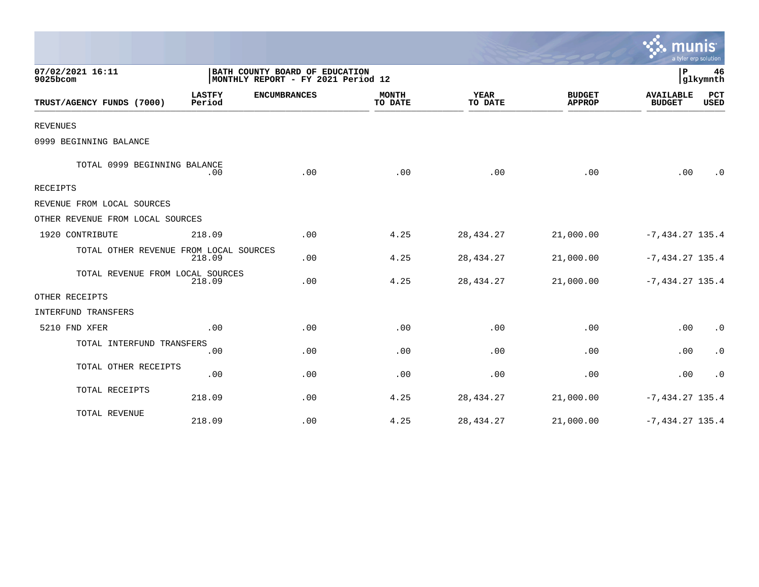|                                        |                                                                      |                     |                         |                        |                                |                                   | a tyler erp solution |
|----------------------------------------|----------------------------------------------------------------------|---------------------|-------------------------|------------------------|--------------------------------|-----------------------------------|----------------------|
| 07/02/2021 16:11<br>9025bcom           | BATH COUNTY BOARD OF EDUCATION<br>MONTHLY REPORT - FY 2021 Period 12 |                     |                         |                        |                                | $\mathbf{P}$                      | 46<br>glkymnth       |
| TRUST/AGENCY FUNDS (7000)              | <b>LASTFY</b><br>Period                                              | <b>ENCUMBRANCES</b> | <b>MONTH</b><br>TO DATE | <b>YEAR</b><br>TO DATE | <b>BUDGET</b><br><b>APPROP</b> | <b>AVAILABLE</b><br><b>BUDGET</b> | PCT<br><b>USED</b>   |
| <b>REVENUES</b>                        |                                                                      |                     |                         |                        |                                |                                   |                      |
| 0999 BEGINNING BALANCE                 |                                                                      |                     |                         |                        |                                |                                   |                      |
| TOTAL 0999 BEGINNING BALANCE           | .00                                                                  | .00                 | .00                     | .00                    | .00                            | .00                               | $\cdot$ 0            |
| <b>RECEIPTS</b>                        |                                                                      |                     |                         |                        |                                |                                   |                      |
| REVENUE FROM LOCAL SOURCES             |                                                                      |                     |                         |                        |                                |                                   |                      |
| OTHER REVENUE FROM LOCAL SOURCES       |                                                                      |                     |                         |                        |                                |                                   |                      |
| 1920 CONTRIBUTE                        | 218.09                                                               | .00                 | 4.25                    | 28, 434. 27            | 21,000.00                      | $-7, 434.27$ 135.4                |                      |
| TOTAL OTHER REVENUE FROM LOCAL SOURCES | 218.09                                                               | .00                 | 4.25                    | 28, 434. 27            | 21,000.00                      | $-7,434.27$ 135.4                 |                      |
| TOTAL REVENUE FROM LOCAL SOURCES       | 218.09                                                               | .00                 | 4.25                    | 28, 434. 27            | 21,000.00                      | $-7,434.27$ 135.4                 |                      |
| OTHER RECEIPTS                         |                                                                      |                     |                         |                        |                                |                                   |                      |
| INTERFUND TRANSFERS                    |                                                                      |                     |                         |                        |                                |                                   |                      |
| 5210 FND XFER                          | .00                                                                  | .00                 | .00                     | .00                    | .00                            | .00                               | $\cdot$ 0            |
| TOTAL INTERFUND TRANSFERS              | .00                                                                  | .00                 | .00                     | .00                    | .00                            | .00                               | $\cdot$ 0            |
| TOTAL OTHER RECEIPTS                   | .00                                                                  | .00                 | .00                     | .00                    | .00                            | .00                               | $\cdot$ 0            |
| TOTAL RECEIPTS                         | 218.09                                                               | .00                 | 4.25                    | 28, 434. 27            | 21,000.00                      | $-7,434.27$ 135.4                 |                      |
| TOTAL REVENUE                          | 218.09                                                               | .00                 | 4.25                    | 28, 434. 27            | 21,000.00                      | $-7,434.27$ 135.4                 |                      |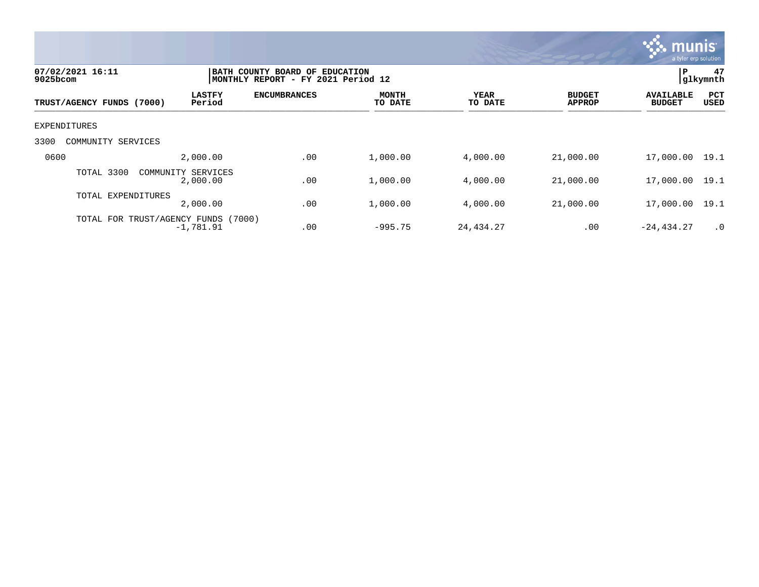

| 07/02/2021 16:11<br>$9025$ bcom |                                             | BATH COUNTY BOARD OF EDUCATION<br>MONTHLY REPORT - FY 2021 Period 12 |                         |                        |                                |                                   |                           |  |
|---------------------------------|---------------------------------------------|----------------------------------------------------------------------|-------------------------|------------------------|--------------------------------|-----------------------------------|---------------------------|--|
| TRUST/AGENCY FUNDS (7000)       | <b>LASTFY</b><br>Period                     | <b>ENCUMBRANCES</b>                                                  | <b>MONTH</b><br>TO DATE | <b>YEAR</b><br>TO DATE | <b>BUDGET</b><br><b>APPROP</b> | <b>AVAILABLE</b><br><b>BUDGET</b> | <b>PCT</b><br><b>USED</b> |  |
| EXPENDITURES                    |                                             |                                                                      |                         |                        |                                |                                   |                           |  |
| 3300<br>COMMUNITY SERVICES      |                                             |                                                                      |                         |                        |                                |                                   |                           |  |
| 0600                            | 2,000.00                                    | .00                                                                  | 1,000.00                | 4,000.00               | 21,000.00                      | 17,000.00                         | 19.1                      |  |
| TOTAL 3300                      | COMMUNITY SERVICES<br>2,000.00              | .00                                                                  | 1,000.00                | 4,000.00               | 21,000.00                      | 17,000.00                         | 19.1                      |  |
| TOTAL EXPENDITURES              | 2,000.00                                    | .00                                                                  | 1,000.00                | 4,000.00               | 21,000.00                      | 17,000.00                         | 19.1                      |  |
| TOTAL FOR                       | TRUST/AGENCY FUNDS<br>(7000)<br>$-1,781.91$ | .00                                                                  | $-995.75$               | 24,434.27              | .00                            | $-24, 434.27$                     | .0                        |  |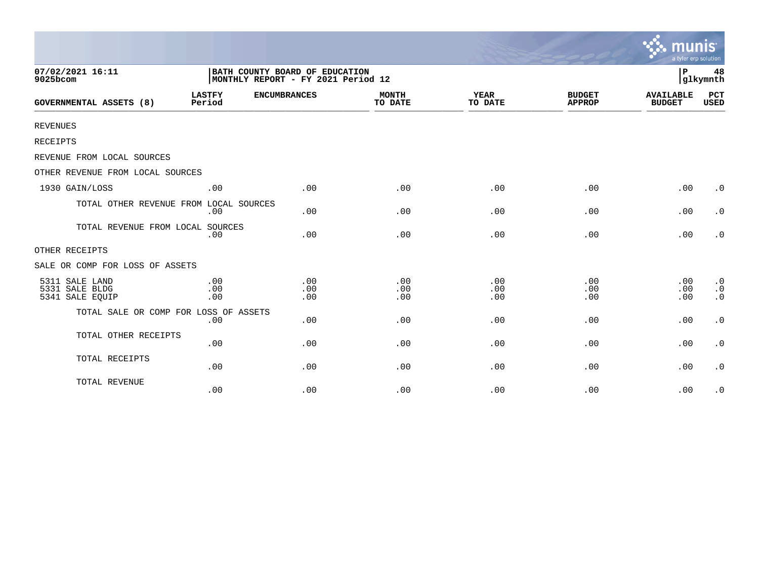|                                                     |                         |                                                                      |                         |                        |                                | munis<br>a tyler erp solution     |                                     |
|-----------------------------------------------------|-------------------------|----------------------------------------------------------------------|-------------------------|------------------------|--------------------------------|-----------------------------------|-------------------------------------|
| 07/02/2021 16:11<br>9025bcom                        |                         | BATH COUNTY BOARD OF EDUCATION<br>MONTHLY REPORT - FY 2021 Period 12 |                         |                        |                                | l P                               | 48<br>glkymnth                      |
| <b>GOVERNMENTAL ASSETS (8)</b>                      | <b>LASTFY</b><br>Period | <b>ENCUMBRANCES</b>                                                  | <b>MONTH</b><br>TO DATE | <b>YEAR</b><br>TO DATE | <b>BUDGET</b><br><b>APPROP</b> | <b>AVAILABLE</b><br><b>BUDGET</b> | <b>PCT</b><br><b>USED</b>           |
| <b>REVENUES</b>                                     |                         |                                                                      |                         |                        |                                |                                   |                                     |
| RECEIPTS                                            |                         |                                                                      |                         |                        |                                |                                   |                                     |
| REVENUE FROM LOCAL SOURCES                          |                         |                                                                      |                         |                        |                                |                                   |                                     |
| OTHER REVENUE FROM LOCAL SOURCES                    |                         |                                                                      |                         |                        |                                |                                   |                                     |
| 1930 GAIN/LOSS                                      | .00                     | .00                                                                  | .00                     | .00                    | .00                            | .00                               | $\cdot$ 0                           |
| TOTAL OTHER REVENUE FROM LOCAL SOURCES              | .00                     | .00                                                                  | .00                     | .00                    | .00                            | .00                               | $\cdot$ 0                           |
| TOTAL REVENUE FROM LOCAL SOURCES                    | .00                     | .00                                                                  | .00                     | .00                    | .00                            | .00                               | $\cdot$ 0                           |
| OTHER RECEIPTS                                      |                         |                                                                      |                         |                        |                                |                                   |                                     |
| SALE OR COMP FOR LOSS OF ASSETS                     |                         |                                                                      |                         |                        |                                |                                   |                                     |
| 5311 SALE LAND<br>5331 SALE BLDG<br>5341 SALE EQUIP | .00<br>.00<br>.00       | .00<br>.00<br>.00                                                    | .00<br>.00<br>.00       | .00<br>.00<br>.00      | .00<br>.00<br>.00              | .00<br>.00<br>.00                 | $\cdot$ 0<br>$\cdot$ 0<br>$\cdot$ 0 |
| TOTAL SALE OR COMP FOR LOSS OF ASSETS               | .00                     | .00                                                                  | .00                     | .00                    | .00                            | .00                               | $\cdot$ 0                           |
| TOTAL OTHER RECEIPTS                                | .00                     | .00                                                                  | .00                     | .00                    | .00                            | .00                               | $\cdot$ 0                           |
| TOTAL RECEIPTS                                      | .00                     | .00                                                                  | .00                     | .00                    | .00                            | .00                               | $\cdot$ 0                           |
| TOTAL REVENUE                                       | .00                     | .00                                                                  | .00                     | .00                    | .00                            | .00                               | $\cdot$ 0                           |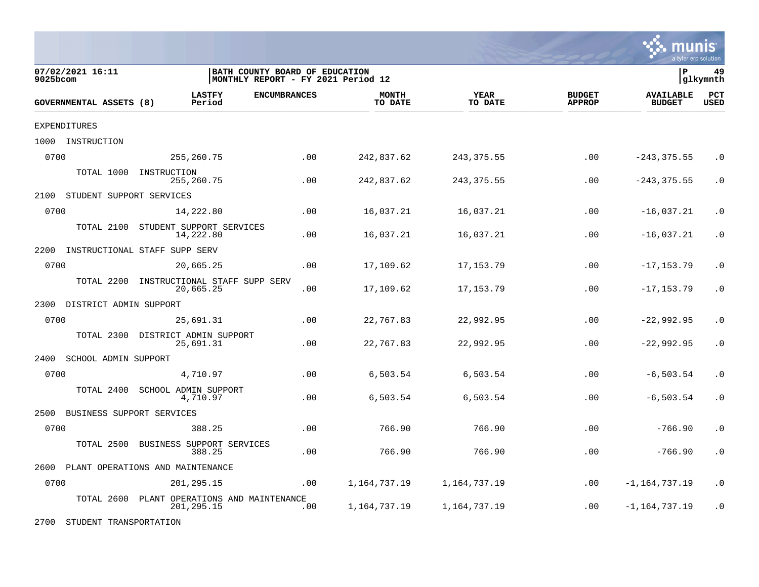

| 07/02/2021 16:11<br>9025bcom      |                                                  | BATH COUNTY BOARD OF EDUCATION<br>MONTHLY REPORT - FY 2021 Period 12 |                         |                        |                                |                                   |                    |
|-----------------------------------|--------------------------------------------------|----------------------------------------------------------------------|-------------------------|------------------------|--------------------------------|-----------------------------------|--------------------|
| GOVERNMENTAL ASSETS (8)           | <b>LASTFY</b><br>Period                          | <b>ENCUMBRANCES</b>                                                  | <b>MONTH</b><br>TO DATE | <b>YEAR</b><br>TO DATE | <b>BUDGET</b><br><b>APPROP</b> | <b>AVAILABLE</b><br><b>BUDGET</b> | PCT<br><b>USED</b> |
| <b>EXPENDITURES</b>               |                                                  |                                                                      |                         |                        |                                |                                   |                    |
| 1000<br>INSTRUCTION               |                                                  |                                                                      |                         |                        |                                |                                   |                    |
| 0700                              | 255, 260. 75                                     | .00                                                                  | 242,837.62              | 243, 375.55            | .00                            | $-243, 375.55$                    | $\cdot$ 0          |
| TOTAL 1000                        | INSTRUCTION<br>255,260.75                        | .00                                                                  | 242,837.62              | 243, 375.55            | .00                            | $-243, 375.55$                    | $\cdot$ 0          |
| STUDENT SUPPORT SERVICES<br>2100  |                                                  |                                                                      |                         |                        |                                |                                   |                    |
| 0700                              | 14,222.80                                        | .00                                                                  | 16,037.21               | 16,037.21              | .00                            | $-16,037.21$                      | $\cdot$ 0          |
| TOTAL 2100                        | STUDENT SUPPORT SERVICES<br>14,222.80            | .00                                                                  | 16,037.21               | 16,037.21              | .00                            | $-16,037.21$                      | $\cdot$ 0          |
| 2200                              | INSTRUCTIONAL STAFF SUPP SERV                    |                                                                      |                         |                        |                                |                                   |                    |
| 0700                              | 20,665.25                                        | .00                                                                  | 17,109.62               | 17, 153. 79            | .00                            | $-17, 153.79$                     | $\cdot$ 0          |
| TOTAL 2200                        | INSTRUCTIONAL STAFF SUPP SERV<br>20,665.25       | .00                                                                  | 17,109.62               | 17, 153. 79            | .00                            | $-17, 153.79$                     | $\cdot$ 0          |
| 2300<br>DISTRICT ADMIN SUPPORT    |                                                  |                                                                      |                         |                        |                                |                                   |                    |
| 0700                              | 25,691.31                                        | .00                                                                  | 22,767.83               | 22,992.95              | .00                            | $-22,992.95$                      | $\cdot$ 0          |
| TOTAL 2300                        | DISTRICT ADMIN SUPPORT<br>25,691.31              | .00                                                                  | 22,767.83               | 22,992.95              | .00                            | $-22,992.95$                      | $\cdot$ 0          |
| 2400<br>SCHOOL ADMIN SUPPORT      |                                                  |                                                                      |                         |                        |                                |                                   |                    |
| 0700                              | 4,710.97                                         | .00                                                                  | 6,503.54                | 6,503.54               | .00                            | $-6, 503.54$                      | $\cdot$ 0          |
| TOTAL 2400                        | SCHOOL ADMIN SUPPORT<br>4,710.97                 | .00                                                                  | 6,503.54                | 6,503.54               | .00                            | $-6, 503.54$                      | $\cdot$ 0          |
| 2500<br>BUSINESS SUPPORT SERVICES |                                                  |                                                                      |                         |                        |                                |                                   |                    |
| 0700                              | 388.25                                           | .00                                                                  | 766.90                  | 766.90                 | .00                            | $-766.90$                         | $\cdot$ 0          |
| TOTAL 2500                        | BUSINESS SUPPORT SERVICES<br>388.25              | .00                                                                  | 766.90                  | 766.90                 | .00                            | $-766.90$                         | $\cdot$ 0          |
| 2600                              | PLANT OPERATIONS AND MAINTENANCE                 |                                                                      |                         |                        |                                |                                   |                    |
| 0700                              | 201,295.15                                       | .00                                                                  | 1,164,737.19            | 1,164,737.19           | .00                            | $-1, 164, 737.19$                 | $\cdot$ 0          |
| TOTAL 2600                        | PLANT OPERATIONS AND MAINTENANCE<br>201, 295. 15 | .00                                                                  | 1,164,737.19            | 1,164,737.19           | .00                            | $-1, 164, 737.19$                 | $\cdot$ 0          |

2700 STUDENT TRANSPORTATION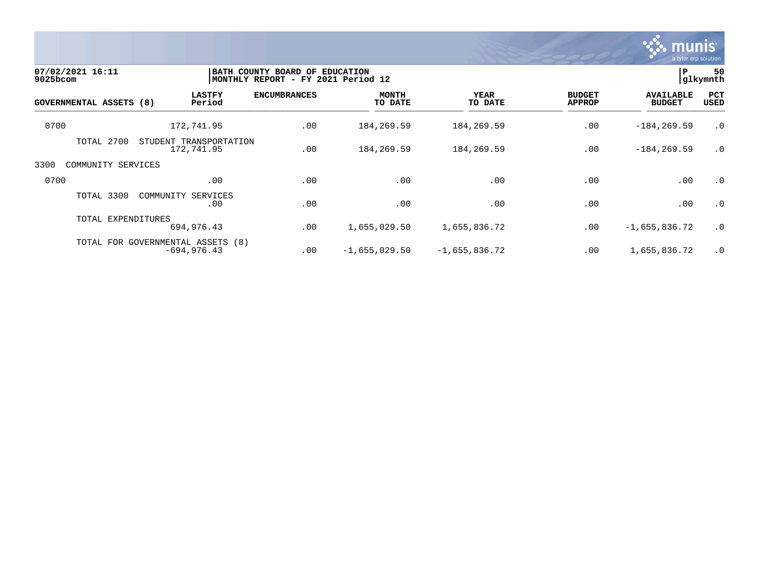

| 07/02/2021 16:11<br>$9025$ bcom |                                                     | BATH COUNTY BOARD OF<br>MONTHLY REPORT - FY 2021 Period 12 | <b>EDUCATION</b>        |                        |                                | P<br>glkymnth                     |                    |  |
|---------------------------------|-----------------------------------------------------|------------------------------------------------------------|-------------------------|------------------------|--------------------------------|-----------------------------------|--------------------|--|
| <b>GOVERNMENTAL ASSETS (8)</b>  | <b>LASTFY</b><br>Period                             | <b>ENCUMBRANCES</b>                                        | <b>MONTH</b><br>TO DATE | <b>YEAR</b><br>TO DATE | <b>BUDGET</b><br><b>APPROP</b> | <b>AVAILABLE</b><br><b>BUDGET</b> | PCT<br><b>USED</b> |  |
| 0700                            | 172,741.95                                          | .00                                                        | 184, 269.59             | 184,269.59             | .00                            | $-184, 269.59$                    | $\cdot$ 0          |  |
| TOTAL 2700                      | STUDENT TRANSPORTATION<br>172,741.95                | .00                                                        | 184, 269.59             | 184,269.59             | .00                            | $-184, 269.59$                    | $\cdot$ 0          |  |
| 3300<br>COMMUNITY SERVICES      |                                                     |                                                            |                         |                        |                                |                                   |                    |  |
| 0700                            | .00                                                 | .00                                                        | .00                     | .00                    | .00                            | .00                               | $\cdot$ 0          |  |
| TOTAL 3300                      | SERVICES<br>COMMUNITY<br>.00                        | .00                                                        | .00                     | .00                    | .00                            | .00                               | $\cdot$ 0          |  |
| TOTAL EXPENDITURES              | 694,976.43                                          | .00                                                        | 1,655,029.50            | 1,655,836.72           | .00                            | $-1,655,836.72$                   | $\cdot$ 0          |  |
|                                 | TOTAL FOR GOVERNMENTAL ASSETS (8)<br>$-694, 976.43$ | .00                                                        | $-1,655,029.50$         | $-1,655,836.72$        | .00                            | 1,655,836.72                      | $\cdot$ 0          |  |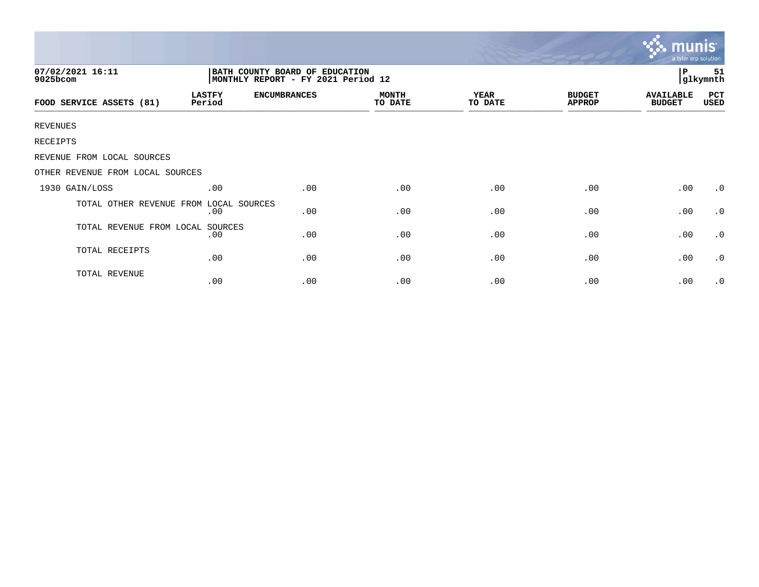|                                                                                                      |                         |                     |                         |                        |                                |                                   | mui<br>a tyler erp solution |  |
|------------------------------------------------------------------------------------------------------|-------------------------|---------------------|-------------------------|------------------------|--------------------------------|-----------------------------------|-----------------------------|--|
| 07/02/2021 16:11<br>BATH COUNTY BOARD OF EDUCATION<br>9025bcom<br>MONTHLY REPORT - FY 2021 Period 12 |                         |                     |                         |                        |                                |                                   |                             |  |
| FOOD SERVICE ASSETS (81)                                                                             | <b>LASTFY</b><br>Period | <b>ENCUMBRANCES</b> | <b>MONTH</b><br>TO DATE | <b>YEAR</b><br>TO DATE | <b>BUDGET</b><br><b>APPROP</b> | <b>AVAILABLE</b><br><b>BUDGET</b> | PCT<br>USED                 |  |
| <b>REVENUES</b>                                                                                      |                         |                     |                         |                        |                                |                                   |                             |  |
| RECEIPTS                                                                                             |                         |                     |                         |                        |                                |                                   |                             |  |
| REVENUE FROM LOCAL SOURCES                                                                           |                         |                     |                         |                        |                                |                                   |                             |  |
| OTHER REVENUE FROM LOCAL SOURCES                                                                     |                         |                     |                         |                        |                                |                                   |                             |  |
| 1930 GAIN/LOSS                                                                                       | .00                     | .00                 | .00                     | .00                    | .00                            | .00                               | $\cdot$ 0                   |  |
| TOTAL OTHER REVENUE FROM                                                                             | LOCAL SOURCES<br>.00    | .00                 | .00                     | .00                    | .00                            | .00                               | $\cdot$ 0                   |  |
| TOTAL REVENUE FROM LOCAL SOURCES                                                                     | .00                     | .00                 | .00                     | .00                    | .00                            | .00                               | $\cdot$ 0                   |  |
| TOTAL RECEIPTS                                                                                       | .00                     | .00                 | .00                     | .00                    | .00                            | .00                               | $\cdot$ 0                   |  |
| TOTAL REVENUE                                                                                        | .00                     | .00                 | .00                     | .00                    | .00                            | .00                               | $\cdot$ 0                   |  |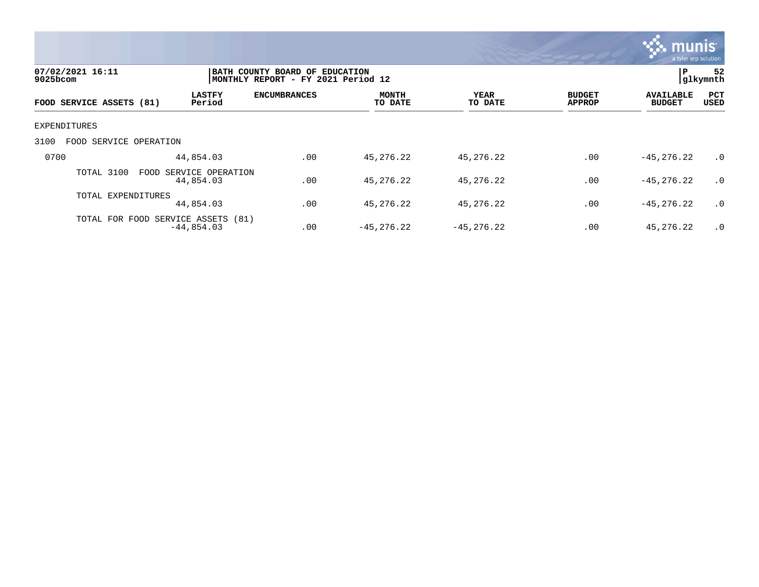

| 07/02/2021 16:11<br>9025bcom |                           |                                                    | BATH COUNTY BOARD OF EDUCATION<br>MONTHLY REPORT - FY 2021 Period 12 |                         |                 |                                |                                   |             |
|------------------------------|---------------------------|----------------------------------------------------|----------------------------------------------------------------------|-------------------------|-----------------|--------------------------------|-----------------------------------|-------------|
|                              | FOOD SERVICE ASSETS (81)  | <b>LASTFY</b><br>Period                            | <b>ENCUMBRANCES</b>                                                  | <b>MONTH</b><br>TO DATE | YEAR<br>TO DATE | <b>BUDGET</b><br><b>APPROP</b> | <b>AVAILABLE</b><br><b>BUDGET</b> | PCT<br>USED |
|                              | EXPENDITURES              |                                                    |                                                                      |                         |                 |                                |                                   |             |
| 3100                         | SERVICE OPERATION<br>FOOD |                                                    |                                                                      |                         |                 |                                |                                   |             |
| 0700                         |                           | 44,854.03                                          | .00                                                                  | 45,276.22               | 45,276.22       | .00                            | $-45, 276, 22$                    | .0          |
|                              | TOTAL 3100                | FOOD<br>SERVICE OPERATION<br>44,854.03             | .00                                                                  | 45,276.22               | 45,276.22       | .00                            | $-45, 276, 22$                    | .0          |
|                              | TOTAL EXPENDITURES        | 44,854.03                                          | .00                                                                  | 45,276.22               | 45,276.22       | .00                            | $-45, 276, 22$                    | .0          |
|                              |                           | TOTAL FOR FOOD SERVICE ASSETS (81)<br>$-44,854.03$ | .00                                                                  | $-45, 276.22$           | $-45, 276.22$   | .00                            | 45,276.22                         | .0          |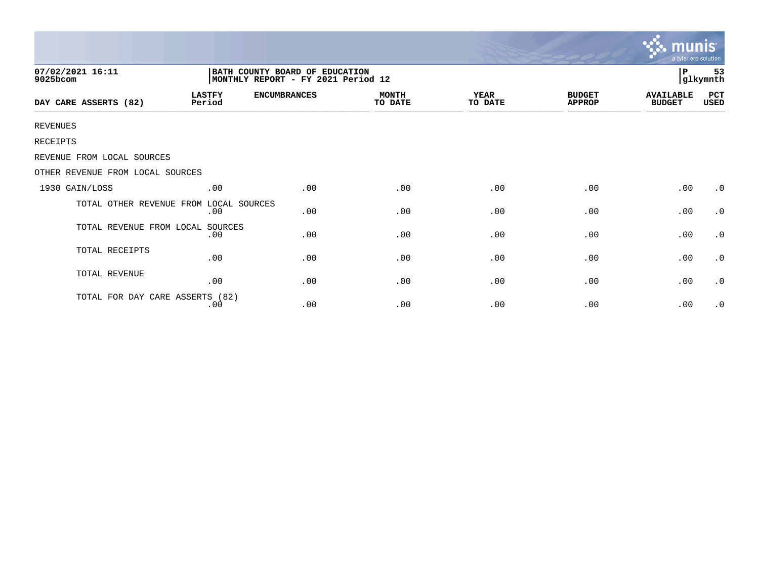|                                        |                                                                       |                     |                         |                 |                                | <b>munis</b><br>a tyler erp solution |                |
|----------------------------------------|-----------------------------------------------------------------------|---------------------|-------------------------|-----------------|--------------------------------|--------------------------------------|----------------|
| 07/02/2021 16:11<br>9025bcom           | BATH COUNTY BOARD OF EDUCATION<br> MONTHLY REPORT - FY 2021 Period 12 |                     |                         |                 |                                |                                      | 53<br>glkymnth |
| DAY CARE ASSERTS (82)                  | <b>LASTFY</b><br>Period                                               | <b>ENCUMBRANCES</b> | <b>MONTH</b><br>TO DATE | YEAR<br>TO DATE | <b>BUDGET</b><br><b>APPROP</b> | <b>AVAILABLE</b><br><b>BUDGET</b>    | PCT<br>USED    |
| <b>REVENUES</b>                        |                                                                       |                     |                         |                 |                                |                                      |                |
| RECEIPTS                               |                                                                       |                     |                         |                 |                                |                                      |                |
| REVENUE FROM LOCAL SOURCES             |                                                                       |                     |                         |                 |                                |                                      |                |
| OTHER REVENUE FROM LOCAL SOURCES       |                                                                       |                     |                         |                 |                                |                                      |                |
| 1930 GAIN/LOSS                         | .00                                                                   | .00                 | .00                     | .00             | .00                            | .00                                  | $\cdot$ 0      |
| TOTAL OTHER REVENUE FROM LOCAL SOURCES | .00                                                                   | .00                 | .00                     | .00             | .00                            | .00                                  | $\cdot$ 0      |
| TOTAL REVENUE FROM LOCAL               | SOURCES<br>.00                                                        | .00                 | .00                     | .00             | .00                            | .00                                  | $\cdot$ 0      |
| TOTAL RECEIPTS                         | .00                                                                   | .00                 | .00                     | .00             | .00                            | .00                                  | $\cdot$ 0      |
| TOTAL REVENUE                          | .00                                                                   | .00                 | .00                     | .00             | .00                            | .00                                  | $\cdot$ 0      |
| TOTAL FOR DAY CARE ASSERTS (82)        | .00                                                                   | .00                 | .00                     | .00             | .00                            | .00                                  | $\cdot$ 0      |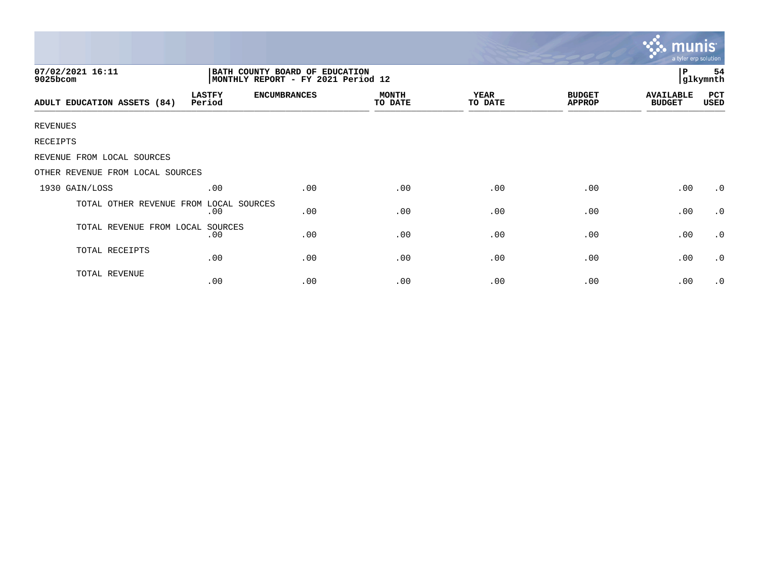|                                  |                                                                      |                     |                         |                        | a tyler erp solution           |                                   |                 |
|----------------------------------|----------------------------------------------------------------------|---------------------|-------------------------|------------------------|--------------------------------|-----------------------------------|-----------------|
| 07/02/2021 16:11<br>9025bcom     | BATH COUNTY BOARD OF EDUCATION<br>MONTHLY REPORT - FY 2021 Period 12 |                     |                         |                        |                                | l P                               | 54<br> glkymnth |
| ADULT EDUCATION ASSETS (84)      | <b>LASTFY</b><br>Period                                              | <b>ENCUMBRANCES</b> | <b>MONTH</b><br>TO DATE | <b>YEAR</b><br>TO DATE | <b>BUDGET</b><br><b>APPROP</b> | <b>AVAILABLE</b><br><b>BUDGET</b> | PCT<br>USED     |
| <b>REVENUES</b>                  |                                                                      |                     |                         |                        |                                |                                   |                 |
| RECEIPTS                         |                                                                      |                     |                         |                        |                                |                                   |                 |
| REVENUE FROM LOCAL SOURCES       |                                                                      |                     |                         |                        |                                |                                   |                 |
| OTHER REVENUE FROM LOCAL SOURCES |                                                                      |                     |                         |                        |                                |                                   |                 |
| 1930 GAIN/LOSS                   | .00                                                                  | .00                 | .00                     | .00                    | .00                            | .00                               | $\cdot$ 0       |
| TOTAL OTHER REVENUE FROM         | LOCAL SOURCES<br>.00                                                 | .00                 | .00                     | .00                    | .00                            | .00                               | $\cdot$ 0       |
| TOTAL REVENUE FROM LOCAL SOURCES | .00                                                                  | .00                 | .00                     | .00                    | .00                            | .00                               | $\cdot$ 0       |
| TOTAL RECEIPTS                   | .00                                                                  | .00                 | .00                     | .00                    | .00                            | .00                               | $\cdot$ 0       |
| TOTAL REVENUE                    | .00                                                                  | .00                 | .00                     | .00                    | .00                            | .00                               | $\cdot$ 0       |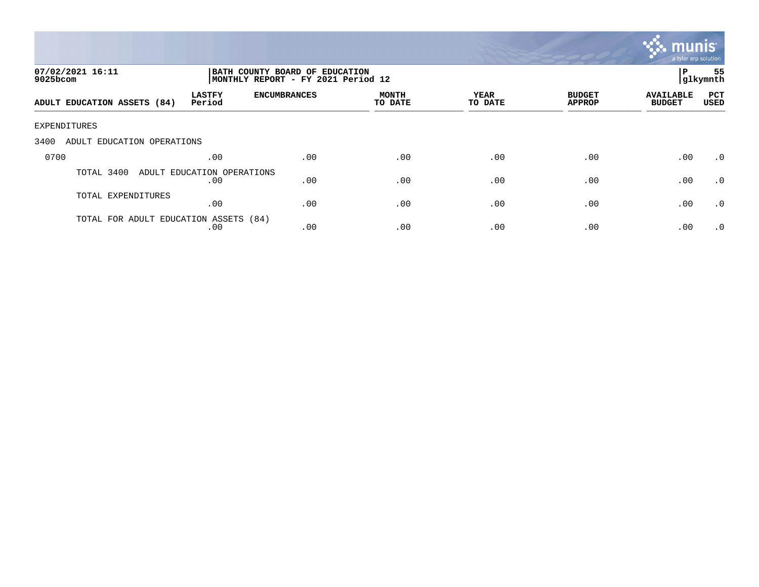

| 07/02/2021 16:11<br>$9025$ bcom       | BATH COUNTY BOARD OF EDUCATION<br>MONTHLY REPORT - FY 2021 Period 12 |                     |                  |                 |                                |                                   | 55<br> glkymnth    |
|---------------------------------------|----------------------------------------------------------------------|---------------------|------------------|-----------------|--------------------------------|-----------------------------------|--------------------|
| ADULT EDUCATION ASSETS (84)           | <b>LASTFY</b><br>Period                                              | <b>ENCUMBRANCES</b> | MONTH<br>TO DATE | YEAR<br>TO DATE | <b>BUDGET</b><br><b>APPROP</b> | <b>AVAILABLE</b><br><b>BUDGET</b> | PCT<br><b>USED</b> |
| EXPENDITURES                          |                                                                      |                     |                  |                 |                                |                                   |                    |
| 3400<br>ADULT EDUCATION OPERATIONS    |                                                                      |                     |                  |                 |                                |                                   |                    |
| 0700                                  | .00                                                                  | .00                 | .00              | .00             | .00                            | .00                               | $\cdot$ 0          |
| TOTAL 3400                            | ADULT EDUCATION OPERATIONS<br>.00                                    | .00                 | .00              | .00             | .00                            | .00                               | $\cdot$ 0          |
| TOTAL EXPENDITURES                    | .00                                                                  | .00                 | .00              | .00             | .00                            | .00                               | .0                 |
| TOTAL FOR ADULT EDUCATION ASSETS (84) | .00                                                                  | .00                 | .00              | .00             | .00                            | .00                               | $\cdot$ 0          |